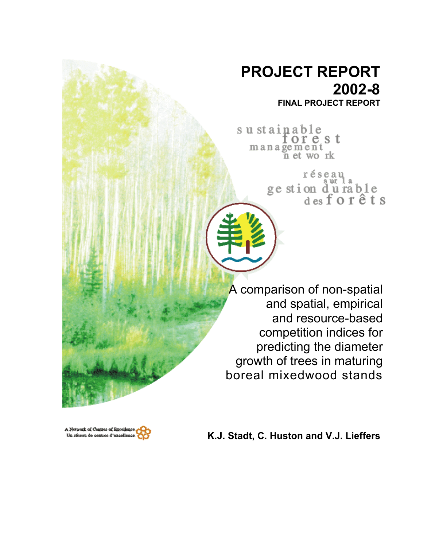# **PROJECT REPORT 2002-8 FINAL PROJECT REPORT**

sustainable orest  $m$  a n a  $\widetilde{g}$  e  $m$  e  $n$  t wo rk

> réseau ge stion du rable<br>desforêts

A comparison of non-spatial and spatial, empirical and resource-based competition indices for predicting the diameter growth of trees in maturing boreal mixedwood stands



**K.J. Stadt, C. Huston and V.J. Lieffers**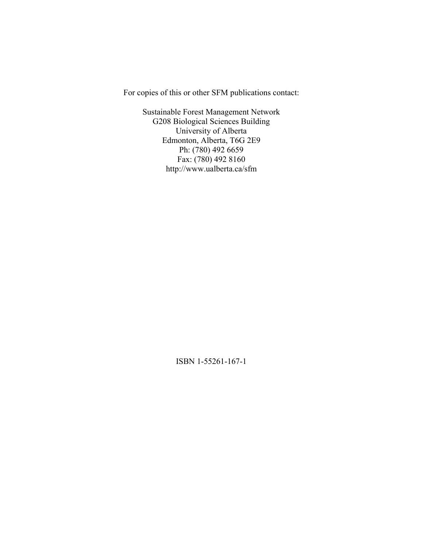For copies of this or other SFM publications contact:

Sustainable Forest Management Network G208 Biological Sciences Building University of Alberta Edmonton, Alberta, T6G 2E9 Ph: (780) 492 6659 Fax: (780) 492 8160 http://www.ualberta.ca/sfm

ISBN 1-55261-167-1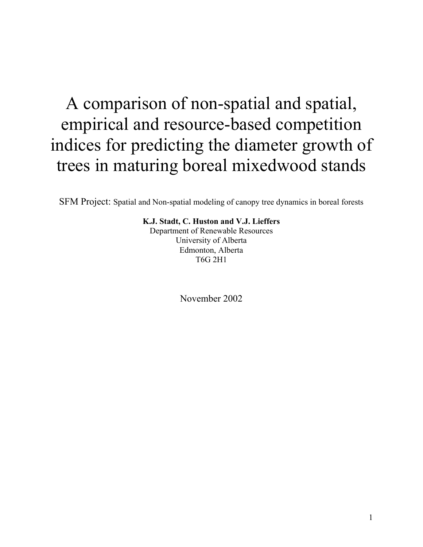# A comparison of non-spatial and spatial, empirical and resource-based competition indices for predicting the diameter growth of trees in maturing boreal mixedwood stands

SFM Project: Spatial and Non-spatial modeling of canopy tree dynamics in boreal forests

**K.J. Stadt, C. Huston and V.J. Lieffers**  Department of Renewable Resources University of Alberta Edmonton, Alberta T6G 2H1

November 2002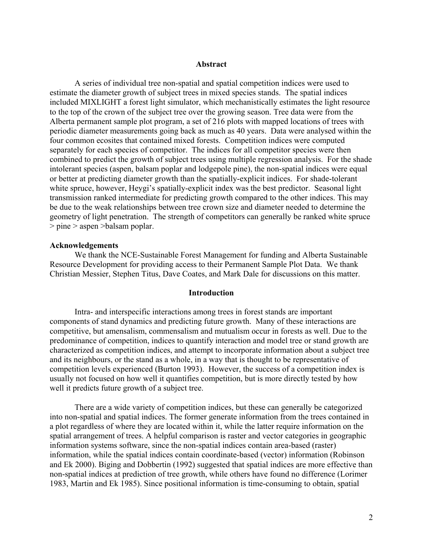#### **Abstract**

A series of individual tree non-spatial and spatial competition indices were used to estimate the diameter growth of subject trees in mixed species stands. The spatial indices included MIXLIGHT a forest light simulator, which mechanistically estimates the light resource to the top of the crown of the subject tree over the growing season. Tree data were from the Alberta permanent sample plot program, a set of 216 plots with mapped locations of trees with periodic diameter measurements going back as much as 40 years. Data were analysed within the four common ecosites that contained mixed forests. Competition indices were computed separately for each species of competitor. The indices for all competitor species were then combined to predict the growth of subject trees using multiple regression analysis. For the shade intolerant species (aspen, balsam poplar and lodgepole pine), the non-spatial indices were equal or better at predicting diameter growth than the spatially-explicit indices. For shade-tolerant white spruce, however, Heygi's spatially-explicit index was the best predictor. Seasonal light transmission ranked intermediate for predicting growth compared to the other indices. This may be due to the weak relationships between tree crown size and diameter needed to determine the geometry of light penetration. The strength of competitors can generally be ranked white spruce > pine > aspen >balsam poplar.

#### **Acknowledgements**

We thank the NCE-Sustainable Forest Management for funding and Alberta Sustainable Resource Development for providing access to their Permanent Sample Plot Data. We thank Christian Messier, Stephen Titus, Dave Coates, and Mark Dale for discussions on this matter.

### **Introduction**

 Intra- and interspecific interactions among trees in forest stands are important components of stand dynamics and predicting future growth. Many of these interactions are competitive, but amensalism, commensalism and mutualism occur in forests as well. Due to the predominance of competition, indices to quantify interaction and model tree or stand growth are characterized as competition indices, and attempt to incorporate information about a subject tree and its neighbours, or the stand as a whole, in a way that is thought to be representative of competition levels experienced (Burton 1993). However, the success of a competition index is usually not focused on how well it quantifies competition, but is more directly tested by how well it predicts future growth of a subject tree.

 There are a wide variety of competition indices, but these can generally be categorized into non-spatial and spatial indices. The former generate information from the trees contained in a plot regardless of where they are located within it, while the latter require information on the spatial arrangement of trees. A helpful comparison is raster and vector categories in geographic information systems software, since the non-spatial indices contain area-based (raster) information, while the spatial indices contain coordinate-based (vector) information (Robinson and Ek 2000). Biging and Dobbertin (1992) suggested that spatial indices are more effective than non-spatial indices at prediction of tree growth, while others have found no difference (Lorimer 1983, Martin and Ek 1985). Since positional information is time-consuming to obtain, spatial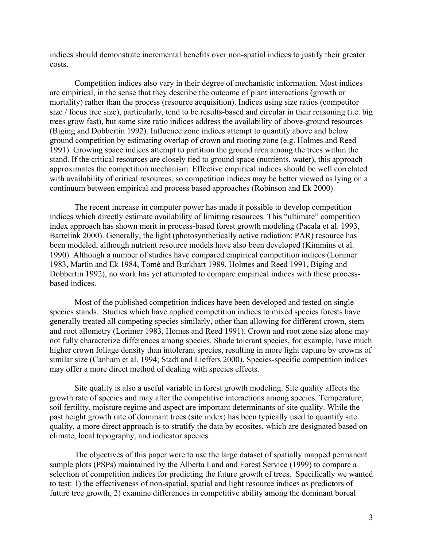indices should demonstrate incremental benefits over non-spatial indices to justify their greater costs.

 Competition indices also vary in their degree of mechanistic information. Most indices are empirical, in the sense that they describe the outcome of plant interactions (growth or mortality) rather than the process (resource acquisition). Indices using size ratios (competitor size / focus tree size), particularly, tend to be results-based and circular in their reasoning (i.e. big trees grow fast), but some size ratio indices address the availability of above-ground resources (Biging and Dobbertin 1992). Influence zone indices attempt to quantify above and below ground competition by estimating overlap of crown and rooting zone (e.g. Holmes and Reed 1991). Growing space indices attempt to partition the ground area among the trees within the stand. If the critical resources are closely tied to ground space (nutrients, water), this approach approximates the competition mechanism. Effective empirical indices should be well correlated with availability of critical resources, so competition indices may be better viewed as lying on a continuum between empirical and process based approaches (Robinson and Ek 2000).

 The recent increase in computer power has made it possible to develop competition indices which directly estimate availability of limiting resources. This "ultimate" competition index approach has shown merit in process-based forest growth modeling (Pacala et al. 1993, Bartelink 2000). Generally, the light (photosynthetically active radiation: PAR) resource has been modeled, although nutrient resource models have also been developed (Kimmins et al. 1990). Although a number of studies have compared empirical competition indices (Lorimer 1983, Martin and Ek 1984, Tomé and Burkhart 1989, Holmes and Reed 1991, Biging and Dobbertin 1992), no work has yet attempted to compare empirical indices with these processbased indices.

Most of the published competition indices have been developed and tested on single species stands. Studies which have applied competition indices to mixed species forests have generally treated all competing species similarly, other than allowing for different crown, stem and root allometry (Lorimer 1983, Homes and Reed 1991). Crown and root zone size alone may not fully characterize differences among species. Shade tolerant species, for example, have much higher crown foliage density than intolerant species, resulting in more light capture by crowns of similar size (Canham et al. 1994; Stadt and Lieffers 2000). Species-specific competition indices may offer a more direct method of dealing with species effects.

 Site quality is also a useful variable in forest growth modeling. Site quality affects the growth rate of species and may alter the competitive interactions among species. Temperature, soil fertility, moisture regime and aspect are important determinants of site quality. While the past height growth rate of dominant trees (site index) has been typically used to quantify site quality, a more direct approach is to stratify the data by ecosites, which are designated based on climate, local topography, and indicator species.

 The objectives of this paper were to use the large dataset of spatially mapped permanent sample plots (PSPs) maintained by the Alberta Land and Forest Service (1999) to compare a selection of competition indices for predicting the future growth of trees. Specifically we wanted to test: 1) the effectiveness of non-spatial, spatial and light resource indices as predictors of future tree growth, 2) examine differences in competitive ability among the dominant boreal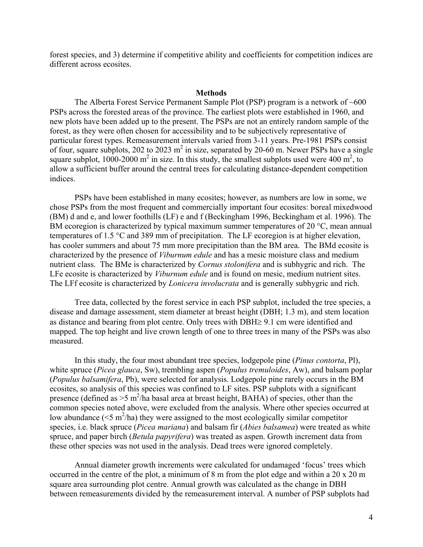forest species, and 3) determine if competitive ability and coefficients for competition indices are different across ecosites.

#### **Methods**

The Alberta Forest Service Permanent Sample Plot (PSP) program is a network of  $~600$ PSPs across the forested areas of the province. The earliest plots were established in 1960, and new plots have been added up to the present. The PSPs are not an entirely random sample of the forest, as they were often chosen for accessibility and to be subjectively representative of particular forest types. Remeasurement intervals varied from 3-11 years. Pre-1981 PSPs consist of four, square subplots, 202 to 2023  $m^2$  in size, separated by 20-60 m. Newer PSPs have a single square subplot, 1000-2000  $m^2$  in size. In this study, the smallest subplots used were 400  $m^2$ , to allow a sufficient buffer around the central trees for calculating distance-dependent competition indices.

PSPs have been established in many ecosites; however, as numbers are low in some, we chose PSPs from the most frequent and commercially important four ecosites: boreal mixedwood (BM) d and e, and lower foothills (LF) e and f (Beckingham 1996, Beckingham et al. 1996). The BM ecoregion is characterized by typical maximum summer temperatures of 20 °C, mean annual temperatures of 1.5 °C and 389 mm of precipitation. The LF ecoregion is at higher elevation, has cooler summers and about 75 mm more precipitation than the BM area. The BMd ecosite is characterized by the presence of *Viburnum edule* and has a mesic moisture class and medium nutrient class. The BMe is characterized by *Cornus stolonifera* and is subhygric and rich. The LFe ecosite is characterized by *Viburnum edule* and is found on mesic, medium nutrient sites. The LFf ecosite is characterized by *Lonicera involucrata* and is generally subhygric and rich.

Tree data, collected by the forest service in each PSP subplot, included the tree species, a disease and damage assessment, stem diameter at breast height (DBH; 1.3 m), and stem location as distance and bearing from plot centre. Only trees with DBH≥ 9.1 cm were identified and mapped. The top height and live crown length of one to three trees in many of the PSPs was also measured.

In this study, the four most abundant tree species, lodgepole pine (*Pinus contorta*, Pl), white spruce (*Picea glauca*, Sw), trembling aspen (*Populus tremuloides*, Aw), and balsam poplar (*Populus balsamifera*, Pb), were selected for analysis. Lodgepole pine rarely occurs in the BM ecosites, so analysis of this species was confined to LF sites. PSP subplots with a significant presence (defined as  $>5$  m<sup>2</sup>/ha basal area at breast height, BAHA) of species, other than the common species noted above, were excluded from the analysis. Where other species occurred at low abundance  $(<5 \text{ m}^2/\text{ha})$  they were assigned to the most ecologically similar competitor species, i.e. black spruce (*Picea mariana*) and balsam fir (*Abies balsamea*) were treated as white spruce, and paper birch (*Betula papyrifera*) was treated as aspen. Growth increment data from these other species was not used in the analysis. Dead trees were ignored completely.

Annual diameter growth increments were calculated for undamaged 'focus' trees which occurred in the centre of the plot, a minimum of 8 m from the plot edge and within a 20 x 20 m square area surrounding plot centre. Annual growth was calculated as the change in DBH between remeasurements divided by the remeasurement interval. A number of PSP subplots had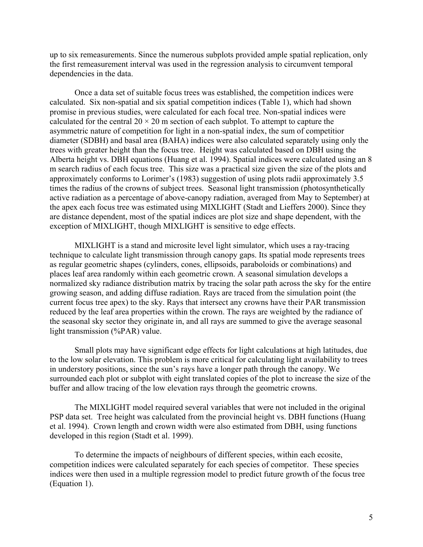up to six remeasurements. Since the numerous subplots provided ample spatial replication, only the first remeasurement interval was used in the regression analysis to circumvent temporal dependencies in the data.

Once a data set of suitable focus trees was established, the competition indices were calculated. Six non-spatial and six spatial competition indices (Table 1), which had shown promise in previous studies, were calculated for each focal tree. Non-spatial indices were calculated for the central  $20 \times 20$  m section of each subplot. To attempt to capture the asymmetric nature of competition for light in a non-spatial index, the sum of competitior diameter (SDBH) and basal area (BAHA) indices were also calculated separately using only the trees with greater height than the focus tree. Height was calculated based on DBH using the Alberta height vs. DBH equations (Huang et al. 1994). Spatial indices were calculated using an 8 m search radius of each focus tree. This size was a practical size given the size of the plots and approximately conforms to Lorimer's (1983) suggestion of using plots radii approximately 3.5 times the radius of the crowns of subject trees. Seasonal light transmission (photosynthetically active radiation as a percentage of above-canopy radiation, averaged from May to September) at the apex each focus tree was estimated using MIXLIGHT (Stadt and Lieffers 2000). Since they are distance dependent, most of the spatial indices are plot size and shape dependent, with the exception of MIXLIGHT, though MIXLIGHT is sensitive to edge effects.

MIXLIGHT is a stand and microsite level light simulator, which uses a ray-tracing technique to calculate light transmission through canopy gaps. Its spatial mode represents trees as regular geometric shapes (cylinders, cones, ellipsoids, paraboloids or combinations) and places leaf area randomly within each geometric crown. A seasonal simulation develops a normalized sky radiance distribution matrix by tracing the solar path across the sky for the entire growing season, and adding diffuse radiation. Rays are traced from the simulation point (the current focus tree apex) to the sky. Rays that intersect any crowns have their PAR transmission reduced by the leaf area properties within the crown. The rays are weighted by the radiance of the seasonal sky sector they originate in, and all rays are summed to give the average seasonal light transmission (%PAR) value.

 Small plots may have significant edge effects for light calculations at high latitudes, due to the low solar elevation. This problem is more critical for calculating light availability to trees in understory positions, since the sun's rays have a longer path through the canopy. We surrounded each plot or subplot with eight translated copies of the plot to increase the size of the buffer and allow tracing of the low elevation rays through the geometric crowns.

The MIXLIGHT model required several variables that were not included in the original PSP data set. Tree height was calculated from the provincial height vs. DBH functions (Huang et al. 1994). Crown length and crown width were also estimated from DBH, using functions developed in this region (Stadt et al. 1999).

 To determine the impacts of neighbours of different species, within each ecosite, competition indices were calculated separately for each species of competitor. These species indices were then used in a multiple regression model to predict future growth of the focus tree (Equation 1).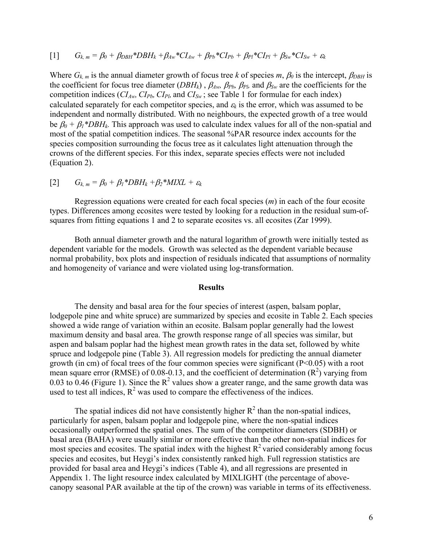$$
[1] \tG_{k,m} = \beta_0 + \beta_{DBH} * DBH_k + \beta_{Aw} * CI_{Aw} + \beta_{Pb} * CI_{Pb} + \beta_{Pl} * CI_{Pl} + \beta_{Sw} * CI_{Sw} + \varepsilon_k
$$

Where  $G_{k,m}$  is the annual diameter growth of focus tree *k* of species *m*,  $\beta_0$  is the intercept,  $\beta_{DBH}$  is the coefficient for focus tree diameter (*DBHk*) , β*Aw,* β*Pb,* β*Pl,* and β*Sw* are the coefficients for the competition indices  $(CI_{Aw}, CI_{Pb}, CI_{Pl},$  and  $CI_{Sw}$ ; see Table 1 for formulae for each index) calculated separately for each competitor species, and  $\varepsilon_k$  is the error, which was assumed to be independent and normally distributed. With no neighbours, the expected growth of a tree would be  $\beta_0 + \beta_1 * DBH_k$ . This approach was used to calculate index values for all of the non-spatial and most of the spatial competition indices. The seasonal %PAR resource index accounts for the species composition surrounding the focus tree as it calculates light attenuation through the crowns of the different species. For this index, separate species effects were not included (Equation 2).

# $[2]$   $G_{k,m} = \beta_0 + \beta_1 * DBH_k + \beta_2 * MIXL + \varepsilon_k$

 Regression equations were created for each focal species (*m*) in each of the four ecosite types. Differences among ecosites were tested by looking for a reduction in the residual sum-ofsquares from fitting equations 1 and 2 to separate ecosites vs. all ecosites (Zar 1999).

 Both annual diameter growth and the natural logarithm of growth were initially tested as dependent variable for the models. Growth was selected as the dependent variable because normal probability, box plots and inspection of residuals indicated that assumptions of normality and homogeneity of variance and were violated using log-transformation.

#### **Results**

The density and basal area for the four species of interest (aspen, balsam poplar, lodgepole pine and white spruce) are summarized by species and ecosite in Table 2. Each species showed a wide range of variation within an ecosite. Balsam poplar generally had the lowest maximum density and basal area. The growth response range of all species was similar, but aspen and balsam poplar had the highest mean growth rates in the data set, followed by white spruce and lodgepole pine (Table 3). All regression models for predicting the annual diameter growth (in cm) of focal trees of the four common species were significant ( $P<0.05$ ) with a root mean square error (RMSE) of 0.08-0.13, and the coefficient of determination  $(R^2)$  varying from 0.03 to 0.46 (Figure 1). Since the  $R^2$  values show a greater range, and the same growth data was used to test all indices,  $R^2$  was used to compare the effectiveness of the indices.

The spatial indices did not have consistently higher  $R^2$  than the non-spatial indices, particularly for aspen, balsam poplar and lodgepole pine, where the non-spatial indices occasionally outperformed the spatial ones. The sum of the competitor diameters (SDBH) or basal area (BAHA) were usually similar or more effective than the other non-spatial indices for most species and ecosites. The spatial index with the highest  $R^2$  varied considerably among focus species and ecosites, but Heygi's index consistently ranked high. Full regression statistics are provided for basal area and Heygi's indices (Table 4), and all regressions are presented in Appendix 1. The light resource index calculated by MIXLIGHT (the percentage of abovecanopy seasonal PAR available at the tip of the crown) was variable in terms of its effectiveness.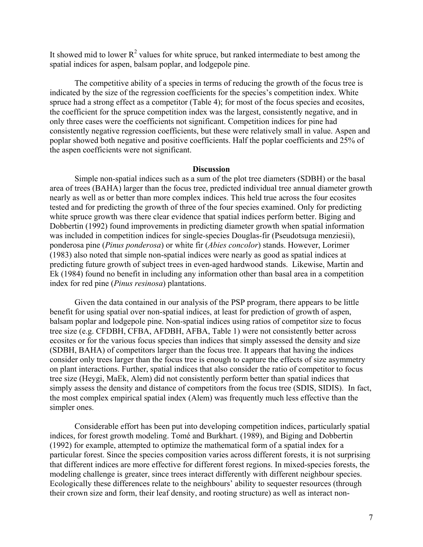It showed mid to lower  $R^2$  values for white spruce, but ranked intermediate to best among the spatial indices for aspen, balsam poplar, and lodgepole pine.

The competitive ability of a species in terms of reducing the growth of the focus tree is indicated by the size of the regression coefficients for the species's competition index. White spruce had a strong effect as a competitor (Table 4); for most of the focus species and ecosites, the coefficient for the spruce competition index was the largest, consistently negative, and in only three cases were the coefficients not significant. Competition indices for pine had consistently negative regression coefficients, but these were relatively small in value. Aspen and poplar showed both negative and positive coefficients. Half the poplar coefficients and 25% of the aspen coefficients were not significant.

#### **Discussion**

Simple non-spatial indices such as a sum of the plot tree diameters (SDBH) or the basal area of trees (BAHA) larger than the focus tree, predicted individual tree annual diameter growth nearly as well as or better than more complex indices. This held true across the four ecosites tested and for predicting the growth of three of the four species examined. Only for predicting white spruce growth was there clear evidence that spatial indices perform better. Biging and Dobbertin (1992) found improvements in predicting diameter growth when spatial information was included in competition indices for single-species Douglas-fir (Pseudotsuga menziesii), ponderosa pine (*Pinus ponderosa*) or white fir (*Abies concolor*) stands. However, Lorimer (1983) also noted that simple non-spatial indices were nearly as good as spatial indices at predicting future growth of subject trees in even-aged hardwood stands. Likewise, Martin and Ek (1984) found no benefit in including any information other than basal area in a competition index for red pine (*Pinus resinosa*) plantations.

Given the data contained in our analysis of the PSP program, there appears to be little benefit for using spatial over non-spatial indices, at least for prediction of growth of aspen, balsam poplar and lodgepole pine. Non-spatial indices using ratios of competitor size to focus tree size (e.g. CFDBH, CFBA, AFDBH, AFBA, Table 1) were not consistently better across ecosites or for the various focus species than indices that simply assessed the density and size (SDBH, BAHA) of competitors larger than the focus tree. It appears that having the indices consider only trees larger than the focus tree is enough to capture the effects of size asymmetry on plant interactions. Further, spatial indices that also consider the ratio of competitor to focus tree size (Heygi, MaEk, Alem) did not consistently perform better than spatial indices that simply assess the density and distance of competitors from the focus tree (SDIS, SIDIS). In fact, the most complex empirical spatial index (Alem) was frequently much less effective than the simpler ones.

Considerable effort has been put into developing competition indices, particularly spatial indices, for forest growth modeling. Tomé and Burkhart. (1989), and Biging and Dobbertin (1992) for example, attempted to optimize the mathematical form of a spatial index for a particular forest. Since the species composition varies across different forests, it is not surprising that different indices are more effective for different forest regions. In mixed-species forests, the modeling challenge is greater, since trees interact differently with different neighbour species. Ecologically these differences relate to the neighbours' ability to sequester resources (through their crown size and form, their leaf density, and rooting structure) as well as interact non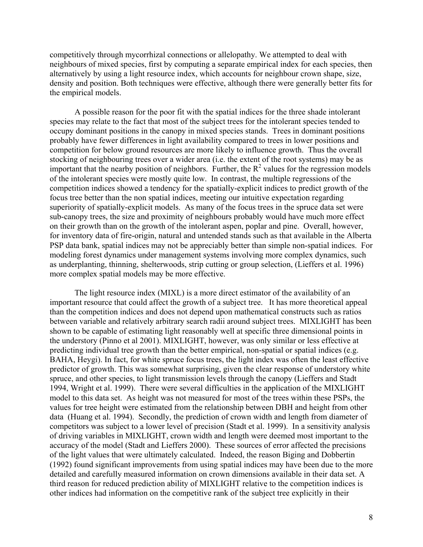competitively through mycorrhizal connections or allelopathy. We attempted to deal with neighbours of mixed species, first by computing a separate empirical index for each species, then alternatively by using a light resource index, which accounts for neighbour crown shape, size, density and position. Both techniques were effective, although there were generally better fits for the empirical models.

A possible reason for the poor fit with the spatial indices for the three shade intolerant species may relate to the fact that most of the subject trees for the intolerant species tended to occupy dominant positions in the canopy in mixed species stands. Trees in dominant positions probably have fewer differences in light availability compared to trees in lower positions and competition for below ground resources are more likely to influence growth. Thus the overall stocking of neighbouring trees over a wider area (i.e. the extent of the root systems) may be as important that the nearby position of neighbors. Further, the  $R^2$  values for the regression models of the intolerant species were mostly quite low. In contrast, the multiple regressions of the competition indices showed a tendency for the spatially-explicit indices to predict growth of the focus tree better than the non spatial indices, meeting our intuitive expectation regarding superiority of spatially-explicit models. As many of the focus trees in the spruce data set were sub-canopy trees, the size and proximity of neighbours probably would have much more effect on their growth than on the growth of the intolerant aspen, poplar and pine. Overall, however, for inventory data of fire-origin, natural and untended stands such as that available in the Alberta PSP data bank, spatial indices may not be appreciably better than simple non-spatial indices. For modeling forest dynamics under management systems involving more complex dynamics, such as underplanting, thinning, shelterwoods, strip cutting or group selection, (Lieffers et al. 1996) more complex spatial models may be more effective.

The light resource index (MIXL) is a more direct estimator of the availability of an important resource that could affect the growth of a subject tree. It has more theoretical appeal than the competition indices and does not depend upon mathematical constructs such as ratios between variable and relatively arbitrary search radii around subject trees. MIXLIGHT has been shown to be capable of estimating light reasonably well at specific three dimensional points in the understory (Pinno et al 2001). MIXLIGHT, however, was only similar or less effective at predicting individual tree growth than the better empirical, non-spatial or spatial indices (e.g. BAHA, Heygi). In fact, for white spruce focus trees, the light index was often the least effective predictor of growth. This was somewhat surprising, given the clear response of understory white spruce, and other species, to light transmission levels through the canopy (Lieffers and Stadt 1994, Wright et al. 1999). There were several difficulties in the application of the MIXLIGHT model to this data set. As height was not measured for most of the trees within these PSPs, the values for tree height were estimated from the relationship between DBH and height from other data (Huang et al. 1994). Secondly, the prediction of crown width and length from diameter of competitors was subject to a lower level of precision (Stadt et al. 1999). In a sensitivity analysis of driving variables in MIXLIGHT, crown width and length were deemed most important to the accuracy of the model (Stadt and Lieffers 2000). These sources of error affected the precisions of the light values that were ultimately calculated. Indeed, the reason Biging and Dobbertin (1992) found significant improvements from using spatial indices may have been due to the more detailed and carefully measured information on crown dimensions available in their data set. A third reason for reduced prediction ability of MIXLIGHT relative to the competition indices is other indices had information on the competitive rank of the subject tree explicitly in their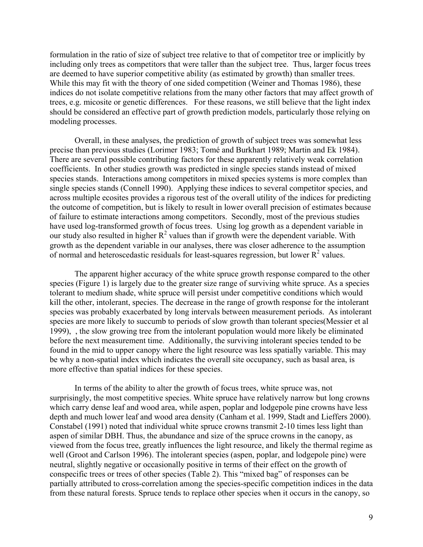formulation in the ratio of size of subject tree relative to that of competitor tree or implicitly by including only trees as competitors that were taller than the subject tree. Thus, larger focus trees are deemed to have superior competitive ability (as estimated by growth) than smaller trees. While this may fit with the theory of one sided competition (Weiner and Thomas 1986), these indices do not isolate competitive relations from the many other factors that may affect growth of trees, e.g. micosite or genetic differences. For these reasons, we still believe that the light index should be considered an effective part of growth prediction models, particularly those relying on modeling processes.

Overall, in these analyses, the prediction of growth of subject trees was somewhat less precise than previous studies (Lorimer 1983; Tomé and Burkhart 1989; Martin and Ek 1984). There are several possible contributing factors for these apparently relatively weak correlation coefficients. In other studies growth was predicted in single species stands instead of mixed species stands. Interactions among competitors in mixed species systems is more complex than single species stands (Connell 1990). Applying these indices to several competitor species, and across multiple ecosites provides a rigorous test of the overall utility of the indices for predicting the outcome of competition, but is likely to result in lower overall precision of estimates because of failure to estimate interactions among competitors. Secondly, most of the previous studies have used log-transformed growth of focus trees. Using log growth as a dependent variable in our study also resulted in higher  $R^2$  values than if growth were the dependent variable. With growth as the dependent variable in our analyses, there was closer adherence to the assumption of normal and heteroscedastic residuals for least-squares regression, but lower  $R^2$  values.

The apparent higher accuracy of the white spruce growth response compared to the other species (Figure 1) is largely due to the greater size range of surviving white spruce. As a species tolerant to medium shade, white spruce will persist under competitive conditions which would kill the other, intolerant, species. The decrease in the range of growth response for the intolerant species was probably exacerbated by long intervals between measurement periods. As intolerant species are more likely to succumb to periods of slow growth than tolerant species(Messier et al 1999), , the slow growing tree from the intolerant population would more likely be eliminated before the next measurement time. Additionally, the surviving intolerant species tended to be found in the mid to upper canopy where the light resource was less spatially variable. This may be why a non-spatial index which indicates the overall site occupancy, such as basal area, is more effective than spatial indices for these species.

In terms of the ability to alter the growth of focus trees, white spruce was, not surprisingly, the most competitive species. White spruce have relatively narrow but long crowns which carry dense leaf and wood area, while aspen, poplar and lodgepole pine crowns have less depth and much lower leaf and wood area density (Canham et al. 1999, Stadt and Lieffers 2000). Constabel (1991) noted that individual white spruce crowns transmit 2-10 times less light than aspen of similar DBH. Thus, the abundance and size of the spruce crowns in the canopy, as viewed from the focus tree, greatly influences the light resource, and likely the thermal regime as well (Groot and Carlson 1996). The intolerant species (aspen, poplar, and lodgepole pine) were neutral, slightly negative or occasionally positive in terms of their effect on the growth of conspecific trees or trees of other species (Table 2). This "mixed bag" of responses can be partially attributed to cross-correlation among the species-specific competition indices in the data from these natural forests. Spruce tends to replace other species when it occurs in the canopy, so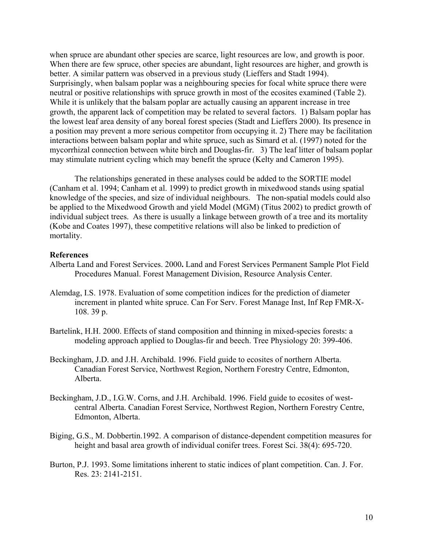when spruce are abundant other species are scarce, light resources are low, and growth is poor. When there are few spruce, other species are abundant, light resources are higher, and growth is better. A similar pattern was observed in a previous study (Lieffers and Stadt 1994). Surprisingly, when balsam poplar was a neighbouring species for focal white spruce there were neutral or positive relationships with spruce growth in most of the ecosites examined (Table 2). While it is unlikely that the balsam poplar are actually causing an apparent increase in tree growth, the apparent lack of competition may be related to several factors. 1) Balsam poplar has the lowest leaf area density of any boreal forest species (Stadt and Lieffers 2000). Its presence in a position may prevent a more serious competitor from occupying it. 2) There may be facilitation interactions between balsam poplar and white spruce, such as Simard et al. (1997) noted for the mycorrhizal connection between white birch and Douglas-fir. 3) The leaf litter of balsam poplar may stimulate nutrient cycling which may benefit the spruce (Kelty and Cameron 1995).

The relationships generated in these analyses could be added to the SORTIE model (Canham et al. 1994; Canham et al. 1999) to predict growth in mixedwood stands using spatial knowledge of the species, and size of individual neighbours. The non-spatial models could also be applied to the Mixedwood Growth and yield Model (MGM) (Titus 2002) to predict growth of individual subject trees. As there is usually a linkage between growth of a tree and its mortality (Kobe and Coates 1997), these competitive relations will also be linked to prediction of mortality.

## **References**

- Alberta Land and Forest Services. 2000**.** Land and Forest Services Permanent Sample Plot Field Procedures Manual. Forest Management Division, Resource Analysis Center.
- Alemdag, I.S. 1978. Evaluation of some competition indices for the prediction of diameter increment in planted white spruce. Can For Serv. Forest Manage Inst, Inf Rep FMR-X-108. 39 p.
- Bartelink, H.H. 2000. Effects of stand composition and thinning in mixed-species forests: a modeling approach applied to Douglas-fir and beech. Tree Physiology 20: 399-406.
- Beckingham, J.D. and J.H. Archibald. 1996. Field guide to ecosites of northern Alberta. Canadian Forest Service, Northwest Region, Northern Forestry Centre, Edmonton, Alberta.
- Beckingham, J.D., I.G.W. Corns, and J.H. Archibald. 1996. Field guide to ecosites of westcentral Alberta. Canadian Forest Service, Northwest Region, Northern Forestry Centre, Edmonton, Alberta.
- Biging, G.S., M. Dobbertin.1992. A comparison of distance-dependent competition measures for height and basal area growth of individual conifer trees. Forest Sci. 38(4): 695-720.
- Burton, P.J. 1993. Some limitations inherent to static indices of plant competition. Can. J. For. Res. 23: 2141-2151.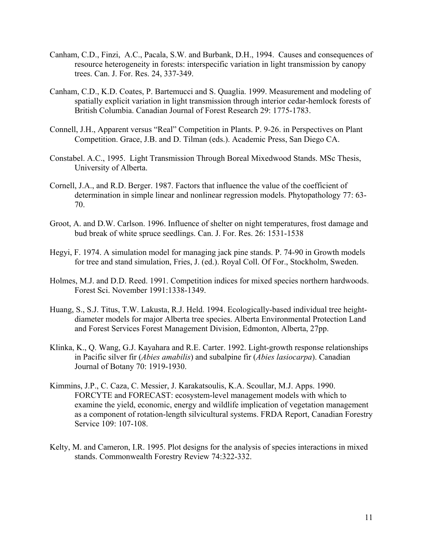- Canham, C.D., Finzi, A.C., Pacala, S.W. and Burbank, D.H., 1994. Causes and consequences of resource heterogeneity in forests: interspecific variation in light transmission by canopy trees. Can. J. For. Res. 24, 337-349.
- Canham, C.D., K.D. Coates, P. Bartemucci and S. Quaglia. 1999. Measurement and modeling of spatially explicit variation in light transmission through interior cedar-hemlock forests of British Columbia. Canadian Journal of Forest Research 29: 1775-1783.
- Connell, J.H., Apparent versus "Real" Competition in Plants. P. 9-26. in Perspectives on Plant Competition. Grace, J.B. and D. Tilman (eds.). Academic Press, San Diego CA.
- Constabel. A.C., 1995. Light Transmission Through Boreal Mixedwood Stands. MSc Thesis, University of Alberta.
- Cornell, J.A., and R.D. Berger. 1987. Factors that influence the value of the coefficient of determination in simple linear and nonlinear regression models. Phytopathology 77: 63- 70.
- Groot, A. and D.W. Carlson. 1996. Influence of shelter on night temperatures, frost damage and bud break of white spruce seedlings. Can. J. For. Res. 26: 1531-1538
- Hegyi, F. 1974. A simulation model for managing jack pine stands. P. 74-90 in Growth models for tree and stand simulation, Fries, J. (ed.). Royal Coll. Of For., Stockholm, Sweden.
- Holmes, M.J. and D.D. Reed. 1991. Competition indices for mixed species northern hardwoods. Forest Sci. November 1991:1338-1349.
- Huang, S., S.J. Titus, T.W. Lakusta, R.J. Held. 1994. Ecologically-based individual tree heightdiameter models for major Alberta tree species. Alberta Environmental Protection Land and Forest Services Forest Management Division, Edmonton, Alberta, 27pp.
- Klinka, K., Q. Wang, G.J. Kayahara and R.E. Carter. 1992. Light-growth response relationships in Pacific silver fir (*Abies amabilis*) and subalpine fir (*Abies lasiocarpa*). Canadian Journal of Botany 70: 1919-1930.
- Kimmins, J.P., C. Caza, C. Messier, J. Karakatsoulis, K.A. Scoullar, M.J. Apps. 1990. FORCYTE and FORECAST: ecosystem-level management models with which to examine the yield, economic, energy and wildlife implication of vegetation management as a component of rotation-length silvicultural systems. FRDA Report, Canadian Forestry Service 109: 107-108.
- Kelty, M. and Cameron, I.R. 1995. Plot designs for the analysis of species interactions in mixed stands. Commonwealth Forestry Review 74:322-332.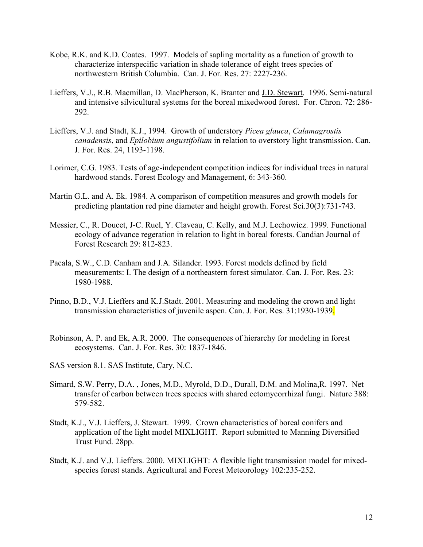- Kobe, R.K. and K.D. Coates. 1997. Models of sapling mortality as a function of growth to characterize interspecific variation in shade tolerance of eight trees species of northwestern British Columbia. Can. J. For. Res. 27: 2227-236.
- Lieffers, V.J., R.B. Macmillan, D. MacPherson, K. Branter and J.D. Stewart. 1996. Semi-natural and intensive silvicultural systems for the boreal mixedwood forest. For. Chron. 72: 286- 292.
- Lieffers, V.J. and Stadt, K.J., 1994. Growth of understory *Picea glauca*, *Calamagrostis canadensis*, and *Epilobium angustifolium* in relation to overstory light transmission. Can. J. For. Res. 24, 1193-1198.
- Lorimer, C.G. 1983. Tests of age-independent competition indices for individual trees in natural hardwood stands. Forest Ecology and Management, 6: 343-360.
- Martin G.L. and A. Ek. 1984. A comparison of competition measures and growth models for predicting plantation red pine diameter and height growth. Forest Sci.30(3):731-743.
- Messier, C., R. Doucet, J-C. Ruel, Y. Claveau, C. Kelly, and M.J. Lechowicz. 1999. Functional ecology of advance regeration in relation to light in boreal forests. Candian Journal of Forest Research 29: 812-823.
- Pacala, S.W., C.D. Canham and J.A. Silander. 1993. Forest models defined by field measurements: I. The design of a northeastern forest simulator. Can. J. For. Res. 23: 1980-1988.
- Pinno, B.D., V.J. Lieffers and K.J.Stadt. 2001. Measuring and modeling the crown and light transmission characteristics of juvenile aspen. Can. J. For. Res. 31:1930-1939.
- Robinson, A. P. and Ek, A.R. 2000. The consequences of hierarchy for modeling in forest ecosystems. Can. J. For. Res. 30: 1837-1846.
- SAS version 8.1. SAS Institute, Cary, N.C.
- Simard, S.W. Perry, D.A. , Jones, M.D., Myrold, D.D., Durall, D.M. and Molina,R. 1997. Net transfer of carbon between trees species with shared ectomycorrhizal fungi. Nature 388: 579-582.
- Stadt, K.J., V.J. Lieffers, J. Stewart. 1999. Crown characteristics of boreal conifers and application of the light model MIXLIGHT. Report submitted to Manning Diversified Trust Fund. 28pp.
- Stadt, K.J. and V.J. Lieffers. 2000. MIXLIGHT: A flexible light transmission model for mixedspecies forest stands. Agricultural and Forest Meteorology 102:235-252.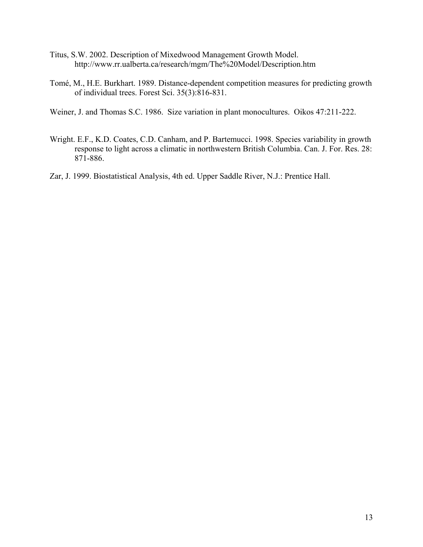- Titus, S.W. 2002. Description of Mixedwood Management Growth Model. http://www.rr.ualberta.ca/research/mgm/The%20Model/Description.htm
- Tomé, M., H.E. Burkhart. 1989. Distance-dependent competition measures for predicting growth of individual trees. Forest Sci. 35(3):816-831.
- Weiner, J. and Thomas S.C. 1986. Size variation in plant monocultures. Oikos 47:211-222.
- Wright. E.F., K.D. Coates, C.D. Canham, and P. Bartemucci. 1998. Species variability in growth response to light across a climatic in northwestern British Columbia. Can. J. For. Res. 28: 871-886.
- Zar, J. 1999. Biostatistical Analysis, 4th ed. Upper Saddle River, N.J.: Prentice Hall.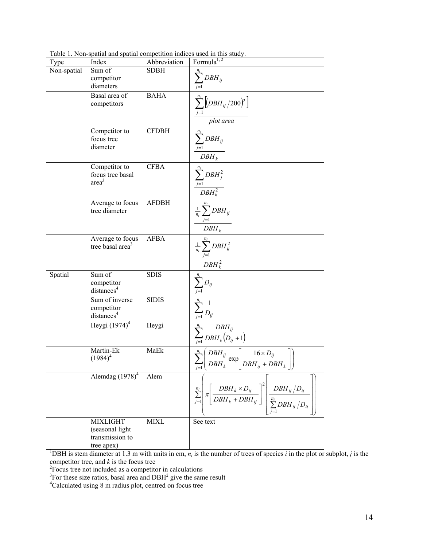| Type        | Index                                            | Abbreviation | Formula <sup>1, 2</sup>                                                                                                                                      |
|-------------|--------------------------------------------------|--------------|--------------------------------------------------------------------------------------------------------------------------------------------------------------|
| Non-spatial | Sum of                                           | <b>SDBH</b>  |                                                                                                                                                              |
|             | competitor                                       |              | $\sum_{j=1}^{n_i} DBH_{ij}$                                                                                                                                  |
|             | diameters                                        |              |                                                                                                                                                              |
|             | Basal area of                                    | <b>BAHA</b>  |                                                                                                                                                              |
|             | competitors                                      |              |                                                                                                                                                              |
|             |                                                  |              | $\frac{\sum_{j=1}^{n_i} [(DBH_{ij}/200)^2]}{plot\, area}$                                                                                                    |
|             | Competitor to                                    | <b>CFDBH</b> |                                                                                                                                                              |
|             | focus tree                                       |              |                                                                                                                                                              |
|             | diameter                                         |              |                                                                                                                                                              |
|             |                                                  |              | $\frac{\sum_{j=1}^{n_i} DBH_{ij}}{DBH_k}$                                                                                                                    |
|             | Competitor to                                    | <b>CFBA</b>  |                                                                                                                                                              |
|             | focus tree basal                                 |              | $\frac{\sum_{j=1}^{n_i} DBH_j^2}{DBH_k^2}$                                                                                                                   |
|             | area <sup>3</sup>                                |              |                                                                                                                                                              |
|             |                                                  |              |                                                                                                                                                              |
|             | Average to focus                                 | <b>AFDBH</b> | $\frac{\frac{1}{n_i}\sum_{j=1}^{n_i} DBH_{ij}}{DBH_k}$                                                                                                       |
|             | tree diameter                                    |              |                                                                                                                                                              |
|             |                                                  |              |                                                                                                                                                              |
|             |                                                  |              |                                                                                                                                                              |
|             | Average to focus<br>tree basal area <sup>3</sup> | <b>AFBA</b>  |                                                                                                                                                              |
|             |                                                  |              |                                                                                                                                                              |
|             |                                                  |              | $\frac{\frac{1}{n_i}\sum_{j=1}^{n_i} DBH_{ij}^2}{DBH_k^2}$                                                                                                   |
| Spatial     | Sum of                                           | <b>SDIS</b>  |                                                                                                                                                              |
|             | competitor                                       |              |                                                                                                                                                              |
|             | distances <sup>4</sup>                           |              | $\frac{\sum_{j=1}^{n_i} D_{ij}}{\sum_{j=1}^{n_i} \frac{1}{D_{ij}}}$                                                                                          |
|             | Sum of inverse                                   | <b>SIDIS</b> |                                                                                                                                                              |
|             | competitor                                       |              |                                                                                                                                                              |
|             | distances <sup>4</sup>                           |              |                                                                                                                                                              |
|             | Heygi $(1974)^4$                                 | Heygi        |                                                                                                                                                              |
|             |                                                  |              | $\sum_{j=1}^{n_i} \frac{DBH_{ij}}{DBH_k(D_{ij}+1)}$                                                                                                          |
|             | Martin-Ek                                        | MaEk         |                                                                                                                                                              |
|             | $(1984)^4$                                       |              |                                                                                                                                                              |
|             |                                                  |              | $\sum_{j=1}^{n_i} \left( \frac{DBH_{ij}}{DBH_k} \exp \left[ \frac{16 \times D_{ij}}{DBH_{ij} + DBH_k} \right] \right)$                                       |
|             | Alemdag $(1978)^4$                               | Alem         |                                                                                                                                                              |
|             |                                                  |              |                                                                                                                                                              |
|             |                                                  |              | $\sum_{j=1}^{n_i} \pi \left[ \frac{DBH_k \times D_{ij}}{DBH_k + DBH_{ij}} \right]^2 \left  \frac{DBH_{ij}/D_{ij}}{\sum_{i=1}^{n_i} DBH_{ij}/D_{ij}} \right $ |
|             |                                                  |              |                                                                                                                                                              |
|             |                                                  |              |                                                                                                                                                              |
|             | <b>MIXLIGHT</b>                                  | <b>MIXL</b>  | See text                                                                                                                                                     |
|             | (seasonal light<br>transmission to               |              |                                                                                                                                                              |
|             | tree apex)                                       |              |                                                                                                                                                              |

Table 1. Non-spatial and spatial competition indices used in this study.

 $\frac{1}{1}$  tree apex)  $\frac{1}{1}$  tree apex  $\frac{1}{1}$  trees  $\frac{1}{2}$  is the number of trees of species *i* in the plot or subplot, *j* is the competitor tree, and  $k$  is the focus tree<br><sup>2</sup>Focus tree not included as a competitor in calculations<br><sup>3</sup>For these size ratios, basal area and DBH<sup>2</sup> give the same result<br><sup>4</sup>Calculated using 8 m radius plot, centred on fo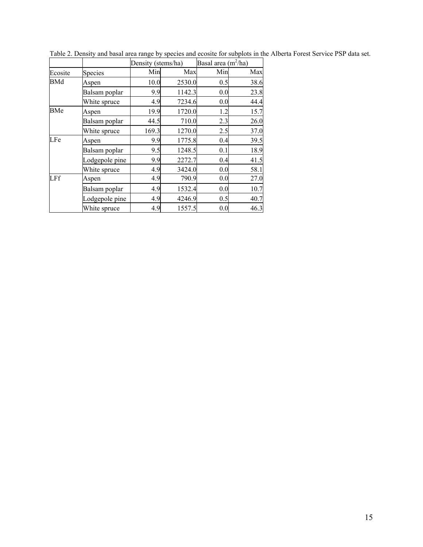|            |                | Density (stems/ha) |        | Basal area $(m^2/ha)$ |      |
|------------|----------------|--------------------|--------|-----------------------|------|
| Ecosite    | Species        | Min                | Max    | Min                   | Max  |
| <b>BMd</b> | Aspen          | 10.0               | 2530.0 | 0.5                   | 38.6 |
|            | Balsam poplar  | 9.9                | 1142.3 | 0.0                   | 23.8 |
|            | White spruce   | 4.9                | 7234.6 | 0.0                   | 44.4 |
| BMe        | Aspen          | 19.9               | 1720.0 | 1.2                   | 15.7 |
|            | Balsam poplar  | 44.5               | 710.0  | 2.3                   | 26.0 |
|            | White spruce   | 169.3              | 1270.0 | 2.5                   | 37.0 |
| LFe        | Aspen          | 9.9                | 1775.8 | 0.4                   | 39.5 |
|            | Balsam poplar  | 9.5                | 1248.5 | 0.1                   | 18.9 |
|            | Lodgepole pine | 9.9                | 2272.7 | 0.4                   | 41.5 |
|            | White spruce   | 4.9                | 3424.0 | 0.0                   | 58.1 |
| LFf        | Aspen          | 4.9                | 790.9  | 0.0                   | 27.0 |
|            | Balsam poplar  | 4.9                | 1532.4 | 0.0                   | 10.7 |
|            | Lodgepole pine | 4.9                | 4246.9 | 0.5                   | 40.7 |
|            | White spruce   | 4.9                | 1557.5 | 0.0                   | 46.3 |

Table 2. Density and basal area range by species and ecosite for subplots in the Alberta Forest Service PSP data set.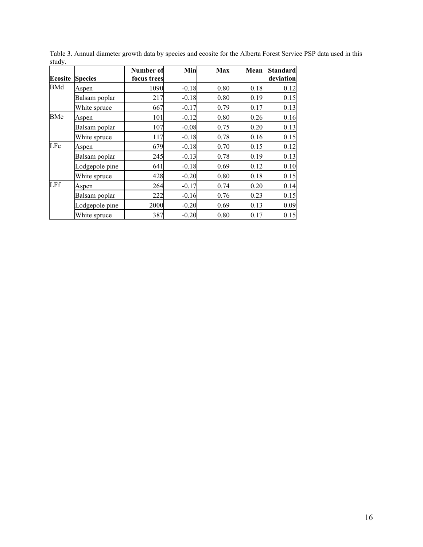|                |                | Number of   | Min     | Max  | Mean | <b>Standard</b> |
|----------------|----------------|-------------|---------|------|------|-----------------|
| <b>Ecosite</b> | <b>Species</b> | focus trees |         |      |      | deviation       |
| BMd            | Aspen          | 1090        | $-0.18$ | 0.80 | 0.18 | 0.12            |
|                | Balsam poplar  | 217         | $-0.18$ | 0.80 | 0.19 | 0.15            |
|                | White spruce   | 667         | $-0.17$ | 0.79 | 0.17 | 0.13            |
| BMe            | Aspen          | 101         | $-0.12$ | 0.80 | 0.26 | 0.16            |
|                | Balsam poplar  | 107         | $-0.08$ | 0.75 | 0.20 | 0.13            |
|                | White spruce   | 117         | $-0.18$ | 0.78 | 0.16 | 0.15            |
| LFe            | Aspen          | 679         | $-0.18$ | 0.70 | 0.15 | 0.12            |
|                | Balsam poplar  | 245         | $-0.13$ | 0.78 | 0.19 | 0.13            |
|                | Lodgepole pine | 641         | $-0.18$ | 0.69 | 0.12 | 0.10            |
|                | White spruce   | 428         | $-0.20$ | 0.80 | 0.18 | 0.15            |
| LFf            | Aspen          | 264         | $-0.17$ | 0.74 | 0.20 | 0.14            |
|                | Balsam poplar  | 222         | $-0.16$ | 0.76 | 0.23 | 0.15            |
|                | Lodgepole pine | 2000        | $-0.20$ | 0.69 | 0.13 | 0.09            |
|                | White spruce   | 387         | $-0.20$ | 0.80 | 0.17 | 0.15            |

Table 3. Annual diameter growth data by species and ecosite for the Alberta Forest Service PSP data used in this study.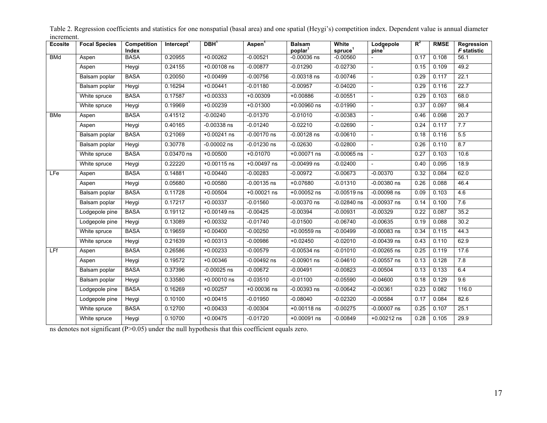| Ecosite    | <b>Focal Species</b> | Competition<br>Index | Intercept <sup>1</sup> | DBH <sup>1</sup> | Aspen <sup>1</sup> | <b>Balsam</b><br>poplar <sup>1</sup> | White<br>spruce <sup>1</sup> | Lodgepole<br>pine <sup>1</sup> | $R^2$ | <b>RMSE</b> | Regression<br><b>F</b> statistic |
|------------|----------------------|----------------------|------------------------|------------------|--------------------|--------------------------------------|------------------------------|--------------------------------|-------|-------------|----------------------------------|
| <b>BMd</b> | Aspen                | <b>BASA</b>          | 0.20955                | $+0.00262$       | $-0.00521$         | $-0.00036$ ns                        | $-0.00560$                   | $\blacksquare$                 | 0.17  | 0.108       | 56.1                             |
|            | Aspen                | Heygi                | 0.24155                | $+0.00108$ ns    | $-0.00877$         | $-0.01290$                           | $-0.02730$                   | $\overline{\phantom{a}}$       | 0.15  | 0.109       | 49.2                             |
|            | Balsam poplar        | <b>BASA</b>          | 0.20050                | $+0.00499$       | $-0.00756$         | $-0.00318$ ns                        | $-0.00746$                   | $\mathcal{L}$                  | 0.29  | 0.117       | 22.1                             |
|            | Balsam poplar        | Heygi                | 0.16294                | $+0.00441$       | $-0.01180$         | $-0.00957$                           | $-0.04020$                   | $\mathbb{L}$                   | 0.29  | 0.116       | 22.7                             |
|            | White spruce         | <b>BASA</b>          | 0.17587                | $+0.00333$       | $+0.00309$         | $+0.00886$                           | $-0.00551$                   | $\mathcal{L}$                  | 0.29  | 0.103       | 68.0                             |
|            | White spruce         | Heygi                | 0.19969                | $+0.00239$       | $+0.01300$         | $+0.00960$ ns                        | $-0.01990$                   | $\blacksquare$                 | 0.37  | 0.097       | 98.4                             |
| <b>BMe</b> | Aspen                | <b>BASA</b>          | 0.41512                | $-0.00240$       | $-0.01370$         | $-0.01010$                           | $-0.00383$                   | $\blacksquare$                 | 0.46  | 0.098       | 20.7                             |
|            | Aspen                | Heygi                | 0.40165                | $-0.00338$ ns    | $-0.01240$         | $-0.02210$                           | $-0.02690$                   | $\overline{\phantom{a}}$       | 0.24  | 0.117       | 7.7                              |
|            | Balsam poplar        | <b>BASA</b>          | 0.21069                | $+0.00241$ ns    | $-0.00170$ ns      | $-0.00128$ ns                        | $-0.00610$                   | $\sim$                         | 0.18  | 0.116       | 5.5                              |
|            | Balsam poplar        | Heygi                | 0.30778                | $-0.00002$ ns    | $-0.01230$ ns      | $-0.02630$                           | $-0.02800$                   | $\overline{\phantom{a}}$       | 0.26  | 0.110       | 8.7                              |
|            | White spruce         | <b>BASA</b>          | 0.03470 ns             | $+0.00500$       | $+0.01070$         | $+0.00071$ ns                        | $-0.00065$ ns                |                                | 0.27  | 0.103       | 10.6                             |
|            | White spruce         | Heygi                | 0.22220                | $+0.00115$ ns    | $+0.00497$ ns      | $-0.00499$ ns                        | $-0.02400$                   | $\overline{\phantom{a}}$       | 0.40  | 0.095       | 18.9                             |
| LFe        | Aspen                | <b>BASA</b>          | 0.14881                | $+0.00440$       | $-0.00283$         | $-0.00972$                           | $-0.00673$                   | $-0.00370$                     | 0.32  | 0.084       | 62.0                             |
|            | Aspen                | Heygi                | 0.05680                | $+0.00580$       | $-0.00135$ ns      | $+0.07680$                           | $-0.01310$                   | $-0.00380$ ns                  | 0.26  | 0.088       | 46.4                             |
|            | Balsam poplar        | <b>BASA</b>          | 0.11728                | $+0.00504$       | $+0.00021$ ns      | $+0.00052$ ns                        | $-0.00519$ ns                | $-0.00098$ ns                  | 0.09  | 0.103       | 4.6                              |
|            | Balsam poplar        | Heygi                | 0.17217                | $+0.00337$       | $-0.01560$         | $-0.00370$ ns                        | $-0.02840$ ns                | $-0.00937$ ns                  | 0.14  | 0.100       | 7.6                              |
|            | Lodgepole pine       | <b>BASA</b>          | 0.19112                | $+0.00149$ ns    | $-0.00425$         | $-0.00394$                           | $-0.00931$                   | $-0.00329$                     | 0.22  | 0.087       | 35.2                             |
|            | Lodgepole pine       | Heygi                | 0.13089                | $+0.00332$       | $-0.01740$         | $-0.01500$                           | $-0.06740$                   | $-0.00635$                     | 0.19  | 0.088       | 30.2                             |
|            | White spruce         | <b>BASA</b>          | 0.19659                | $+0.00400$       | $-0.00250$         | $+0.00559$ ns                        | $-0.00499$                   | $-0.00083$ ns                  | 0.34  | 0.115       | 44.3                             |
|            | White spruce         | Heygi                | 0.21639                | $+0.00313$       | $-0.00986$         | $+0.02450$                           | $-0.02010$                   | $-0.00439$ ns                  | 0.43  | 0.110       | 62.9                             |
| <b>LFf</b> | Aspen                | <b>BASA</b>          | 0.26586                | $+0.00233$       | $-0.00579$         | $-0.00534$ ns                        | $-0.01010$                   | $-0.00265$ ns                  | 0.25  | 0.119       | 17.6                             |
|            | Aspen                | Heygi                | 0.19572                | $+0.00346$       | $-0.00492$ ns      | $-0.00901$ ns                        | $-0.04610$                   | $-0.00557$ ns                  | 0.13  | 0.128       | 7.8                              |
|            | Balsam poplar        | <b>BASA</b>          | 0.37396                | $-0.00025$ ns    | $-0.00672$         | $-0.00491$                           | $-0.00823$                   | $-0.00504$                     | 0.13  | 0.133       | 6.4                              |
|            | Balsam poplar        | Heygi                | 0.33580                | $+0.00010$ ns    | $-0.03510$         | $-0.01100$                           | $-0.05590$                   | $-0.04600$                     | 0.18  | 0.129       | 9.6                              |
|            | Lodgepole pine       | <b>BASA</b>          | 0.16269                | $+0.00257$       | $+0.00036$ ns      | $-0.00393$ ns                        | $-0.00642$                   | $-0.00361$                     | 0.23  | 0.082       | 116.0                            |
|            | Lodgepole pine       | Heygi                | 0.10100                | $+0.00415$       | $-0.01950$         | $-0.08040$                           | $-0.02320$                   | $-0.00584$                     | 0.17  | 0.084       | 82.6                             |
|            | White spruce         | <b>BASA</b>          | 0.12700                | $+0.00433$       | $-0.00304$         | $+0.00118$ ns                        | $-0.00275$                   | $-0.00007$ ns                  | 0.25  | 0.107       | 25.1                             |
|            | White spruce         | Heygi                | 0.10700                | $+0.00475$       | $-0.01720$         | $+0.00091$ ns                        | $-0.00849$                   | $+0.00212$ ns                  | 0.28  | 0.105       | 29.9                             |

Table 2. Regression coefficients and statistics for one nonspatial (basal area) and one spatial (Heygi's) competition index. Dependent value is annual diameter increment.

ns denotes not significant (P>0.05) under the null hypothesis that this coefficient equals zero.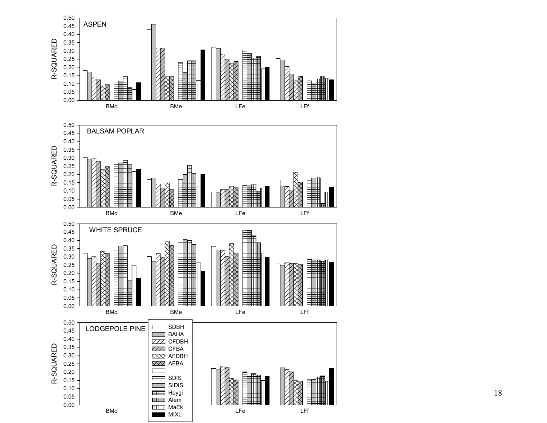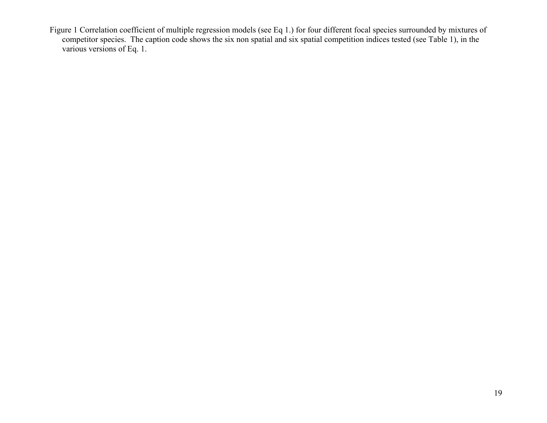Figure 1 Correlation coefficient of multiple regression models (see Eq 1.) for four different focal species surrounded by mixtures of competitor species. The caption code shows the six non spatial and six spatial competition indices tested (see Table 1), in the various versions of Eq. 1.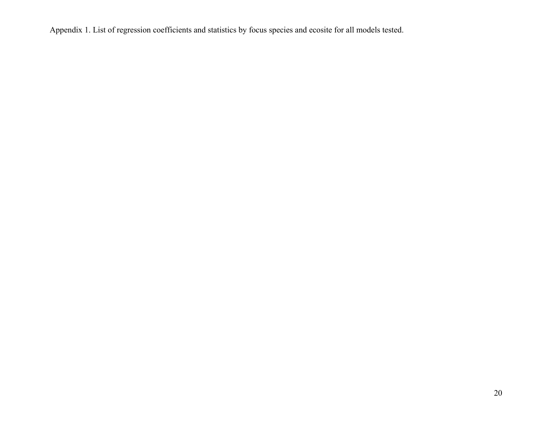Appendix 1. List of regression coefficients and statistics by focus species and ecosite for all models tested.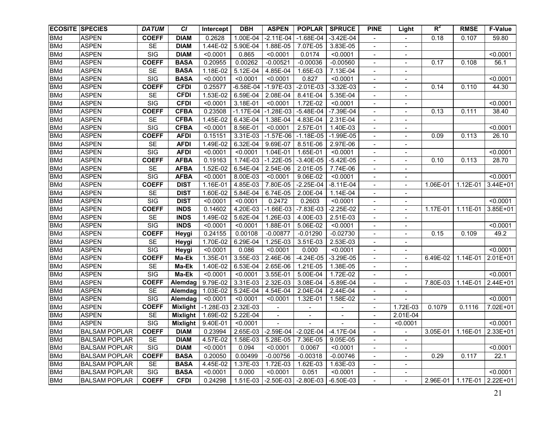| <b>ECOSITE SPECIES</b> |                       | <b>DATUM</b>            | <b>CI</b>   | Intercept   | <b>DBH</b>  | <b>ASPEN</b>             | <b>POPLAR</b>                            | <b>SPRUCE</b>          | <b>PINE</b>                  | Light                    | $R^2$        | <b>RMSE</b>                    | F-Value      |
|------------------------|-----------------------|-------------------------|-------------|-------------|-------------|--------------------------|------------------------------------------|------------------------|------------------------------|--------------------------|--------------|--------------------------------|--------------|
| <b>BMd</b>             | <b>ASPEN</b>          | <b>COEFF</b>            | <b>DIAM</b> | 0.2628      | 1.00E-04    | $-2.11E-04$              | $-1.68E - 04$                            | $-3.42E - 04$          |                              |                          | 0.18         | 0.107                          | 59.80        |
| <b>BMd</b>             | <b>ASPEN</b>          | <b>SE</b>               | <b>DIAM</b> | 1.44E-02    | 5.90E-04    | 1.88E-05                 | 7.07E-05                                 | 3.83E-05               | $\blacksquare$               | $\sim$                   |              |                                |              |
| <b>BMd</b>             | <b>ASPEN</b>          | SIG                     | <b>DIAM</b> | < 0.0001    | 0.865       | < 0.0001                 | 0.0174                                   | < 0.0001               | $\overline{\phantom{a}}$     |                          |              |                                | < 0.0001     |
| <b>BMd</b>             | <b>ASPEN</b>          | <b>COEFF</b>            | <b>BASA</b> | 0.20955     | 0.00262     | $-0.00521$               | $-0.00036$                               | $-0.00560$             | $\overline{\phantom{a}}$     | $\blacksquare$           | 0.17         | 0.108                          | 56.1         |
| <b>BMd</b>             | <b>ASPEN</b>          | <b>SE</b>               | <b>BASA</b> | 1.18E-02    | 5.12E-04    | 4.85E-04                 | 1.65E-03                                 | 7.13E-04               | $\overline{\phantom{a}}$     |                          |              |                                |              |
| <b>BMd</b>             | <b>ASPEN</b>          | SIG                     | <b>BASA</b> | < 0.0001    | < 0.0001    | < 0.0001                 | 0.827                                    | < 0.0001               | $\overline{\phantom{a}}$     | $\overline{\phantom{a}}$ |              |                                | < 0.0001     |
| <b>BMd</b>             | <b>ASPEN</b>          | <b>COEFF</b>            | <b>CFDI</b> | 0.25577     | $-6.58E-04$ | $-1.97E-03$              | $-2.01E-03$                              | $-3.32E-03$            | $\overline{\phantom{a}}$     |                          | 0.14         | 0.110                          | 44.30        |
| <b>BMd</b>             | <b>ASPEN</b>          | <b>SE</b>               | <b>CFDI</b> | 1.53E-02    | 6.59E-04    | 2.08E-04                 | 8.41E-04                                 | 5.35E-04               | $\blacksquare$               | $\blacksquare$           |              |                                |              |
| <b>BMd</b>             | <b>ASPEN</b>          | SIG                     | <b>CFDI</b> | < 0.0001    | 3.18E-01    | < 0.0001                 | 1.72E-02                                 | < 0.0001               | $\overline{\phantom{a}}$     | $\blacksquare$           |              |                                | < 0.0001     |
| <b>BMd</b>             | <b>ASPEN</b>          | <b>COEFF</b>            | <b>CFBA</b> | 0.23508     | $-1.17E-04$ | $-1.28E-03$              | $-5.48E-04$                              | $-7.39E - 04$          | $\overline{\phantom{a}}$     | $\overline{\phantom{a}}$ | 0.13         | 0.111                          | 38.40        |
| <b>BMd</b>             | <b>ASPEN</b>          | <b>SE</b>               | <b>CFBA</b> | 1.45E-02    | 6.43E-04    | 1.38E-04                 | 4.83E-04                                 | 2.31E-04               | $\overline{\phantom{a}}$     | $\overline{\phantom{a}}$ |              |                                |              |
| <b>BMd</b>             | <b>ASPEN</b>          | SIG                     | <b>CFBA</b> | < 0.0001    | 8.56E-01    | < 0.0001                 | 2.57E-01                                 | $\overline{1}$ .40E-03 | $\overline{\phantom{a}}$     | $\overline{\phantom{a}}$ |              |                                | < 0.0001     |
| <b>BMd</b>             | <b>ASPEN</b>          | <b>COEFF</b>            | <b>AFDI</b> | 0.15151     | 3.31E-03    | $-1.57E-06$              | $-1.18E-05$                              | $-1.99E-05$            | $\overline{\phantom{a}}$     |                          | 0.09         | 0.113                          | 26.10        |
| <b>BMd</b>             | <b>ASPEN</b>          | <b>SE</b>               | <b>AFDI</b> | 1.49E-02    | 6.32E-04    | 9.69E-07                 | 8.51E-06                                 | 2.97E-06               | $\overline{\phantom{a}}$     | $\overline{\phantom{a}}$ |              |                                |              |
| <b>BMd</b>             | <b>ASPEN</b>          | <b>SIG</b>              | <b>AFDI</b> | < 0.0001    | < 0.0001    | 1.04E-01                 | 1.65E-01                                 | < 0.0001               | $\overline{\phantom{a}}$     | $\overline{a}$           |              |                                | < 0.0001     |
| <b>BMd</b>             | <b>ASPEN</b>          | <b>COEFF</b>            | <b>AFBA</b> | 0.19163     | 1.74E-03    | $-1.22E-05$              | $-3.40E - 05$                            | $-5.42E-05$            | $\overline{\phantom{a}}$     |                          | 0.10         | 0.113                          | 28.70        |
| <b>BMd</b>             | <b>ASPEN</b>          | <b>SE</b>               | <b>AFBA</b> | 1.52E-02    | 6.54E-04    | 2.54E-06                 | 2.01E-05                                 | 7.74E-06               | $\overline{\phantom{0}}$     | $\overline{\phantom{a}}$ |              |                                |              |
| <b>BMd</b>             | <b>ASPEN</b>          | SIG                     | <b>AFBA</b> | < 0.0001    | 8.00E-03    | < 0.0001                 | 9.06E-02                                 | < 0.0001               | $\overline{\phantom{a}}$     |                          |              |                                | < 0.0001     |
| <b>BMd</b>             | <b>ASPEN</b>          | <b>COEFF</b>            | <b>DIST</b> | 1.16E-01    | 4.85E-03    | 7.80E-05                 | $-2.25E-04$                              | $-8.11E-04$            | $\overline{\phantom{a}}$     |                          | 1.06E-01     | 1.12E-01                       | $3.44E + 01$ |
| <b>BMd</b>             | <b>ASPEN</b>          | <b>SE</b>               | <b>DIST</b> | 1.60E-02    | 5.84E-04    | 6.74E-05                 | 2.00E-04                                 | 1.14E-04               | $\qquad \qquad \blacksquare$ |                          |              |                                |              |
| <b>BMd</b>             | <b>ASPEN</b>          | $\overline{\text{SIG}}$ | <b>DIST</b> | < 0.0001    | < 0.0001    | 0.2472                   | 0.2603                                   | < 0.0001               |                              |                          |              |                                | < 0.0001     |
| <b>BMd</b>             | <b>ASPEN</b>          | <b>COEFF</b>            | <b>INDS</b> | 0.14602     | 4.20E-03    | $-1.66E-03$              | $-7.83E-03$                              | $-2.25E-02$            |                              |                          | $1.17E - 01$ | 1.11E-01                       | 3.85E+01     |
| <b>BMd</b>             | <b>ASPEN</b>          | SE                      | <b>INDS</b> | 1.49E-02    | $5.62E-04$  | 1.26E-03                 | 4.00E-03                                 | $2.51E-03$             | $\overline{\phantom{a}}$     | $\blacksquare$           |              |                                |              |
| <b>BMd</b>             | <b>ASPEN</b>          | $\overline{\text{SIG}}$ | <b>INDS</b> | < 0.0001    | < 0.0001    | 1.88E-01                 | 5.06E-02                                 | < 0.0001               |                              |                          |              |                                | < 0.0001     |
| <b>BMd</b>             | <b>ASPEN</b>          | <b>COEFF</b>            | Heygi       | 0.24155     | 0.00108     | $-0.00877$               | $-0.01290$                               | $-0.02730$             |                              |                          | 0.15         | 0.109                          | 49.2         |
| <b>BMd</b>             | <b>ASPEN</b>          | SE                      | Heygi       | 1.70E-02    | 6.29E-04    | 1.25E-03                 | 3.51E-03                                 | 2.53E-03               |                              |                          |              |                                |              |
| <b>BMd</b>             | <b>ASPEN</b>          | SIG                     | Heygi       | < 0.0001    | 0.086       | < 0.0001                 | 0.000                                    | < 0.0001               |                              |                          |              |                                | < 0.0001     |
| <b>BMd</b>             | <b>ASPEN</b>          | <b>COEFF</b>            | Ma-Ek       | 1.35E-01    | 3.55E-03    | 2.46E-06                 | $-4.24E-05$                              | $-3.29E - 05$          | $\overline{\phantom{a}}$     |                          | 6.49E-02     | $1.14E-01$                     | $2.01E+01$   |
| <b>BMd</b>             | <b>ASPEN</b>          | <b>SE</b>               | Ma-Ek       | 1.40E-02    | $6.53E-04$  | 2.65E-06                 | 1.21E-05                                 | 1.38E-05               | $\overline{\phantom{a}}$     |                          |              |                                |              |
| <b>BMd</b>             | <b>ASPEN</b>          | $\overline{\text{SIG}}$ | Ma-Ek       | < 0.0001    | < 0.0001    | 3.55E-01                 | 5.00E-04                                 | 1.72E-02               | $\overline{\phantom{0}}$     |                          |              |                                | < 0.0001     |
| <b>BMd</b>             | <b>ASPEN</b>          | <b>COEFF</b>            | Alemdag     | 9.79E-02    | 3.31E-03    | 2.32E-03                 | 3.08E-04                                 | $-5.89E - 04$          | $\overline{\phantom{a}}$     |                          | 7.80E-03     | 1.14E-01                       | 2.44E+01     |
| <b>BMd</b>             | <b>ASPEN</b>          | <b>SE</b>               | Alemdag     | 1.03E-02    | 5.24E-04    | 4.54E-04                 | 2.04E-04                                 | 2.44E-04               | $\blacksquare$               | $\blacksquare$           |              |                                |              |
| <b>BMd</b>             | <b>ASPEN</b>          | SIG                     | Alemdag     | < 0.0001    | < 0.0001    | < 0.0001                 | 1.32E-01                                 | 1.58E-02               | $\overline{\phantom{a}}$     |                          |              |                                | < 0.0001     |
| <b>BMd</b>             | <b>ASPEN</b>          | <b>COEFF</b>            | Mixlight    | $-1.28E-03$ | 2.32E-03    | $\overline{\phantom{a}}$ |                                          |                        | $\overline{\phantom{a}}$     | 1.72E-03                 | 0.1079       | 0.1116                         | 7.02E+01     |
| <b>BMd</b>             | <b>ASPEN</b>          | <b>SE</b>               | Mixlight    | 1.69E-02    | 5.22E-04    | $\overline{\phantom{a}}$ |                                          |                        | $\overline{\phantom{a}}$     | 2.01E-04                 |              |                                |              |
| <b>BMd</b>             | <b>ASPEN</b>          | $\overline{\text{SIG}}$ | Mixlight    | 9.40E-01    | < 0.0001    |                          |                                          |                        | $\blacksquare$               | < 0.0001                 |              |                                | < 0.0001     |
| <b>BMd</b>             | <b>BALSAM POPLAR</b>  | <b>COEFF</b>            | <b>DIAM</b> | 0.23994     |             |                          | $2.65E-03$ -2.59E-04 -2.02E-04 -4.17E-04 |                        | $\blacksquare$               |                          |              | 3.05E-01   1.16E-01   2.33E+01 |              |
| <b>BMd</b>             | <b>BALSAM POPLAR</b>  | SE                      | <b>DIAM</b> | 4.57E-02    | 1.58E-03    | 5.28E-05                 | 7.36E-05                                 | 9.05E-05               | $\overline{\phantom{a}}$     | $\blacksquare$           |              |                                |              |
| <b>BMd</b>             | <b>BALSAM POPLAR</b>  | <b>SIG</b>              | <b>DIAM</b> | < 0.0001    | 0.094       | < 0.0001                 | 0.0067                                   | < 0.0001               | $\blacksquare$               | $\blacksquare$           |              |                                | < 0.0001     |
| <b>BMd</b>             | <b>BALSAM POPLAR</b>  | <b>COEFF</b>            | <b>BASA</b> | 0.20050     | 0.00499     | $-0.00756$               | $-0.00318$                               | $-0.00746$             | $\blacksquare$               | $\blacksquare$           | 0.29         | 0.117                          | 22.1         |
| <b>BMd</b>             | <b>BALSAM POPLAR</b>  | SE                      | <b>BASA</b> | 4.45E-02    | 1.37E-03    | 1.72E-03                 | 1.62E-03                                 | 1.63E-03               | $\blacksquare$               | $\blacksquare$           |              |                                |              |
| <b>BMd</b>             | <b>IBALSAM POPLAR</b> | SIG                     | <b>BASA</b> | < 0.0001    | 0.000       | < 0.0001                 | 0.051                                    | < 0.0001               | $\blacksquare$               | $\blacksquare$           |              |                                | < 0.0001     |
| <b>BMd</b>             | <b>BALSAM POPLAR</b>  | <b>COEFF</b>            | <b>CFDI</b> | 0.24298     | 1.51E-03    | $-2.50E-03$              | $-2.80E-03$                              | $-6.50E-03$            | $\blacksquare$               | $\blacksquare$           | 2.96E-01     | 1.17E-01                       | 2.22E+01     |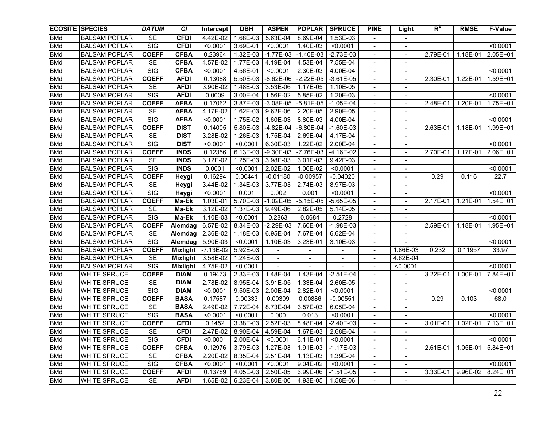|            | <b>ECOSITE SPECIES</b> | <b>DATUM</b>            | <b>CI</b>   | Intercept   | <b>DBH</b>   | <b>ASPEN</b>             | <b>POPLAR</b>            | <b>SPRUCE</b> | <b>PINE</b>                  | Light                        | $R^2$      | <b>RMSE</b>  | <b>F-Value</b> |
|------------|------------------------|-------------------------|-------------|-------------|--------------|--------------------------|--------------------------|---------------|------------------------------|------------------------------|------------|--------------|----------------|
| <b>BMd</b> | <b>BALSAM POPLAR</b>   | <b>SE</b>               | <b>CFDI</b> | 4.42E-02    | 1.68E-03     | 5.63E-04                 | 8.69E-04                 | 1.53E-03      |                              |                              |            |              |                |
| <b>BMd</b> | <b>BALSAM POPLAR</b>   | $\overline{\text{SIG}}$ | <b>CFDI</b> | < 0.0001    | 3.69E-01     | < 0.0001                 | 1.40E-03                 | < 0.0001      | $\overline{\phantom{a}}$     | $\blacksquare$               |            |              | < 0.0001       |
| <b>BMd</b> | <b>BALSAM POPLAR</b>   | <b>COEFF</b>            | <b>CFBA</b> | 0.23964     | 1.32E-03     | $-1.77E-03$              | $-1.40E-03$              | $-2.73E-03$   | $\overline{\phantom{a}}$     | $\blacksquare$               | 2.79E-01   | $1.18E - 01$ | 2.05E+01       |
| <b>BMd</b> | <b>BALSAM POPLAR</b>   | <b>SE</b>               | <b>CFBA</b> | 4.57E-02    | 1.77E-03     | 4.19E-04                 | $4.53E-04$               | 7.55E-04      | $\overline{\phantom{a}}$     | $\qquad \qquad \blacksquare$ |            |              |                |
| <b>BMd</b> | <b>BALSAM POPLAR</b>   | SIG                     | <b>CFBA</b> | < 0.0001    | 4.56E-01     | < 0.0001                 | 2.30E-03                 | 4.00E-04      | $\blacksquare$               | $\blacksquare$               |            |              | < 0.0001       |
| <b>BMd</b> | <b>BALSAM POPLAR</b>   | <b>COEFF</b>            | <b>AFDI</b> | 0.13088     | 5.50E-03     | $-8.62E-06$              | $-2.22E-05$              | $-3.61E-05$   | $\overline{\phantom{a}}$     | $\overline{\phantom{a}}$     | 2.30E-01   | 1.22E-01     | 1.59E+01       |
| <b>BMd</b> | <b>BALSAM POPLAR</b>   | <b>SE</b>               | <b>AFDI</b> | 3.90E-02    | 1.48E-03     | 3.53E-06                 | 1.17E-05                 | 1.10E-05      | $\overline{\phantom{a}}$     | $\overline{\phantom{a}}$     |            |              |                |
| <b>BMd</b> | <b>BALSAM POPLAR</b>   | $\overline{\text{SIG}}$ | <b>AFDI</b> | 0.0009      | 3.00E-04     | 1.56E-02                 | 5.85E-02                 | 1.20E-03      | $\overline{\phantom{a}}$     | $\blacksquare$               |            |              | < 0.0001       |
| <b>BMd</b> | <b>BALSAM POPLAR</b>   | <b>COEFF</b>            | <b>AFBA</b> | 0.17062     | 3.87E-03     | $-3.08E - 05$            | $-5.81E-05$              | $-1.05E-04$   | $\overline{\phantom{a}}$     | $\overline{\phantom{a}}$     | 2.48E-01   | $1.20E - 01$ | 1.75E+01       |
| <b>BMd</b> | <b>BALSAM POPLAR</b>   | <b>SE</b>               | <b>AFBA</b> | 4.17E-02    | 1.62E-03     | 9.62E-06                 | 2.20E-05                 | 2.90E-05      | $\overline{\phantom{a}}$     | $\overline{\phantom{a}}$     |            |              |                |
| <b>BMd</b> | <b>BALSAM POPLAR</b>   | SIG                     | <b>AFBA</b> | < 0.0001    | $1.75E - 02$ | 1.60E-03                 | 8.80E-03                 | $4.00E-04$    | $\overline{\phantom{a}}$     | $\overline{\phantom{a}}$     |            |              | < 0.0001       |
| <b>BMd</b> | <b>BALSAM POPLAR</b>   | <b>COEFF</b>            | <b>DIST</b> | 0.14005     | 5.80E-03     | $-4.82E-04$              | $-6.80E - 04$            | $-1.60E-03$   | $\overline{\phantom{a}}$     | $\overline{\phantom{a}}$     | 2.63E-01   | 1.18E-01     | 1.99E+01       |
| <b>BMd</b> | <b>BALSAM POPLAR</b>   | <b>SE</b>               | <b>DIST</b> | 3.28E-02    | 1.26E-03     | 1.75E-04                 | 2.69E-04                 | 4.17E-04      | $\overline{\phantom{a}}$     |                              |            |              |                |
| <b>BMd</b> | <b>BALSAM POPLAR</b>   | $\overline{\text{SIG}}$ | <b>DIST</b> | < 0.0001    | < 0.0001     | 6.30E-03                 | 1.22E-02                 | 2.00E-04      | $\overline{\phantom{a}}$     | $\overline{\phantom{a}}$     |            |              | < 0.0001       |
| <b>BMd</b> | <b>BALSAM POPLAR</b>   | <b>COEFF</b>            | <b>INDS</b> | 0.12356     | 6.13E-03     | $-9.30E-03$              | $-7.76E-03$              | $-4.16E-02$   | $\overline{\phantom{a}}$     | $\sim$                       | 2.70E-01   | 1.17E-01     | 2.06E+01       |
| <b>BMd</b> | <b>BALSAM POPLAR</b>   | <b>SE</b>               | <b>INDS</b> | 3.12E-02    | 1.25E-03     | 3.98E-03                 | 3.01E-03                 | 9.42E-03      |                              | $\overline{\phantom{a}}$     |            |              |                |
| <b>BMd</b> | <b>BALSAM POPLAR</b>   | $\overline{\text{SIG}}$ | <b>INDS</b> | 0.0001      | < 0.0001     | 2.02E-02                 | 1.06E-02                 | < 0.0001      | $\overline{\phantom{a}}$     | $\overline{\phantom{a}}$     |            |              | < 0.0001       |
| <b>BMd</b> | <b>BALSAM POPLAR</b>   | <b>COEFF</b>            | Heygi       | 0.16294     | 0.00441      | $-0.01180$               | $-0.00957$               | $-0.04020$    | $\overline{\phantom{a}}$     |                              | 0.29       | 0.116        | 22.7           |
| <b>BMd</b> | <b>BALSAM POPLAR</b>   | SE                      | Heygi       | 3.44E-02    | 1.34E-03     | 3.77E-03                 | 2.74E-03                 | 8.97E-03      | $\qquad \qquad \blacksquare$ | $\overline{\phantom{0}}$     |            |              |                |
| <b>BMd</b> | <b>BALSAM POPLAR</b>   | SIG                     | Heygi       | < 0.0001    | 0.001        | 0.002                    | 0.001                    | < 0.0001      | $\overline{\phantom{a}}$     | $\blacksquare$               |            |              | < 0.0001       |
| <b>BMd</b> | <b>BALSAM POPLAR</b>   | <b>COEFF</b>            | Ma-Ek       | 1.03E-01    | 5.70E-03     | $-1.02E-05$              | $-5.15E-05$              | $-5.65E-05$   | $\overline{a}$               | $\overline{a}$               | $2.17E-01$ | $1.21E-01$   | 1.54E+01       |
| <b>BMd</b> | <b>BALSAM POPLAR</b>   | SE                      | Ma-Ek       | 3.12E-02    | 1.37E-03     | 9.49E-06                 | 2.82E-05                 | 5.14E-05      |                              |                              |            |              |                |
| <b>BMd</b> | <b>BALSAM POPLAR</b>   | $\overline{\text{SIG}}$ | Ma-Ek       | 1.10E-03    | < 0.0001     | 0.2863                   | 0.0684                   | 0.2728        |                              |                              |            |              | < 0.0001       |
| <b>BMd</b> | <b>BALSAM POPLAR</b>   | <b>COEFF</b>            | Alemdag     | 6.57E-02    | 8.34E-03     | $-2.29E-03$              | 7.60E-04                 | $-1.98E-03$   |                              |                              | 2.59E-01   | 1.18E-01     | 1.95E+01       |
| <b>BMd</b> | <b>BALSAM POPLAR</b>   | SE                      | Alemdag     | 2.36E-02    | 1.18E-03     | 6.95E-04                 | 7.67E-04                 | 6.62E-04      | $\overline{\phantom{a}}$     |                              |            |              |                |
| <b>BMd</b> | <b>BALSAM POPLAR</b>   | $\overline{\text{SIG}}$ | Alemdag     | 5.90E-03    | < 0.0001     | 1.10E-03                 | 3.23E-01                 | $3.10E-03$    | $\overline{\phantom{a}}$     |                              |            |              | < 0.0001       |
| <b>BMd</b> | <b>BALSAM POPLAR</b>   | <b>COEFF</b>            | Mixlight    | $-7.13E-02$ | 5.92E-03     | $\overline{\phantom{a}}$ | $\overline{\phantom{a}}$ |               | $\overline{\phantom{0}}$     | 1.86E-03                     | 0.232      | 0.11957      | 33.97          |
| <b>BMd</b> | <b>BALSAM POPLAR</b>   | <b>SE</b>               | Mixlight    | 3.58E-02    | 1.24E-03     | $\blacksquare$           |                          |               | $\overline{\phantom{a}}$     | 4.62E-04                     |            |              |                |
| <b>BMd</b> | <b>BALSAM POPLAR</b>   | SIG                     | Mixlight    | 4.75E-02    | < 0.0001     |                          |                          |               | $\overline{\phantom{a}}$     | < 0.0001                     |            |              | < 0.0001       |
| <b>BMd</b> | <b>WHITE SPRUCE</b>    | <b>COEFF</b>            | <b>DIAM</b> | 0.19473     | 2.33E-03     | 1.48E-04                 | 1.43E-04                 | $-2.51E-04$   | $\overline{\phantom{0}}$     | $\overline{\phantom{0}}$     | 3.22E-01   | 1.00E-01     | 7.84E+01       |
| <b>BMd</b> | <b>WHITE SPRUCE</b>    | <b>SE</b>               | <b>DIAM</b> | 2.78E-02    | 8.95E-04     | 3.91E-05                 | 1.33E-04                 | 2.60E-05      | $\overline{\phantom{a}}$     | $\blacksquare$               |            |              |                |
| <b>BMd</b> | <b>WHITE SPRUCE</b>    | $\overline{\text{SIG}}$ | <b>DIAM</b> | < 0.0001    | 9.50E-03     | 2.00E-04                 | 2.82E-01                 | < 0.0001      | $\overline{\phantom{a}}$     | $\qquad \qquad \blacksquare$ |            |              | < 0.0001       |
| <b>BMd</b> | <b>WHITE SPRUCE</b>    | <b>COEFF</b>            | <b>BASA</b> | 0.17587     | 0.00333      | 0.00309                  | 0.00886                  | $-0.00551$    | $\overline{\phantom{a}}$     |                              | 0.29       | 0.103        | 68.0           |
| <b>BMd</b> | <b>WHITE SPRUCE</b>    | <b>SE</b>               | <b>BASA</b> | 2.49E-02    | 7.72E-04     | 8.73E-04                 | 3.57E-03                 | 6.05E-04      | $\overline{\phantom{a}}$     | $\qquad \qquad \blacksquare$ |            |              |                |
| <b>BMd</b> | WHITE SPRUCE           | SIG                     | <b>BASA</b> | < 0.0001    | < 0.0001     | 0.000                    | 0.013                    | < 0.0001      | $\overline{\phantom{a}}$     | $\qquad \qquad \blacksquare$ |            |              | < 0.0001       |
| <b>BMd</b> | <b>WHITE SPRUCE</b>    | <b>COEFF</b>            | <b>CFDI</b> | 0.1452      | 3.38E-03     | 2.52E-03                 | 8.48E-04                 | $-2.40E-03$   | $\overline{\phantom{a}}$     | $\overline{\phantom{a}}$     | 3.01E-01   | 1.02E-01     | 7.13E+01       |
| <b>BMd</b> | <b>WHITE SPRUCE</b>    | <b>SE</b>               | <b>CFDI</b> | 2.47E-02    | 8.90E-04     | 4.59E-04                 | 1.67E-03                 | 2.68E-04      |                              |                              |            |              |                |
| <b>BMd</b> | <b>WHITE SPRUCE</b>    | SIG                     | <b>CFDI</b> | < 0.0001    | 2.00E-04     | < 0.0001                 | 6.11E-01                 | < 0.0001      | $\blacksquare$               | $\overline{\phantom{a}}$     |            |              | < 0.0001       |
| <b>BMd</b> | <b>WHITE SPRUCE</b>    | <b>COEFF</b>            | <b>CFBA</b> | 0.12976     | 3.79E-03     | 1.27E-03                 | 1.91E-03                 | $-1.17E-03$   | $\overline{\phantom{a}}$     | $\overline{\phantom{a}}$     | 2.61E-01   | 1.05E-01     | 5.84E+01       |
| <b>BMd</b> | WHITE SPRUCE           | <b>SE</b>               | <b>CFBA</b> | 2.20E-02    | 8.35E-04     | 2.51E-04                 | 1.13E-03                 | 1.39E-04      | $\blacksquare$               | $\blacksquare$               |            |              |                |
| <b>BMd</b> | <b>WHITE SPRUCE</b>    | SIG                     | <b>CFBA</b> | < 0.0001    | < 0.0001     | < 0.0001                 | 9.04E-02                 | < 0.0001      | $\blacksquare$               | $\overline{\phantom{a}}$     |            |              | < 0.0001       |
| <b>BMd</b> | WHITE SPRUCE           | <b>COEFF</b>            | <b>AFDI</b> | 0.13789     | 4.05E-03     | 2.50E-05                 | 6.99E-06                 | $-1.51E-05$   | $\overline{\phantom{a}}$     | $\blacksquare$               | 3.33E-01   | 9.96E-02     | 8.24E+01       |
| <b>BMd</b> | <b>WHITE SPRUCE</b>    | SE                      | <b>AFDI</b> | 1.65E-02    | 6.23E-04     | 3.80E-06                 | 4.93E-05                 | 1.58E-06      | $\blacksquare$               | $\overline{\phantom{a}}$     |            |              |                |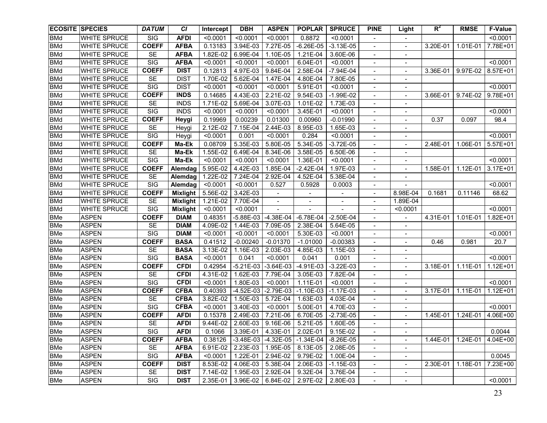|            | <b>ECOSITE SPECIES</b> | <b>DATUM</b>            | <b>CI</b>       | Intercept | <b>DBH</b>          | <b>ASPEN</b> | <b>POPLAR</b> | <b>SPRUCE</b> | <b>PINE</b>                  | Light                        | $R^2$        | <b>RMSE</b> | <b>F-Value</b> |
|------------|------------------------|-------------------------|-----------------|-----------|---------------------|--------------|---------------|---------------|------------------------------|------------------------------|--------------|-------------|----------------|
| <b>BMd</b> | <b>WHITE SPRUCE</b>    | SIG                     | <b>AFDI</b>     | < 0.0001  | < 0.0001            | < 0.0001     | 0.8872        | < 0.0001      |                              |                              |              |             | < 0.0001       |
| <b>BMd</b> | <b>WHITE SPRUCE</b>    | <b>COEFF</b>            | <b>AFBA</b>     | 0.13183   | 3.94E-03            | 7.27E-05     | $-6.26E - 05$ | $-3.13E-05$   | $\overline{\phantom{a}}$     | $\blacksquare$               | 3.20E-01     | 1.01E-01    | 7.78E+01       |
| <b>BMd</b> | <b>WHITE SPRUCE</b>    | <b>SE</b>               | <b>AFBA</b>     | 1.82E-02  | 6.99E-04            | 1.10E-05     | 1.21E-04      | 3.60E-06      | $\overline{\phantom{a}}$     |                              |              |             |                |
| <b>BMd</b> | WHITE SPRUCE           | SIG                     | <b>AFBA</b>     | < 0.0001  | < 0.0001            | < 0.0001     | 6.04E-01      | < 0.0001      | $\overline{\phantom{a}}$     | $\qquad \qquad \blacksquare$ |              |             | < 0.0001       |
| <b>BMd</b> | <b>WHITE SPRUCE</b>    | <b>COEFF</b>            | <b>DIST</b>     | 0.12813   | 4.97E-03            | 9.84E-04     | 2.58E-04      | $-7.94E-04$   | $\overline{\phantom{a}}$     | $\blacksquare$               | 3.36E-01     | 9.97E-02    | 8.57E+01       |
| <b>BMd</b> | <b>WHITE SPRUCE</b>    | <b>SE</b>               | <b>DIST</b>     | 1.70E-02  | 5.62E-04            | 1.47E-04     | 4.80E-04      | 7.80E-05      | $\overline{\phantom{a}}$     | $\overline{\phantom{a}}$     |              |             |                |
| <b>BMd</b> | <b>WHITE SPRUCE</b>    | $\overline{\text{SIG}}$ | <b>DIST</b>     | < 0.0001  | < 0.0001            | < 0.0001     | 5.91E-01      | < 0.0001      | $\overline{\phantom{a}}$     | $\blacksquare$               |              |             | < 0.0001       |
| <b>BMd</b> | WHITE SPRUCE           | <b>COEFF</b>            | <b>INDS</b>     | 0.14685   | 4.43E-03            | $2.21E-02$   | 9.54E-03      | $-1.99E-02$   | $\overline{\phantom{a}}$     | $\blacksquare$               | 3.66E-01     | 9.74E-02    | 9.78E+01       |
| <b>BMd</b> | WHITE SPRUCE           | <b>SE</b>               | <b>INDS</b>     | 1.71E-02  | 5.69E-04            | 3.07E-03     | 1.01E-02      | 1.73E-03      | $\overline{\phantom{a}}$     | $\overline{\phantom{a}}$     |              |             |                |
| <b>BMd</b> | WHITE SPRUCE           | $\overline{\text{SIG}}$ | <b>INDS</b>     | < 0.0001  | < 0.0001            | < 0.0001     | 3.45E-01      | < 0.0001      | $\overline{\phantom{a}}$     | $\overline{\phantom{a}}$     |              |             | < 0.0001       |
| <b>BMd</b> | <b>WHITE SPRUCE</b>    | <b>COEFF</b>            | Heygi           | 0.19969   | 0.00239             | 0.01300      | 0.00960       | $-0.01990$    | $\overline{\phantom{a}}$     | $\overline{\phantom{a}}$     | 0.37         | 0.097       | 98.4           |
| <b>BMd</b> | WHITE SPRUCE           | <b>SE</b>               | Heygi           | 2.12E-02  | 7.15E-04            | 2.44E-03     | 8.95E-03      | 1.65E-03      | $\overline{\phantom{a}}$     | $\overline{\phantom{a}}$     |              |             |                |
| <b>BMd</b> | <b>WHITE SPRUCE</b>    | <b>SIG</b>              | Heygi           | < 0.0001  | 0.001               | < 0.0001     | 0.284         | < 0.0001      | $\qquad \qquad -$            | $\overline{\phantom{a}}$     |              |             | < 0.0001       |
| <b>BMd</b> | <b>WHITE SPRUCE</b>    | <b>COEFF</b>            | Ma-Ek           | 0.08709   | 5.35E-03            | 5.80E-05     | 5.34E-05      | $-3.72E-05$   | $\overline{\phantom{a}}$     | $\overline{\phantom{a}}$     | 2.48E-01     | 1.06E-01    | 5.57E+01       |
| <b>BMd</b> | <b>WHITE SPRUCE</b>    | <b>SE</b>               | Ma-Ek           | 1.55E-02  | 6.49E-04            | 8.34E-06     | 3.58E-05      | 6.50E-06      | $\overline{\phantom{a}}$     | $\overline{\phantom{a}}$     |              |             |                |
| <b>BMd</b> | WHITE SPRUCE           | SIG                     | Ma-Ek           | < 0.0001  | < 0.0001            | < 0.0001     | 1.36E-01      | < 0.0001      | $\overline{\phantom{a}}$     | $\overline{\phantom{a}}$     |              |             | < 0.0001       |
| <b>BMd</b> | <b>WHITE SPRUCE</b>    | <b>COEFF</b>            | Alemdag         | 5.95E-02  | 4.42E-03            | 1.85E-04     | $-2.42E-04$   | 1.97E-03      | $\overline{\phantom{a}}$     | $\blacksquare$               | 1.58E-01     | 1.12E-01    | $3.17E + 01$   |
| <b>BMd</b> | <b>WHITE SPRUCE</b>    | <b>SE</b>               | Alemdag         | 1.22E-02  | 7.24E-04            | 2.92E-04     | 4.52E-04      | 5.38E-04      | $\qquad \qquad \blacksquare$ |                              |              |             |                |
| <b>BMd</b> | WHITE SPRUCE           | $\overline{\text{SIG}}$ | Alemdag         | < 0.0001  | < 0.0001            | 0.527        | 0.5928        | 0.0003        | $\qquad \qquad \blacksquare$ |                              |              |             | < 0.0001       |
| <b>BMd</b> | <b>WHITE SPRUCE</b>    | <b>COEFF</b>            | <b>Mixlight</b> | 5.56E-02  | 3.42E-03            |              |               |               | $\overline{\phantom{a}}$     | 8.98E-04                     | 0.1681       | 0.11146     | 68.62          |
| <b>BMd</b> | <b>WHITE SPRUCE</b>    | <b>SE</b>               | <b>Mixlight</b> | 1.21E-02  | 7.70E-04            |              |               |               |                              | 1.89E-04                     |              |             |                |
| <b>BMd</b> | WHITE SPRUCE           | $\overline{\text{SIG}}$ | <b>Mixlight</b> | < 0.0001  | < 0.0001            |              |               |               |                              | < 0.0001                     |              |             | < 0.0001       |
| <b>BMe</b> | <b>ASPEN</b>           | <b>COEFF</b>            | <b>DIAM</b>     | 0.48351   | $-5.88E-03$         | $-4.38E-04$  | $-6.78E-04$   | $-2.50E-04$   | $\overline{\phantom{a}}$     | $\sim$                       | $4.31E - 01$ | 1.01E-01    | 1.82E+01       |
| <b>BMe</b> | <b>ASPEN</b>           | <b>SE</b>               | <b>DIAM</b>     | 4.09E-02  | 1.44E-03            | 7.09E-05     | 2.38E-04      | 5.64E-05      |                              |                              |              |             |                |
| <b>BMe</b> | <b>ASPEN</b>           | $\overline{\text{SIG}}$ | <b>DIAM</b>     | < 0.0001  | < 0.0001            | < 0.0001     | 5.30E-03      | < 0.0001      |                              |                              |              |             | < 0.0001       |
| <b>BMe</b> | <b>ASPEN</b>           | <b>COEFF</b>            | <b>BASA</b>     | 0.41512   | $-0.00240$          | $-0.01370$   | $-1.01000$    | $-0.00383$    | $\overline{\phantom{0}}$     |                              | 0.46         | 0.981       | 20.7           |
| <b>BMe</b> | <b>ASPEN</b>           | <b>SE</b>               | <b>BASA</b>     | 3.13E-02  | 1.16E-03            | 2.03E-03     | 4.85E-03      | 1.15E-03      | $\overline{a}$               |                              |              |             |                |
| <b>BMe</b> | <b>ASPEN</b>           | $\overline{\text{SIG}}$ | <b>BASA</b>     | < 0.0001  | 0.041               | < 0.0001     | 0.041         | 0.001         | $\overline{\phantom{0}}$     |                              |              |             | < 0.0001       |
| <b>BMe</b> | <b>ASPEN</b>           | <b>COEFF</b>            | <b>CFDI</b>     | 0.42954   | $-5.21E-03$         | $-3.64E-03$  | $-4.91E-03$   | $-3.22E-03$   | $\overline{\phantom{0}}$     | $\sim$                       | 3.18E-01     | 1.11E-01    | $1.12E + 01$   |
| <b>BMe</b> | <b>ASPEN</b>           | <b>SE</b>               | <b>CFDI</b>     | 4.31E-02  | 1.62E-03            | 7.79E-04     | 3.05E-03      | 7.82E-04      | $\overline{\phantom{0}}$     | $\sim$                       |              |             |                |
| <b>BMe</b> | <b>ASPEN</b>           | SIG                     | <b>CFDI</b>     | < 0.0001  | 1.80E-03            | < 0.0001     | 1.11E-01      | < 0.0001      | $\overline{\phantom{a}}$     |                              |              |             | < 0.0001       |
| <b>BMe</b> | <b>ASPEN</b>           | <b>COEFF</b>            | <b>CFBA</b>     | 0.40393   | $-4.52E-03$         | $-2.79E-03$  | $-1.10E-03$   | $-1.17E-03$   | $\overline{\phantom{a}}$     | $\blacksquare$               | 3.17E-01     | 1.11E-01    | $1.12E + 01$   |
| <b>BMe</b> | <b>ASPEN</b>           | <b>SE</b>               | <b>CFBA</b>     | 3.82E-02  | 1.50E-03            | 5.72E-04     | 1.63E-03      | 4.03E-04      | $\overline{\phantom{a}}$     | $\blacksquare$               |              |             |                |
| <b>BMe</b> | <b>ASPEN</b>           | $\overline{\text{SIG}}$ | <b>CFBA</b>     | < 0.0001  | 3.40E-03            | < 0.0001     | 5.00E-01      | 4.70E-03      | $\overline{\phantom{a}}$     | $\qquad \qquad \blacksquare$ |              |             | < 0.0001       |
| <b>BMe</b> | <b>ASPEN</b>           | <b>COEFF</b>            | <b>AFDI</b>     | 0.15378   | 2.49E-03            | 7.21E-06     | 6.70E-05      | $-2.73E-05$   | $\blacksquare$               | $\blacksquare$               | 1.45E-01     | 1.24E-01    | 4.06E+00       |
| <b>BMe</b> | <b>ASPEN</b>           | <b>SE</b>               | <b>AFDI</b>     | 9.44E-02  | 2.60E-03            | 9.16E-06     | 5.21E-05      | $1.60E-05$    | $\overline{\phantom{a}}$     | $\blacksquare$               |              |             |                |
| <b>BMe</b> | <b>ASPEN</b>           | SIG                     | <b>AFDI</b>     | 0.1066    | 3.39E-01   4.33E-01 |              | 2.02E-01      | 9.15E-02      |                              |                              |              |             | 0.0044         |
| <b>BMe</b> | <b>ASPEN</b>           | <b>COEFF</b>            | <b>AFBA</b>     | 0.38126   | $-3.48E-03$         | $-4.32E-05$  | $-1.34E-04$   | $-8.26E-05$   | $\blacksquare$               | $\overline{\phantom{a}}$     | 1.44E-01     | 1.24E-01    | 4.04E+00       |
| <b>BMe</b> | <b>ASPEN</b>           | <b>SE</b>               | <b>AFBA</b>     | 6.91E-02  | 2.23E-03            | 1.95E-05     | 8.13E-05      | 2.08E-05      | $\overline{\phantom{a}}$     | $\overline{\phantom{a}}$     |              |             |                |
| <b>BMe</b> | <b>ASPEN</b>           | SIG                     | <b>AFBA</b>     | < 0.0001  | 1.22E-01            | 2.94E-02     | 9.79E-02      | 1.00E-04      | $\blacksquare$               | $\blacksquare$               |              |             | 0.0045         |
| <b>BMe</b> | <b>ASPEN</b>           | <b>COEFF</b>            | <b>DIST</b>     | 8.53E-02  | 4.06E-03            | 5.38E-04     | 2.06E-03      | $-1.15E-03$   | $\overline{\phantom{a}}$     | $\blacksquare$               | 2.30E-01     | 1.18E-01    | 7.23E+00       |
| <b>BMe</b> | <b>ASPEN</b>           | <b>SE</b>               | <b>DIST</b>     | 7.14E-02  | 1.95E-03            | 2.92E-04     | 9.32E-04      | 3.76E-04      | $\overline{\phantom{a}}$     | $\overline{\phantom{a}}$     |              |             |                |
| <b>BMe</b> | <b>ASPEN</b>           | SIG                     | <b>DIST</b>     | 2.35E-01  | 3.96E-02            | 6.84E-02     | 2.97E-02      | 2.80E-03      | $\blacksquare$               | $\overline{\phantom{a}}$     |              |             | < 0.0001       |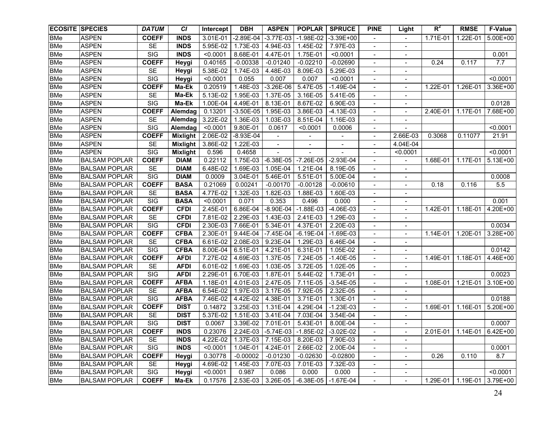| <b>ECOSITE SPECIES</b> |                      | <b>DATUM</b>            | <b>CI</b>       | Intercept | <b>DBH</b>  | <b>ASPEN</b>  | <b>POPLAR</b>                          | <b>SPRUCE</b>           | <b>PINE</b>                  | Light                        | $R^2$    | <b>RMSE</b>                | <b>F-Value</b> |
|------------------------|----------------------|-------------------------|-----------------|-----------|-------------|---------------|----------------------------------------|-------------------------|------------------------------|------------------------------|----------|----------------------------|----------------|
| <b>BMe</b>             | <b>ASPEN</b>         | <b>COEFF</b>            | <b>INDS</b>     | 3.01E-01  | $-2.89E-04$ | $-3.77E-03$   | $-1.98E-02$                            | $-3.39E + 00$           |                              |                              | 1.71E-01 | 1.22E-01                   | 5.00E+00       |
| <b>BMe</b>             | <b>ASPEN</b>         | <b>SE</b>               | <b>INDS</b>     | 5.95E-02  | 1.73E-03    | 4.94E-03      | 1.45E-02                               | 7.97E-03                | $\blacksquare$               | $\blacksquare$               |          |                            |                |
| <b>BMe</b>             | <b>ASPEN</b>         | SIG                     | <b>INDS</b>     | < 0.0001  | 8.68E-01    | 4.47E-01      | 1.75E-01                               | < 0.0001                | $\overline{\phantom{a}}$     | $\blacksquare$               |          |                            | 0.001          |
| <b>BMe</b>             | <b>ASPEN</b>         | <b>COEFF</b>            | Heygi           | 0.40165   | $-0.00338$  | $-0.01240$    | $-0.02210$                             | $-0.02690$              | $\overline{\phantom{a}}$     | $\blacksquare$               | 0.24     | 0.117                      | 7.7            |
| <b>BMe</b>             | <b>ASPEN</b>         | <b>SE</b>               | Heygi           | 5.38E-02  | 1.74E-03    | 4.48E-03      | 8.09E-03                               | 5.29E-03                | $\overline{\phantom{a}}$     |                              |          |                            |                |
| <b>BMe</b>             | <b>ASPEN</b>         | $\overline{\text{SIG}}$ | Heygi           | < 0.0001  | 0.055       | 0.007         | 0.007                                  | < 0.0001                | $\overline{\phantom{a}}$     | $\blacksquare$               |          |                            | < 0.0001       |
| <b>BMe</b>             | <b>ASPEN</b>         | <b>COEFF</b>            | Ma-Ek           | 0.20519   | 1.48E-03    | $-3.26E-06$   | 5.47E-05                               | $-1.49E-04$             | $\overline{\phantom{a}}$     | $\blacksquare$               | 1.22E-01 | 1.26E-01                   | 3.36E+00       |
| <b>BMe</b>             | <b>ASPEN</b>         | <b>SE</b>               | Ma-Ek           | 5.13E-02  | 1.95E-03    | 1.37E-05      | 3.16E-05                               | 5.41E-05                | $\blacksquare$               | $\overline{\phantom{a}}$     |          |                            |                |
| <b>BMe</b>             | <b>ASPEN</b>         | SIG                     | Ma-Ek           | 1.00E-04  | 4.49E-01    | 8.13E-01      | 8.67E-02                               | 6.90E-03                | $\overline{\phantom{a}}$     | $\overline{\phantom{a}}$     |          |                            | 0.0128         |
| <b>BMe</b>             | <b>ASPEN</b>         | <b>COEFF</b>            | Alemdag         | 0.13201   | $-3.50E-05$ | 1.95E-03      | 3.86E-03                               | $-4.13E-03$             | $\overline{\phantom{a}}$     | $\overline{\phantom{a}}$     | 2.40E-01 | 1.17E-01                   | 7.68E+00       |
| <b>BMe</b>             | <b>ASPEN</b>         | <b>SE</b>               | Alemdag         | 3.22E-02  | 1.36E-03    | 1.03E-03      | 8.51E-04                               | 1.16E-03                | $\overline{\phantom{a}}$     | $\overline{\phantom{a}}$     |          |                            |                |
| <b>BMe</b>             | <b>ASPEN</b>         | $\overline{\text{SIG}}$ | Alemdag         | < 0.0001  | 9.80E-01    | 0.0617        | < 0.0001                               | 0.0006                  | $\overline{\phantom{a}}$     |                              |          |                            | < 0.0001       |
| <b>BMe</b>             | <b>ASPEN</b>         | <b>COEFF</b>            | Mixlight        | 2.06E-02  | $-8.93E-04$ |               |                                        |                         | -                            | 2.66E-03                     | 0.3068   | 0.11077                    | 21.91          |
| <b>BMe</b>             | <b>ASPEN</b>         | <b>SE</b>               | Mixlight        | 3.86E-02  | 1.22E-03    |               | $\overline{\phantom{a}}$               | $\blacksquare$          | $\overline{\phantom{a}}$     | 4.04E-04                     |          |                            |                |
| <b>BMe</b>             | <b>ASPEN</b>         | <b>SIG</b>              | <b>Mixlight</b> | 0.596     | 0.4658      |               |                                        |                         | $\overline{\phantom{0}}$     | < 0.0001                     |          |                            | < 0.0001       |
| <b>BMe</b>             | <b>BALSAM POPLAR</b> | <b>COEFF</b>            | <b>DIAM</b>     | 0.22112   | 1.75E-03    | $-6.38E - 05$ | $-7.26E-05$                            | $-2.93E-04$             | $\overline{\phantom{a}}$     |                              | 1.68E-01 | 1.17E-01                   | 5.13E+00       |
| <b>BMe</b>             | <b>BALSAM POPLAR</b> | <b>SE</b>               | <b>DIAM</b>     | 6.48E-02  | 1.69E-03    | 1.05E-04      | 1.21E-04                               | 8.19E-05                | $\overline{\phantom{a}}$     | $\overline{\phantom{a}}$     |          |                            |                |
| <b>BMe</b>             | <b>BALSAM POPLAR</b> | SIG                     | <b>DIAM</b>     | 0.0009    | 3.04E-01    | 5.46E-01      | 5.51E-01                               | 5.00E-04                | $\overline{\phantom{a}}$     | $\overline{\phantom{a}}$     |          |                            | 0.0008         |
| <b>BMe</b>             | <b>BALSAM POPLAR</b> | <b>COEFF</b>            | <b>BASA</b>     | 0.21069   | 0.00241     | $-0.00170$    | $-0.00128$                             | $-0.00610$              | $\qquad \qquad \blacksquare$ |                              | 0.18     | 0.116                      | 5.5            |
| <b>BMe</b>             | <b>BALSAM POPLAR</b> | <b>SE</b>               | <b>BASA</b>     | 4.77E-02  | 1.32E-03    | 1.82E-03      | 1.88E-03                               | 1.60E-03                |                              |                              |          |                            |                |
| <b>BMe</b>             | <b>BALSAM POPLAR</b> | SIG                     | <b>BASA</b>     | < 0.0001  | 0.071       | 0.353         | 0.496                                  | 0.000                   |                              |                              |          |                            | 0.001          |
| <b>BMe</b>             | <b>BALSAM POPLAR</b> | <b>COEFF</b>            | <b>CFDI</b>     | 2.45E-01  | 6.86E-04    | $-8.90E-04$   | $-1.88E-03$                            | $-4.06E-03$             |                              |                              | 1.42E-01 | 1.18E-01                   | 4.20E+00       |
| <b>BMe</b>             | <b>BALSAM POPLAR</b> | SE                      | <b>CFDI</b>     | 7.81E-02  | 2.29E-03    | 1.43E-03      | 2.41E-03                               | 1.29E-03                | $\overline{\phantom{a}}$     | $\blacksquare$               |          |                            |                |
| <b>BMe</b>             | <b>BALSAM POPLAR</b> | $\overline{\text{SIG}}$ | <b>CFDI</b>     | 2.30E-03  | 7.66E-01    | 5.34E-01      | 4.37E-01                               | 2.20E-03                | $\overline{\phantom{a}}$     |                              |          |                            | 0.0034         |
| <b>BMe</b>             | <b>BALSAM POPLAR</b> | <b>COEFF</b>            | <b>CFBA</b>     | 2.30E-01  | 9.44E-04    | $-7.45E-04$   | $-6.19E-04$                            | $-1.69E-03$             |                              |                              | 1.14E-01 | 1.20E-01                   | 3.28E+00       |
| <b>BMe</b>             | <b>BALSAM POPLAR</b> | <b>SE</b>               | <b>CFBA</b>     | 6.61E-02  | 2.08E-03    | 9.23E-04      | 1.29E-03                               | 6.46E-04                | $\overline{\phantom{a}}$     | $\qquad \qquad \blacksquare$ |          |                            |                |
| <b>BMe</b>             | <b>BALSAM POPLAR</b> | SIG                     | <b>CFBA</b>     | 8.00E-04  | 6.51E-01    | 4.21E-01      | 6.31E-01                               | 1.05E-02                | $\overline{\phantom{a}}$     |                              |          |                            | 0.0142         |
| <b>BMe</b>             | <b>BALSAM POPLAR</b> | <b>COEFF</b>            | <b>AFDI</b>     | 7.27E-02  | 4.69E-03    | 1.37E-05      | 7.24E-05                               | $-1.40E-05$             | $\overline{\phantom{0}}$     |                              | 1.49E-01 | $1.18E - 01$               | 4.46E+00       |
| <b>BMe</b>             | <b>BALSAM POPLAR</b> | SE                      | <b>AFDI</b>     | 6.01E-02  | 1.69E-03    | 1.03E-05      | 3.72E-05                               | 1.02E-05                | $\overline{\phantom{0}}$     |                              |          |                            |                |
| <b>BMe</b>             | <b>BALSAM POPLAR</b> | $\overline{\text{SIG}}$ | <b>AFDI</b>     | 2.29E-01  | 6.70E-03    | 1.87E-01      | 5.44E-02                               | 1.73E-01                | $\overline{\phantom{0}}$     |                              |          |                            | 0.0023         |
| <b>BMe</b>             | <b>BALSAM POPLAR</b> | <b>COEFF</b>            | <b>AFBA</b>     | 1.18E-01  | 4.01E-03    | 2.47E-05      | 7.11E-05                               | $-3.54E-05$             | $\overline{\phantom{0}}$     |                              | 1.08E-01 | 1.21E-01                   | 3.10E+00       |
| <b>BMe</b>             | <b>BALSAM POPLAR</b> | <b>SE</b>               | <b>AFBA</b>     | 6.54E-02  | 1.97E-03    | 3.17E-05      | 7.92E-05                               | 2.32E-05                | $\overline{\phantom{0}}$     | $\blacksquare$               |          |                            |                |
| <b>BMe</b>             | <b>BALSAM POPLAR</b> | SIG                     | <b>AFBA</b>     | 7.46E-02  | 4.42E-02    | 4.38E-01      | 3.71E-01                               | 1.30E-01                | $\overline{\phantom{a}}$     | $\blacksquare$               |          |                            | 0.0188         |
| <b>BMe</b>             | <b>BALSAM POPLAR</b> | <b>COEFF</b>            | <b>DIST</b>     | 0.14872   | 3.25E-03    | 1.31E-04      | 4.29E-04                               | $-1.23E-03$             | $\overline{\phantom{a}}$     | $\blacksquare$               | 1.69E-01 | 1.16E-01                   | 5.20E+00       |
| <b>BMe</b>             | <b>BALSAM POPLAR</b> | <b>SE</b>               | <b>DIST</b>     | 5.37E-02  | 1.51E-03    | 3.41E-04      | 7.03E-04                               | 3.54E-04                | $\overline{\phantom{a}}$     |                              |          |                            |                |
| <b>BMe</b>             | <b>BALSAM POPLAR</b> | $\overline{\text{SIG}}$ | <b>DIST</b>     | 0.0067    | $3.39E-02$  | 7.01E-01      | $5.43E-01$                             | 8.00E-04                | $\blacksquare$               | $\qquad \qquad \blacksquare$ |          |                            | 0.0007         |
| BMe                    | <b>BALSAM POPLAR</b> | <b>COEFF</b>            | <b>INDS</b>     | 0.23076   |             |               | 2.24E-03 -5.74E-03 -1.85E-02 -3.02E-02 |                         |                              |                              |          | 2.01E-01 1.14E-01 6.42E+00 |                |
| <b>BMe</b>             | <b>BALSAM POPLAR</b> | SE                      | <b>INDS</b>     | 4.22E-02  | 1.37E-03    | 7.15E-03      | 8.20E-03                               | 7.90E-03                | $\blacksquare$               | $\overline{\phantom{a}}$     |          |                            |                |
| <b>BMe</b>             | <b>BALSAM POPLAR</b> | SIG                     | <b>INDS</b>     | < 0.0001  | 1.04E-01    | 4.24E-01      | 2.66E-02                               | 2.00E-04                | $\blacksquare$               | $\blacksquare$               |          |                            | 0.0001         |
| <b>BMe</b>             | <b>BALSAM POPLAR</b> | <b>COEFF</b>            | Heygi           | 0.30778   | $-0.00002$  | $-0.01230$    | $-0.02630$                             | $-0.02800$              | $\blacksquare$               | $\blacksquare$               | 0.26     | 0.110                      | 8.7            |
| <b>BMe</b>             | <b>BALSAM POPLAR</b> | SE                      | Heygi           | 4.69E-02  | 1.45E-03    | 7.07E-03      | 7.01E-03                               | 7.32E-03                | $\blacksquare$               | $\blacksquare$               |          |                            |                |
| <b>BMe</b>             | BALSAM POPLAR        | SIG                     | Heygi           | < 0.0001  | 0.987       | 0.086         | 0.000                                  | 0.000                   | $\blacksquare$               | $\blacksquare$               |          |                            | < 0.0001       |
| <b>BMe</b>             | <b>BALSAM POPLAR</b> | <b>COEFF</b>            | Ma-Ek           | 0.17576   | 2.53E-03    | 3.26E-05      |                                        | $-6.38E - 05$ -1.67E-04 | $\blacksquare$               | $\blacksquare$               | 1.29E-01 | 1.19E-01                   | 3.79E+00       |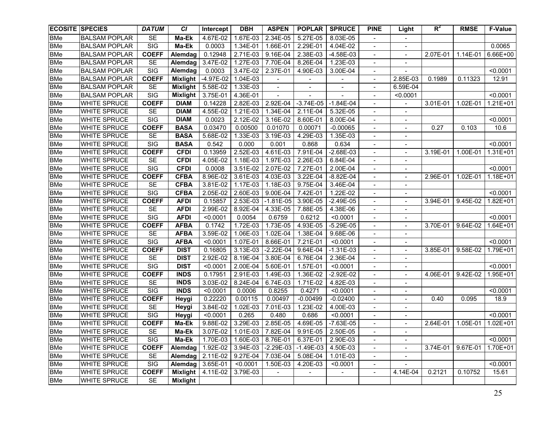| <b>ECOSITE SPECIES</b> |                      | <b>DATUM</b>            | <b>CI</b>       | Intercept   | <b>DBH</b>                     | <b>ASPEN</b>             | <b>POPLAR</b>            | <b>SPRUCE</b>            | <b>PINE</b>                  | Light                        | $R^2$    | <b>RMSE</b> | <b>F-Value</b> |
|------------------------|----------------------|-------------------------|-----------------|-------------|--------------------------------|--------------------------|--------------------------|--------------------------|------------------------------|------------------------------|----------|-------------|----------------|
| <b>BMe</b>             | <b>BALSAM POPLAR</b> | <b>SE</b>               | Ma-Ek           | 4.67E-02    | 1.67E-03                       | 2.34E-05                 | 5.27E-05                 | 8.03E-05                 | $\blacksquare$               |                              |          |             |                |
| <b>BMe</b>             | <b>BALSAM POPLAR</b> | SIG                     | Ma-Ek           | 0.0003      | 1.34E-01                       | 1.66E-01                 | 2.29E-01                 | 4.04E-02                 | $\overline{\phantom{a}}$     | $\blacksquare$               |          |             | 0.0065         |
| <b>BMe</b>             | <b>BALSAM POPLAR</b> | <b>COEFF</b>            | Alemdag         | 0.12948     | 2.71E-03                       | 9.16E-04                 | 2.38E-03                 | -4.58E-03                | $\overline{\phantom{a}}$     | $\blacksquare$               | 2.07E-01 | 1.14E-01    | 6.66E+00       |
| <b>BMe</b>             | <b>BALSAM POPLAR</b> | <b>SE</b>               | Alemdag         | 3.47E-02    | 1.27E-03                       | 7.70E-04                 | 8.26E-04                 | 1.23E-03                 | $\overline{\phantom{a}}$     | $\qquad \qquad \blacksquare$ |          |             |                |
| <b>BMe</b>             | <b>BALSAM POPLAR</b> | SIG                     | Alemdag         | 0.0003      | 3.47E-02                       | 2.37E-01                 | 4.90E-03                 | 3.00E-04                 | $\overline{\phantom{a}}$     |                              |          |             | < 0.0001       |
| <b>BMe</b>             | <b>BALSAM POPLAR</b> | <b>COEFF</b>            | Mixlight        | $-4.97E-02$ | 1.04E-03                       |                          |                          |                          | $\overline{\phantom{a}}$     | 2.85E-03                     | 0.1989   | 0.11323     | 12.91          |
| <b>BMe</b>             | <b>BALSAM POPLAR</b> | <b>SE</b>               | <b>Mixlight</b> | 5.58E-02    | 1.33E-03                       | $\overline{\phantom{a}}$ | $\overline{\phantom{a}}$ | $\overline{\phantom{a}}$ | $\overline{\phantom{a}}$     | 6.59E-04                     |          |             |                |
| <b>BMe</b>             | <b>BALSAM POPLAR</b> | $\overline{\text{SIG}}$ | <b>Mixlight</b> | 3.75E-01    | 4.36E-01                       | $\overline{\phantom{a}}$ |                          |                          | $\overline{\phantom{a}}$     | < 0.0001                     |          |             | < 0.0001       |
| <b>BMe</b>             | WHITE SPRUCE         | <b>COEFF</b>            | <b>DIAM</b>     | 0.14228     | 2.82E-03                       | 2.92E-04                 | $-3.74E-05$              | $-1.84E-04$              | $\overline{\phantom{a}}$     |                              | 3.01E-01 | 1.02E-01    | $1.21E + 01$   |
| <b>BMe</b>             | WHITE SPRUCE         | <b>SE</b>               | <b>DIAM</b>     | 4.55E-02    | 1.21E-03                       | 1.34E-04                 | 2.11E-04                 | 5.32E-05                 | $\overline{\phantom{a}}$     | $\overline{\phantom{a}}$     |          |             |                |
| <b>BMe</b>             | WHITE SPRUCE         | $\overline{\text{SIG}}$ | <b>DIAM</b>     | 0.0023      | 2.12E-02                       | 3.16E-02                 | 8.60E-01                 | 8.00E-04                 | $\overline{\phantom{a}}$     | $\overline{\phantom{a}}$     |          |             | < 0.0001       |
| <b>BMe</b>             | WHITE SPRUCE         | <b>COEFF</b>            | <b>BASA</b>     | 0.03470     | 0.00500                        | 0.01070                  | 0.00071                  | $-0.00065$               | $\overline{\phantom{a}}$     | $\overline{\phantom{a}}$     | 0.27     | 0.103       | 10.6           |
| <b>BMe</b>             | <b>WHITE SPRUCE</b>  | <b>SE</b>               | <b>BASA</b>     | 5.68E-02    | 1.33E-03                       | 3.19E-03                 | 4.29E-03                 | 1.35E-03                 | $\qquad \qquad -$            | $\overline{\phantom{a}}$     |          |             |                |
| <b>BMe</b>             | WHITE SPRUCE         | SIG                     | <b>BASA</b>     | 0.542       | 0.000                          | 0.001                    | 0.868                    | 0.634                    | $\qquad \qquad -$            | $\overline{\phantom{a}}$     |          |             | < 0.0001       |
| <b>BMe</b>             | <b>WHITE SPRUCE</b>  | <b>COEFF</b>            | <b>CFDI</b>     | 0.13959     | 2.52E-03                       | 4.61E-03                 | 7.91E-04                 | $-2.68E-03$              | $\overline{\phantom{a}}$     | $\blacksquare$               | 3.19E-01 | 1.00E-01    | 1.31E+01       |
| <b>BMe</b>             | <b>WHITE SPRUCE</b>  | <b>SE</b>               | <b>CFDI</b>     | 4.05E-02    | 1.18E-03                       | 1.97E-03                 | 2.26E-03                 | 6.84E-04                 |                              | $\overline{\phantom{a}}$     |          |             |                |
| <b>BMe</b>             | WHITE SPRUCE         | $\overline{\text{SIG}}$ | <b>CFDI</b>     | 0.0008      | $3.51E-02$                     | 2.07E-02                 | 7.27E-01                 | 2.00E-04                 | $\overline{\phantom{a}}$     | $\overline{\phantom{a}}$     |          |             | < 0.0001       |
| <b>BMe</b>             | WHITE SPRUCE         | <b>COEFF</b>            | <b>CFBA</b>     | 8.96E-02    | 3.61E-03                       | 4.03E-03                 | 3.22E-04                 | $-8.82E-04$              | $\overline{\phantom{a}}$     |                              | 2.96E-01 | 1.02E-01    | 1.18E+01       |
| <b>BMe</b>             | <b>WHITE SPRUCE</b>  | SE                      | <b>CFBA</b>     | 3.81E-02    | 1.17E-03                       | 1.18E-03                 | 9.75E-04                 | 3.46E-04                 | $\qquad \qquad \blacksquare$ | $\overline{\phantom{0}}$     |          |             |                |
| <b>BMe</b>             | <b>WHITE SPRUCE</b>  | SIG                     | <b>CFBA</b>     | 2.05E-02    | 2.60E-03                       | 9.00E-04                 | 7.42E-01                 | 1.22E-02                 | $\overline{\phantom{a}}$     |                              |          |             | < 0.0001       |
| <b>BMe</b>             | <b>WHITE SPRUCE</b>  | <b>COEFF</b>            | <b>AFDI</b>     | 0.15857     | 2.53E-03                       | $-1.81E-05$              | 3.90E-05                 | $-2.49E-05$              | $\overline{a}$               |                              | 3.94E-01 | 9.45E-02    | 1.82E+01       |
| <b>BMe</b>             | <b>WHITE SPRUCE</b>  | SE                      | <b>AFDI</b>     | 2.99E-02    | 8.92E-04                       | 4.33E-05                 | 7.88E-05                 | 4.38E-06                 |                              |                              |          |             |                |
| <b>BMe</b>             | <b>WHITE SPRUCE</b>  | $\overline{\text{SIG}}$ | <b>AFDI</b>     | < 0.0001    | 0.0054                         | 0.6759                   | 0.6212                   | < 0.0001                 |                              |                              |          |             | < 0.0001       |
| <b>BMe</b>             | <b>WHITE SPRUCE</b>  | <b>COEFF</b>            | <b>AFBA</b>     | 0.1742      | 1.72E-03                       | 1.73E-05                 | 4.93E-05                 | $-5.29E-05$              |                              |                              | 3.70E-01 | 9.64E-02    | 1.64E+01       |
| <b>BMe</b>             | WHITE SPRUCE         | SE                      | <b>AFBA</b>     | 3.59E-02    | 1.06E-03                       | 1.02E-04                 | 1.38E-04                 | 9.68E-06                 |                              |                              |          |             |                |
| <b>BMe</b>             | WHITE SPRUCE         | $\overline{\text{SIG}}$ | <b>AFBA</b>     | < 0.0001    | 1.07E-01                       | 8.66E-01                 | 7.21E-01                 | < 0.0001                 | $\overline{\phantom{a}}$     |                              |          |             | < 0.0001       |
| <b>BMe</b>             | <b>WHITE SPRUCE</b>  | <b>COEFF</b>            | <b>DIST</b>     | 0.16805     | 3.13E-03                       | $-2.22E-04$              | 9.64E-04                 | $-1.31E-03$              | $\overline{a}$               | $\blacksquare$               | 3.85E-01 | 9.58E-02    | 1.79E+01       |
| <b>BMe</b>             | <b>WHITE SPRUCE</b>  | <b>SE</b>               | <b>DIST</b>     | 2.92E-02    | 8.19E-04                       | 3.80E-04                 | 6.76E-04                 | 2.36E-04                 | $\overline{\phantom{a}}$     | $\overline{a}$               |          |             |                |
| <b>BMe</b>             | <b>WHITE SPRUCE</b>  | SIG                     | <b>DIST</b>     | < 0.0001    | 2.00E-04                       | 5.60E-01                 | 1.57E-01                 | < 0.0001                 | $\overline{\phantom{a}}$     | $\overline{a}$               |          |             | < 0.0001       |
| <b>BMe</b>             | <b>WHITE SPRUCE</b>  | <b>COEFF</b>            | <b>INDS</b>     | 0.17951     | 2.91E-03                       | 1.49E-03                 | 1.36E-02                 | $-2.92E-02$              | $\blacksquare$               | $\sim$                       | 4.06E-01 | 9.42E-02    | 1.95E+01       |
| <b>BMe</b>             | <b>WHITE SPRUCE</b>  | <b>SE</b>               | <b>INDS</b>     | 3.03E-02    | 8.24E-04                       | 6.74E-03                 | 1.71E-02                 | 4.82E-03                 | $\overline{\phantom{a}}$     |                              |          |             |                |
| <b>BMe</b>             | <b>WHITE SPRUCE</b>  | SIG                     | <b>INDS</b>     | < 0.0001    | 0.0006                         | 0.8255                   | 0.4271                   | < 0.0001                 | $\overline{\phantom{a}}$     | $\qquad \qquad \blacksquare$ |          |             | < 0.0001       |
| <b>BMe</b>             | <b>WHITE SPRUCE</b>  | <b>COEFF</b>            | Heygi           | 0.22220     | 0.00115                        | 0.00497                  | $-0.00499$               | $-0.02400$               | $\overline{\phantom{a}}$     |                              | 0.40     | 0.095       | 18.9           |
| <b>BMe</b>             | WHITE SPRUCE         | <b>SE</b>               | Heygi           | 3.84E-02    | 1.02E-03                       | 7.01E-03                 | 1.23E-02                 | 4.00E-03                 | $\overline{\phantom{a}}$     | $\qquad \qquad \blacksquare$ |          |             |                |
| <b>BMe</b>             | WHITE SPRUCE         | SIG                     | Heygi           | < 0.0001    | 0.265                          | 0.480                    | 0.686                    | < 0.0001                 | $\overline{\phantom{a}}$     | $\qquad \qquad \blacksquare$ |          |             | < 0.0001       |
| <b>BMe</b>             | WHITE SPRUCE         | <b>COEFF</b>            | Ma-Ek           | 9.88E-02    | 3.29E-03                       | 2.85E-05                 | 4.69E-05                 | $-7.63E-05$              | $\overline{\phantom{a}}$     |                              | 2.64E-01 | 1.05E-01    | $1.02E + 01$   |
| <b>BMe</b>             | <b>WHITE SPRUCE</b>  | <b>SE</b>               | Ma-Ek           |             | 3.07E-02   1.01E-03   7.82E-04 |                          | 9.91E-05                 | 2.50E-05                 |                              |                              |          |             |                |
| <b>BMe</b>             | WHITE SPRUCE         | SIG                     | Ma-Ek           | 1.70E-03    | 1.60E-03                       | 8.76E-01                 | 6.37E-01                 | 2.90E-03                 | $\blacksquare$               | $\overline{\phantom{a}}$     |          |             | < 0.0001       |
| <b>BMe</b>             | WHITE SPRUCE         | <b>COEFF</b>            | Alemdag         | 1.92E-02    | 3.94E-03                       | $-2.29E-03$              | $-1.49E-03$              | 4.50E-03                 | $\overline{\phantom{a}}$     | $\overline{\phantom{a}}$     | 3.74E-01 | 9.67E-01    | 1.70E+01       |
| <b>BMe</b>             | WHITE SPRUCE         | <b>SE</b>               | Alemdag         | 2.11E-02    | 9.27E-04                       | 7.03E-04                 | 5.08E-04                 | 1.01E-03                 | $\blacksquare$               | $\blacksquare$               |          |             |                |
| <b>BMe</b>             | WHITE SPRUCE         | $\overline{\text{SIG}}$ | Alemdag         | 3.65E-01    | < 0.0001                       | 1.50E-03                 | 4.20E-03                 | < 0.0001                 | $\overline{\phantom{a}}$     | $\overline{\phantom{a}}$     |          |             | < 0.0001       |
| <b>BMe</b>             | WHITE SPRUCE         | <b>COEFF</b>            | Mixlight        | 4.11E-02    | 3.79E-03                       | $\blacksquare$           | $\blacksquare$           | $\blacksquare$           | $\overline{\phantom{a}}$     | 4.14E-04                     | 0.2121   | 0.10752     | 15.61          |
| <b>BMe</b>             | WHITE SPRUCE         | SE                      | <b>Mixlight</b> |             |                                |                          |                          |                          |                              |                              |          |             |                |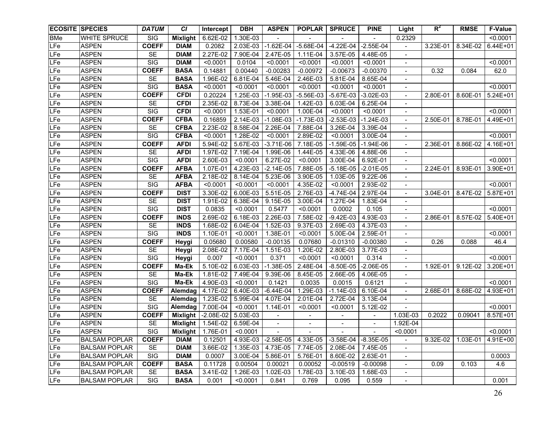| <b>ECOSITE SPECIES</b> |                      | <b>DATUM</b>            | <b>CI</b>       | Intercept           | <b>DBH</b> | <b>ASPEN</b>             | <b>POPLAR</b>  | <b>SPRUCE</b>           | <b>PINE</b>              | Light                    | $R^2$    | <b>RMSE</b> | <b>F-Value</b> |
|------------------------|----------------------|-------------------------|-----------------|---------------------|------------|--------------------------|----------------|-------------------------|--------------------------|--------------------------|----------|-------------|----------------|
| <b>BMe</b>             | <b>WHITE SPRUCE</b>  | SIG                     | <b>Mixlight</b> | 6.62E-02            | 1.30E-03   |                          |                |                         |                          | 0.2329                   |          |             | < 0.0001       |
| LFe                    | <b>ASPEN</b>         | <b>COEFF</b>            | <b>DIAM</b>     | 0.2082              | 2.03E-03   | $-1.62E-04$              | $-5.68E - 04$  | $-4.22E-04$             | $-2.55E-04$              |                          | 3.23E-01 | 8.34E-02    | 6.44E+01       |
| LFe                    | <b>ASPEN</b>         | <b>SE</b>               | <b>DIAM</b>     | 2.27E-02            | 7.90E-04   | 2.47E-05                 | 1.11E-04       | 3.57E-05                | 4.48E-05                 | $\blacksquare$           |          |             |                |
| LFe                    | <b>ASPEN</b>         | SIG                     | <b>DIAM</b>     | < 0.0001            | 0.0104     | < 0.0001                 | < 0.0001       | < 0.0001                | < 0.0001                 | $\blacksquare$           |          |             | < 0.0001       |
| LFe                    | <b>ASPEN</b>         | <b>COEFF</b>            | <b>BASA</b>     | 0.14881             | 0.00440    | $-0.00283$               | $-0.00972$     | $-0.00673$              | $-0.00370$               | $\blacksquare$           | 0.32     | 0.084       | 62.0           |
| LFe                    | <b>ASPEN</b>         | <b>SE</b>               | <b>BASA</b>     | 1.96E-02            | 6.81E-04   | 5.46E-04                 | 2.46E-03       | 5.81E-04                | 8.65E-04                 | $\blacksquare$           |          |             |                |
| LFe                    | <b>ASPEN</b>         | SIG                     | <b>BASA</b>     | < 0.0001            | < 0.0001   | < 0.0001                 | < 0.0001       | < 0.0001                | < 0.0001                 | $\blacksquare$           |          |             | < 0.0001       |
| LFe                    | <b>ASPEN</b>         | <b>COEFF</b>            | <b>CFDI</b>     | 0.20224             | 1.25E-03   | $-1.95E-03$              | $-5.56E-03$    | $-5.67E-03$             | $-3.02E-03$              | $\blacksquare$           | 2.80E-01 | 8.60E-01    | $5.24E + 01$   |
| LFe                    | <b>ASPEN</b>         | <b>SE</b>               | <b>CFDI</b>     | 2.35E-02            | 8.73E-04   | 3.38E-04                 | 1.42E-03       | 6.03E-04                | 6.25E-04                 | $\overline{\phantom{a}}$ |          |             |                |
| LFe                    | <b>ASPEN</b>         | $\overline{\text{SIG}}$ | <b>CFDI</b>     | < 0.0001            | 1.53E-01   | < 0.0001                 | 1.00E-04       | < 0.0001                | < 0.0001                 | $\overline{\phantom{a}}$ |          |             | < 0.0001       |
| LFe                    | <b>ASPEN</b>         | <b>COEFF</b>            | <b>CFBA</b>     | 0.16859             | 2.14E-03   | $-1.08E-03$              | $-1.73E-03$    | $-2.53E-03$             | $-1.24E-03$              | $\blacksquare$           | 2.50E-01 | 8.78E-01    | 4.49E+01       |
| LFe                    | <b>ASPEN</b>         | <b>SE</b>               | <b>CFBA</b>     | 2.23E-02            | 8.58E-04   | 2.26E-04                 | 7.88E-04       | 3.26E-04                | 3.39E-04                 |                          |          |             |                |
| LFe                    | <b>ASPEN</b>         | $\overline{\text{SIG}}$ | <b>CFBA</b>     | < 0.0001            | 1.28E-02   | < 0.0001                 | 2.89E-02       | < 0.0001                | 3.00E-04                 |                          |          |             | < 0.0001       |
| LFe                    | <b>ASPEN</b>         | <b>COEFF</b>            | <b>AFDI</b>     | 5.94E-02            | 5.67E-03   | $-3.71E-06$              | 7.18E-05       | $-1.59E-05$             | $-1.94E-06$              | $\blacksquare$           | 2.36E-01 | 8.86E-02    | 4.16E+01       |
| <b>LFe</b>             | <b>ASPEN</b>         | <b>SE</b>               | <b>AFDI</b>     | 1.97E-02            | 7.19E-04   | 1.99E-06                 | 1.44E-05       | 4.33E-06                | 4.88E-06                 | $\overline{\phantom{a}}$ |          |             |                |
| LFe                    | <b>ASPEN</b>         | SIG                     | <b>AFDI</b>     | 2.60E-03            | < 0.0001   | 6.27E-02                 | < 0.0001       | 3.00E-04                | 6.92E-01                 |                          |          |             | < 0.0001       |
| LFe                    | <b>ASPEN</b>         | <b>COEFF</b>            | <b>AFBA</b>     | 1.07E-01            | 4.23E-03   | $-2.14E-05$              | 7.88E-05       | $-5.18E-05$             | $-2.01E-05$              | $\blacksquare$           | 2.24E-01 | 8.93E-01    | 3.90E+01       |
| LFe                    | <b>ASPEN</b>         | <b>SE</b>               | <b>AFBA</b>     | 2.18E-02            | 8.14E-04   | 5.23E-06                 | 3.90E-05       | 1.03E-05                | 9.22E-06                 |                          |          |             |                |
| LFe                    | <b>ASPEN</b>         | $\overline{\text{SIG}}$ | <b>AFBA</b>     | < 0.0001            | < 0.0001   | < 0.0001                 | 4.35E-02       | < 0.0001                | 2.93E-02                 |                          |          |             | < 0.0001       |
| <b>LFe</b>             | <b>ASPEN</b>         | <b>COEFF</b>            | <b>DIST</b>     | 3.30E-02            | 6.00E-03   | 5.51E-05                 | 2.76E-03       | $-4.74E-04$             | 2.97E-04                 | $\sim$                   | 3.04E-01 | 8.47E-02    | 5.87E+01       |
| LFe                    | <b>ASPEN</b>         | <b>SE</b>               | <b>DIST</b>     | 1.91E-02            | 6.38E-04   | 9.15E-05                 | 3.00E-04       | 1.27E-04                | 1.83E-04                 |                          |          |             |                |
| LFe                    | <b>ASPEN</b>         | SIG                     | <b>DIST</b>     | 0.0835              | < 0.0001   | 0.5477                   | < 0.0001       | 0.0002                  | 0.105                    |                          |          |             | < 0.0001       |
| LFe                    | <b>ASPEN</b>         | <b>COEFF</b>            | <b>INDS</b>     | 2.69E-02            | 6.18E-03   | 2.26E-03                 | 7.58E-02       | $-9.42E-03$             | 4.93E-03                 | $\sim$                   | 2.86E-01 | 8.57E-02    | 5.40E+01       |
| LFe                    | <b>ASPEN</b>         | <b>SE</b>               | <b>INDS</b>     | 1.68E-02            | 6.04E-04   | 1.52E-03                 | 9.37E-03       | 2.69E-03                | 4.37E-03                 |                          |          |             |                |
| LFe                    | <b>ASPEN</b>         | $\overline{\text{SIG}}$ | <b>INDS</b>     | 1.10E-01            | < 0.0001   | 1.38E-01                 | < 0.0001       | 5.00E-04                | 2.59E-01                 |                          |          |             | < 0.0001       |
| LFe                    | <b>ASPEN</b>         | <b>COEFF</b>            | Heygi           | 0.05680             | 0.00580    | $-0.00135$               | 0.07680        | $-0.01310$              | $-0.00380$               |                          | 0.26     | 0.088       | 46.4           |
| LFe                    | <b>ASPEN</b>         | <b>SE</b>               | Heygi           | 2.08E-02            | 7.17E-04   | 1.51E-03                 | 1.20E-02       | 2.80E-03                | 3.77E-03                 | $\blacksquare$           |          |             |                |
| LFe                    | <b>ASPEN</b>         | <b>SIG</b>              | Heygi           | 0.007               | < 0.0001   | 0.371                    | < 0.0001       | < 0.0001                | 0.314                    |                          |          |             | < 0.0001       |
| LFe                    | <b>ASPEN</b>         | <b>COEFF</b>            | Ma-Ek           | 5.10E-02            | 6.03E-03   | $-1.38E-05$              | 2.48E-04       | $-8.50E-05$             | $-2.06E-05$              | $\overline{\phantom{a}}$ | 1.92E-01 | 9.12E-02    | 3.20E+01       |
| LFe                    | <b>ASPEN</b>         | <b>SE</b>               | Ma-Ek           | 1.81E-02            | 7.49E-04   | 9.39E-06                 | 8.45E-05       | 2.66E-05                | 4.06E-05                 | $\blacksquare$           |          |             |                |
| LFe                    | <b>ASPEN</b>         | SIG                     | Ma-Ek           | 4.90E-03            | < 0.0001   | 0.1421                   | 0.0035         | 0.0015                  | 0.6121                   | $\blacksquare$           |          |             | < 0.0001       |
| LFe                    | <b>ASPEN</b>         | <b>COEFF</b>            | Alemdag         | 4.17E-02            | 6.40E-03   | $-6.44E-04$              | 1.29E-03       | $-1.14E-03$             | 6.10E-04                 | $\blacksquare$           | 2.68E-01 | 8.68E-02    | 4.93E+01       |
| LFe                    | <b>ASPEN</b>         | <b>SE</b>               | Alemdag         | 1.23E-02            | 5.99E-04   | 4.07E-04                 | 2.01E-04       | 2.72E-04                | 3.13E-04                 | $\blacksquare$           |          |             |                |
| LFe                    | <b>ASPEN</b>         | $\overline{\text{SIG}}$ | Alemdag         | 7.00E-04            | < 0.0001   | 1.14E-01                 | < 0.0001       | < 0.0001                | 5.12E-02                 |                          |          |             | < 0.0001       |
| LFe                    | <b>ASPEN</b>         | <b>COEFF</b>            | Mixlight        | $-2.08E-02$         | 5.03E-03   | $\blacksquare$           |                |                         | $\overline{\phantom{0}}$ | 1.03E-03                 | 0.2022   | 0.09041     | 8.57E+01       |
| LFe                    | <b>ASPEN</b>         | <b>SE</b>               | Mixlight        | 1.54E-02            | 6.59E-04   | $\overline{\phantom{a}}$ | $\blacksquare$ |                         | $\overline{\phantom{a}}$ | 1.92E-04                 |          |             |                |
| LFe                    | <b>ASPEN</b>         | <b>SIG</b>              |                 | Mixlight   1.76E-01 | < 0.0001   |                          |                |                         |                          | < 0.0001                 |          |             | < 0.0001       |
| LFe                    | <b>BALSAM POPLAR</b> | <b>COEFF</b>            | <b>DIAM</b>     | 0.12501             | 4.93E-03   | $-2.58E-05$              | 4.33E-05       | $-3.58E-04$ $-8.35E-05$ |                          | $\blacksquare$           | 9.32E-02 | 1.03E-01    | 4.91E+00       |
| LFe                    | BALSAM POPLAR        | SE                      | <b>DIAM</b>     | 3.66E-02            | 1.35E-03   | 4.73E-05                 | 7.74E-05       | 2.08E-04                | 7.45E-05                 | $\overline{\phantom{a}}$ |          |             |                |
| LFe                    | <b>BALSAM POPLAR</b> | SIG                     | <b>DIAM</b>     | 0.0007              | 3.00E-04   | 5.86E-01                 | 5.76E-01       | 8.60E-02                | 2.63E-01                 | $\blacksquare$           |          |             | 0.0003         |
| LFe                    | <b>BALSAM POPLAR</b> | <b>COEFF</b>            | <b>BASA</b>     | 0.11728             | 0.00504    | 0.00021                  | 0.00052        | $-0.00519$              | $-0.00098$               | $\sim$                   | 0.09     | 0.103       | 4.6            |
| LFe                    | <b>BALSAM POPLAR</b> | SE                      | <b>BASA</b>     | 3.41E-02            | 1.26E-03   | 1.02E-03                 | 1.78E-03       | 3.10E-03                | 1.68E-03                 | $\blacksquare$           |          |             |                |
| LFe                    | <b>BALSAM POPLAR</b> | SIG                     | <b>BASA</b>     | 0.001               | < 0.0001   | 0.841                    | 0.769          | 0.095                   | 0.559                    | $\blacksquare$           |          |             | 0.001          |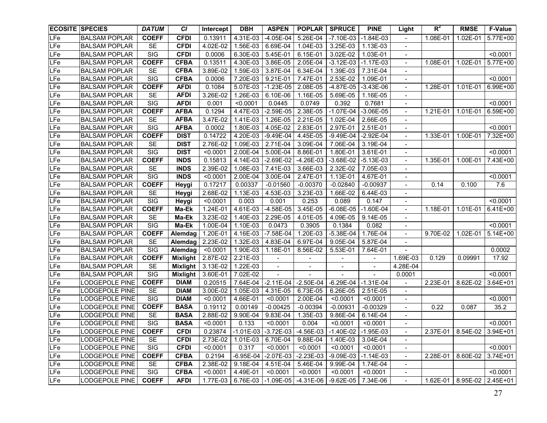| <b>ECOSITE SPECIES</b> |                       | <b>DATUM</b>            | <b>CI</b>       | Intercept | <b>DBH</b>             | <b>ASPEN</b>             | <b>POPLAR</b>  | <b>SPRUCE</b>                                                         | <b>PINE</b>              | Light                    | $R^2$    | <b>RMSE</b>                    | <b>F-Value</b> |
|------------------------|-----------------------|-------------------------|-----------------|-----------|------------------------|--------------------------|----------------|-----------------------------------------------------------------------|--------------------------|--------------------------|----------|--------------------------------|----------------|
| LFe                    | <b>BALSAM POPLAR</b>  | <b>COEFF</b>            | <b>CFDI</b>     | 0.13911   | 4.31E-03               | $-4.05E-04$              | 5.26E-04       | $-7.10E-03$                                                           | $-1.84E-03$              | $\overline{\phantom{0}}$ | 1.08E-01 | 1.02E-01                       | 5.77E+00       |
| LFe                    | <b>BALSAM POPLAR</b>  | <b>SE</b>               | <b>CFDI</b>     | 4.02E-02  | 1.56E-03               | 6.69E-04                 | 1.04E-03       | 3.25E-03                                                              | 1.13E-03                 | $\blacksquare$           |          |                                |                |
| LFe                    | <b>BALSAM POPLAR</b>  | SIG                     | <b>CFDI</b>     | 0.0006    | 6.30E-03               | 5.45E-01                 | 6.15E-01       | 3.02E-02                                                              | 1.03E-01                 | $\blacksquare$           |          |                                | < 0.0001       |
| LFe                    | <b>BALSAM POPLAR</b>  | <b>COEFF</b>            | <b>CFBA</b>     | 0.13511   | 4.30E-03               | 3.86E-05                 | 2.05E-04       | $-3.12E-03$                                                           | $-1.17E-03$              | $\blacksquare$           | 1.08E-01 | 1.02E-01                       | 5.77E+00       |
| LFe                    | <b>BALSAM POPLAR</b>  | <b>SE</b>               | <b>CFBA</b>     | 3.89E-02  | 1.59E-03               | 3.87E-04                 | 6.34E-04       | 1.39E-03                                                              | 7.31E-04                 | $\blacksquare$           |          |                                |                |
| LFe                    | <b>BALSAM POPLAR</b>  | <b>SIG</b>              | <b>CFBA</b>     | 0.0006    | 7.20E-03               | $9.21E-01$               | 7.47E-01       | 2.53E-02                                                              | 1.09E-01                 | $\blacksquare$           |          |                                | < 0.0001       |
| LFe                    | <b>BALSAM POPLAR</b>  | <b>COEFF</b>            | <b>AFDI</b>     | 0.1084    | 5.07E-03               | $-1.23E-05$              | 2.08E-05       | $-4.87E-05$                                                           | $-3.43E-06$              | $\blacksquare$           | 1.28E-01 | 1.01E-01                       | 6.99E+00       |
| LFe                    | <b>BALSAM POPLAR</b>  | SE                      | <b>AFDI</b>     | 3.26E-02  | 1.26E-03               | 6.10E-06                 | 1.16E-05       | 5.69E-05                                                              | 1.16E-05                 | $\blacksquare$           |          |                                |                |
| LFe                    | <b>BALSAM POPLAR</b>  | $\overline{\text{SIG}}$ | <b>AFDI</b>     | 0.001     | < 0.0001               | 0.0445                   | 0.0749         | 0.392                                                                 | 0.7681                   | $\blacksquare$           |          |                                | < 0.0001       |
| LF <sub>e</sub>        | <b>BALSAM POPLAR</b>  | <b>COEFF</b>            | <b>AFBA</b>     | 0.1294    | 4.47E-03               | $-2.59E-05$              | 2.38E-05       | $-1.07E-04$                                                           | $-3.06E-05$              | $\blacksquare$           | 1.21E-01 | 1.01E-01                       | 6.59E+00       |
| LFe                    | <b>BALSAM POPLAR</b>  | <b>SE</b>               | <b>AFBA</b>     | 3.47E-02  | 1.41E-03               | 1.26E-05                 | 2.21E-05       | 1.02E-04                                                              | 2.66E-05                 | $\blacksquare$           |          |                                |                |
| LFe                    | <b>BALSAM POPLAR</b>  | SIG                     | <b>AFBA</b>     | 0.0002    | 1.80E-03               | 4.05E-02                 | 2.83E-01       | 2.97E-01                                                              | 2.51E-01                 | $\blacksquare$           |          |                                | < 0.0001       |
| LFe                    | <b>BALSAM POPLAR</b>  | <b>COEFF</b>            | <b>DIST</b>     | 0.14722   | 4.20E-03               | $-9.49E - 04$            | 4.45E-05       | $-9.49E - 04$                                                         | $-2.92E-04$              |                          | 1.33E-01 | 1.00E-01                       | 7.32E+00       |
| LFe                    | <b>BALSAM POPLAR</b>  | <b>SE</b>               | <b>DIST</b>     | 2.76E-02  | 1.09E-03               | 2.71E-04                 | 3.09E-04       | 7.06E-04                                                              | 3.19E-04                 |                          |          |                                |                |
| <b>LFe</b>             | <b>BALSAM POPLAR</b>  | $\overline{\text{SIG}}$ | <b>DIST</b>     | < 0.0001  | 2.00E-04               | 5.00E-04                 | 8.86E-01       | 1.80E-01                                                              | 3.61E-01                 | $\overline{\phantom{a}}$ |          |                                | < 0.0001       |
| <b>LFe</b>             | <b>BALSAM POPLAR</b>  | <b>COEFF</b>            | <b>INDS</b>     | 0.15813   | 4.14E-03               | $-2.69E-02$              | $-4.26E-03$    | $-3.68E-02$                                                           | $-5.13E-03$              | $\blacksquare$           | 1.35E-01 | 1.00E-01                       | 7.43E+00       |
| LFe                    | <b>BALSAM POPLAR</b>  | <b>SE</b>               | <b>INDS</b>     | 2.39E-02  | 1.08E-03               | 7.41E-03                 | 3.66E-03       | 2.32E-02                                                              | 7.05E-03                 | $\overline{\phantom{a}}$ |          |                                |                |
| LFe                    | <b>BALSAM POPLAR</b>  | SIG                     | <b>INDS</b>     | < 0.0001  | 2.00E-04               | 3.00E-04                 | 2.47E-01       | 1.13E-01                                                              | 4.67E-01                 |                          |          |                                | < 0.0001       |
| LFe                    | <b>BALSAM POPLAR</b>  | <b>COEFF</b>            | Heygi           | 0.17217   | 0.00337                | $-0.01560$               | $-0.00370$     | $-0.02840$                                                            | $-0.00937$               |                          | 0.14     | 0.100                          | 7.6            |
| <b>LFe</b>             | <b>BALSAM POPLAR</b>  | <b>SE</b>               | Heygi           | 2.68E-02  | 1.13E-03               | 4.53E-03                 | 3.23E-03       | 1.66E-02                                                              | 6.44E-03                 | $\blacksquare$           |          |                                |                |
| <b>LFe</b>             | <b>BALSAM POPLAR</b>  | SIG                     | Heygi           | < 0.0001  | 0.003                  | 0.001                    | 0.253          | 0.089                                                                 | 0.147                    |                          |          |                                | < 0.0001       |
| <b>LFe</b>             | <b>BALSAM POPLAR</b>  | <b>COEFF</b>            | Ma-Ek           | 1.24E-01  | 4.61E-03               | $-4.58E-05$              | 3.45E-05       | $-6.08E - 05$                                                         | $-1.60E-04$              |                          | 1.18E-01 | 1.01E-01                       | 6.41E+00       |
| <b>LFe</b>             | <b>BALSAM POPLAR</b>  | <b>SE</b>               | Ma-Ek           | 3.23E-02  | 1.40E-03               | 2.29E-05                 | 4.01E-05       | 4.09E-05                                                              | 9.14E-05                 |                          |          |                                |                |
| LFe                    | <b>BALSAM POPLAR</b>  | SIG                     | Ma-Ek           | 1.00E-04  | 1.10E-03               | 0.0473                   | 0.3905         | 0.1384                                                                | 0.082                    |                          |          |                                | < 0.0001       |
| LFe                    | <b>BALSAM POPLAR</b>  | <b>COEFF</b>            | Alemdag         | 1.20E-01  | $4.16E - 03$           | $-7.58E-04$              | 1.20E-03       | $-5.38E-04$                                                           | 1.76E-04                 |                          | 9.70E-02 | 1.02E-01                       | $5.14E + 00$   |
| LFe                    | <b>BALSAM POPLAR</b>  | SE                      | Alemdag         | 2.23E-02  | 1.32E-03               | 4.83E-04                 | $6.97E-04$     | 9.05E-04                                                              | 5.87E-04                 | $\blacksquare$           |          |                                |                |
| LFe                    | <b>BALSAM POPLAR</b>  | SIG                     | Alemdag         | < 0.0001  | 1.90E-03               | 1.18E-01                 | 8.56E-02       | 5.53E-01                                                              | 7.64E-01                 |                          |          |                                | 0.0002         |
| LFe                    | <b>BALSAM POPLAR</b>  | <b>COEFF</b>            | <b>Mixlight</b> | 2.87E-02  | 2.21E-03               |                          |                |                                                                       | $\overline{\phantom{a}}$ | 1.69E-03                 | 0.129    | 0.09991                        | 17.92          |
| <b>LFe</b>             | <b>BALSAM POPLAR</b>  | <b>SE</b>               | <b>Mixlight</b> | 3.13E-02  | $\overline{1}$ .22E-03 | $\overline{\phantom{a}}$ | $\blacksquare$ |                                                                       | $\overline{\phantom{a}}$ | 4.28E-04                 |          |                                |                |
| <b>LFe</b>             | <b>BALSAM POPLAR</b>  | SIG                     | Mixlight        | 3.60E-01  | 7.02E-02               | $\blacksquare$           |                | $\sim$                                                                | $\overline{a}$           | 0.0001                   |          |                                | < 0.0001       |
| LFe                    | <b>LODGEPOLE PINE</b> | <b>COEFF</b>            | <b>DIAM</b>     | 0.20515   | 7.64E-04               | $-2.11E-04$              | $-2.50E-04$    | $-6.29E-04$                                                           | $-1.31E-04$              | $\blacksquare$           | 2.23E-01 | 8.62E-02                       | $3.64E + 01$   |
| <b>LFe</b>             | <b>LODGEPOLE PINE</b> | <b>SE</b>               | <b>DIAM</b>     | 3.00E-02  | 1.05E-03               | 4.31E-05                 | 6.73E-05       | 6.26E-05                                                              | 2.51E-05                 | $\blacksquare$           |          |                                |                |
| LFe                    | <b>LODGEPOLE PINE</b> | SIG                     | <b>DIAM</b>     | < 0.0001  | 4.66E-01               | < 0.0001                 | 2.00E-04       | < 0.0001                                                              | < 0.0001                 | $\blacksquare$           |          |                                | < 0.0001       |
| LFe                    | <b>LODGEPOLE PINE</b> | <b>COEFF</b>            | <b>BASA</b>     | 0.19112   | 0.00149                | $-0.00425$               | $-0.00394$     | $-0.00931$                                                            | $-0.00329$               | $\blacksquare$           | 0.22     | 0.087                          | 35.2           |
| LFe                    | <b>LODGEPOLE PINE</b> | <b>SE</b>               | <b>BASA</b>     | 2.88E-02  | 9.90E-04               | 9.83E-04                 | 1.35E-03       | 9.86E-04                                                              | 6.14E-04                 | $\blacksquare$           |          |                                |                |
| LFe                    | LODGEPOLE PINE        | SIG                     | <b>BASA</b>     | < 0.0001  | 0.133                  | < 0.0001                 | 0.004          | < 0.0001                                                              | < 0.0001                 | $\blacksquare$           |          |                                | < 0.0001       |
| <b>LFe</b>             | <b>LODGEPOLE PINE</b> | <b>COEFF</b>            | <b>CFDI</b>     |           |                        |                          |                | $0.23874$   -1.01E-03   -3.72E-03   -4.56E-03   -1.40E-02   -1.95E-03 |                          |                          |          | 2.37E-01   8.54E-02   3.94E+01 |                |
| LFe                    | <b>LODGEPOLE PINE</b> | SE                      | <b>CFDI</b>     | 2.73E-02  | 1.01E-03               | 6.70E-04                 | 9.88E-04       | 1.40E-03                                                              | 3.04E-04                 | $\sim$                   |          |                                |                |
| LFe                    | LODGEPOLE PINE        | SIG                     | <b>CFDI</b>     | < 0.0001  | 0.317                  | < 0.0001                 | < 0.0001       | < 0.0001                                                              | < 0.0001                 | $\overline{\phantom{a}}$ |          |                                | < 0.0001       |
| LFe                    | ODGEPOLE PINE         | <b>COEFF</b>            | <b>CFBA</b>     | 0.2194    | $-6.95E - 04$          | $-2.07E-03$              | $-2.23E-03$    | $-9.09E-03$                                                           | $-1.14E-03$              | $\blacksquare$           | 2.28E-01 | 8.60E-02                       | 3.74E+01       |
| LFe                    | ODGEPOLE PINE         | <b>SE</b>               | <b>CFBA</b>     | 2.38E-02  | 9.18E-04               | 4.51E-04                 | 5.46E-04       | 9.99E-04                                                              | 1.74E-04                 | $\overline{\phantom{a}}$ |          |                                |                |
| LFe                    | ODGEPOLE PINE         | SIG                     | <b>CFBA</b>     | < 0.0001  | 4.49E-01               | < 0.0001                 | < 0.0001       | < 0.0001                                                              | < 0.0001                 | $\blacksquare$           |          |                                | < 0.0001       |
| LFe                    | LODGEPOLE PINE        | <b>COEFF</b>            | <b>AFDI</b>     | 1.77E-03  | $6.76E-03$             | $-1.09E-05$              | $-4.31E-06$    | $-9.62E - 05$                                                         | 7.34E-06                 | $\sim$                   | 1.62E-01 | 8.95E-02 2.45E+01              |                |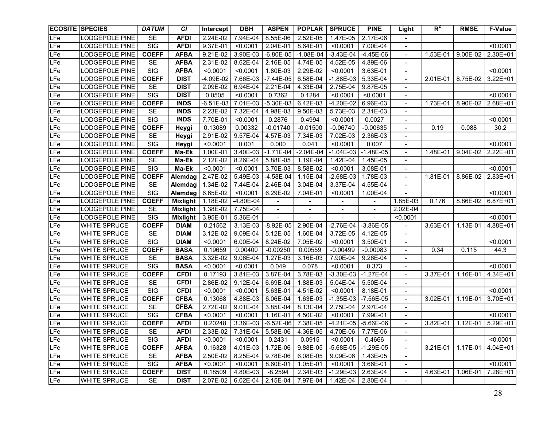| <b>ECOSITE SPECIES</b> |                       | <b>DATUM</b>            | <b>CI</b>       | Intercept   | <b>DBH</b>  | <b>ASPEN</b> | <b>POPLAR</b> | <b>SPRUCE</b>     | <b>PINE</b> | Light                    | $R^2$    | <b>RMSE</b> | <b>F-Value</b> |
|------------------------|-----------------------|-------------------------|-----------------|-------------|-------------|--------------|---------------|-------------------|-------------|--------------------------|----------|-------------|----------------|
| LFe                    | <b>LODGEPOLE PINE</b> | <b>SE</b>               | <b>AFDI</b>     | 2.24E-02    | 7.94E-04    | 8.55E-06     | 2.52E-05      | 1.47E-05          | 2.17E-06    | $\sim$                   |          |             |                |
| LFe                    | <b>LODGEPOLE PINE</b> | SIG                     | <b>AFDI</b>     | 9.37E-01    | < 0.0001    | 2.04E-01     | 8.64E-01      | < 0.0001          | 7.00E-04    | $\blacksquare$           |          |             | < 0.0001       |
| LFe                    | <b>LODGEPOLE PINE</b> | <b>COEFF</b>            | <b>AFBA</b>     | 9.21E-02    | 3.90E-03    | $-6.80E-05$  | $-1.08E - 04$ | $-3.43E-04$       | $-4.45E-06$ | $\blacksquare$           | 1.53E-01 | 9.00E-02    | 2.30E+01       |
| LFe                    | <b>LODGEPOLE PINE</b> | <b>SE</b>               | <b>AFBA</b>     | 2.31E-02    | 8.62E-04    | 2.16E-05     | 4.74E-05      | 4.52E-05          | 4.89E-06    | $\blacksquare$           |          |             |                |
| LFe                    | <b>LODGEPOLE PINE</b> | SIG                     | <b>AFBA</b>     | < 0.0001    | < 0.0001    | 1.80E-03     | 2.29E-02      | < 0.0001          | 3.63E-01    | $\blacksquare$           |          |             | < 0.0001       |
| LFe                    | LODGEPOLE PINE        | <b>COEFF</b>            | <b>DIST</b>     | -4.09E-02   | 7.66E-03    | $-7.44E-05$  | $6.58E-04$    | $-1.88E-03$       | 5.33E-04    | $\blacksquare$           | 2.01E-01 | 8.75E-02    | $3.22E + 01$   |
| LFe                    | <b>LODGEPOLE PINE</b> | <b>SE</b>               | <b>DIST</b>     | 2.09E-02    | 6.94E-04    | 2.21E-04     | 4.33E-04      | 2.75E-04          | 9.87E-05    | $\blacksquare$           |          |             |                |
| <b>LFe</b>             | <b>LODGEPOLE PINE</b> | SIG                     | <b>DIST</b>     | 0.0505      | < 0.0001    | 0.7362       | 0.1284        | < 0.0001          | < 0.0001    | $\blacksquare$           |          |             | < 0.0001       |
| LFe                    | LODGEPOLE PINE        | <b>COEFF</b>            | <b>INDS</b>     | $-6.51E-03$ | 7.01E-03    | $-5.30E-03$  | 6.42E-03      | $-4.20E-02$       | 6.96E-03    | $\blacksquare$           | 1.73E-01 | 8.90E-02    | 2.68E+01       |
| LFe                    | <b>LODGEPOLE PINE</b> | <b>SE</b>               | <b>INDS</b>     | 2.23E-02    | 7.32E-04    | 4.98E-03     | 9.50E-03      | 5.73E-03          | 2.31E-03    | $\blacksquare$           |          |             |                |
| LF <sub>e</sub>        | LODGEPOLE PINE        | $\overline{\text{SIG}}$ | <b>INDS</b>     | 7.70E-01    | < 0.0001    | 0.2876       | 0.4994        | < 0.0001          | 0.0027      | $\blacksquare$           |          |             | < 0.0001       |
| LFe                    | LODGEPOLE PINE        | <b>COEFF</b>            | Heygi           | 0.13089     | 0.00332     | $-0.01740$   | $-0.01500$    | $-0.06740$        | $-0.00635$  | $\overline{\phantom{a}}$ | 0.19     | 0.088       | 30.2           |
| LFe                    | LODGEPOLE PINE        | SE                      | Heygi           | 2.91E-02    | 9.57E-04    | 4.57E-03     | 7.34E-03      | 7.02E-03          | 2.36E-03    |                          |          |             |                |
| <b>LFe</b>             | ODGEPOLE PINE         | SIG                     | Heygi           | < 0.0001    | 0.001       | 0.000        | 0.041         | < 0.0001          | 0.007       | $\overline{\phantom{a}}$ |          |             | < 0.0001       |
| LFe                    | LODGEPOLE PINE        | <b>COEFF</b>            | Ma-Ek           | 1.00E-01    | 3.40E-03    | $-1.71E-04$  | $-2.04E-04$   | $-1.04E-03$       | $-1.48E-05$ | $\blacksquare$           | 1.48E-01 | 9.04E-02    | 2.22E+01       |
| LFe                    | LODGEPOLE PINE        | <b>SE</b>               | Ma-Ek           | 2.12E-02    | 8.26E-04    | 5.88E-05     | 1.19E-04      | 1.42E-04          | 1.45E-05    |                          |          |             |                |
| LFe                    | LODGEPOLE PINE        | $\overline{\text{SIG}}$ | Ma-Ek           | < 0.0001    | < 0.0001    | 3.70E-03     | 8.58E-02      | < 0.0001          | 3.08E-01    | $\overline{\phantom{a}}$ |          |             | < 0.0001       |
| LFe                    | <b>LODGEPOLE PINE</b> | <b>COEFF</b>            | Alemdag         | 2.47E-02    | 5.49E-03    | $-4.58E-04$  | 1.15E-04      | $-2.68E-03$       | 1.78E-03    | $\blacksquare$           | 1.81E-01 | 8.86E-02    | 2.83E+01       |
| <b>LFe</b>             | <b>LODGEPOLE PINE</b> | SE                      | Alemdag         | 1.34E-02    | 7.44E-04    | 2.46E-04     | 3.04E-04      | 3.37E-04          | 4.55E-04    | $\overline{\phantom{a}}$ |          |             |                |
| LFe                    | <b>LODGEPOLE PINE</b> | SIG                     | Alemdag         | 6.65E-02    | < 0.0001    | 6.29E-02     | 7.04E-01      | < 0.0001          | 1.00E-04    |                          |          |             | < 0.0001       |
| LFe                    | <b>LODGEPOLE PINE</b> | <b>COEFF</b>            | <b>Mixlight</b> | 1.18E-02    | $-4.80E-04$ |              |               |                   |             | 1.85E-03                 | 0.176    | 8.86E-02    | $6.87E + 01$   |
| LFe                    | <b>LODGEPOLE PINE</b> | <b>SE</b>               | <b>Mixlight</b> | 1.38E-02    | 7.75E-04    |              |               |                   |             | 2.02E-04                 |          |             |                |
| LFe                    | <b>LODGEPOLE PINE</b> | $\overline{\text{SIG}}$ | <b>Mixlight</b> | 3.95E-01    | 5.36E-01    |              |               |                   |             | < 0.0001                 |          |             | < 0.0001       |
| LFe                    | <b>WHITE SPRUCE</b>   | <b>COEFF</b>            | <b>DIAM</b>     | 0.21562     | 3.13E-03    | $-8.92E-05$  | 2.90E-04      | $-2.76E-04$       | $-3.86E-05$ |                          | 3.63E-01 | 1.13E-01    | 4.88E+01       |
| LFe                    | <b>WHITE SPRUCE</b>   | SE                      | <b>DIAM</b>     | 3.12E-02    | 9.09E-04    | 5.12E-05     | 1.60E-04      | 3.72E-05          | 4.12E-05    | $\overline{\phantom{a}}$ |          |             |                |
| LFe                    | <b>WHITE SPRUCE</b>   | SIG                     | <b>DIAM</b>     | < 0.0001    | 6.00E-04    | 8.24E-02     | $7.05E-02$    | < 0.0001          | 3.50E-01    | $\blacksquare$           |          |             | < 0.0001       |
| LFe                    | <b>WHITE SPRUCE</b>   | <b>COEFF</b>            | <b>BASA</b>     | 0.19659     | 0.00400     | $-0.00250$   | 0.00559       | $-0.00499$        | $-0.00083$  | $\blacksquare$           | 0.34     | 0.115       | 44.3           |
| LFe                    | <b>WHITE SPRUCE</b>   | SE                      | <b>BASA</b>     | 3.32E-02    | 9.06E-04    | 1.27E-03     | 3.16E-03      | 7.90E-04          | 9.26E-04    | $\blacksquare$           |          |             |                |
| LFe                    | <b>WHITE SPRUCE</b>   | <b>SIG</b>              | <b>BASA</b>     | < 0.0001    | < 0.0001    | 0.049        | 0.078         | < 0.0001          | 0.373       | $\overline{a}$           |          |             | < 0.0001       |
| LFe                    | <b>WHITE SPRUCE</b>   | <b>COEFF</b>            | <b>CFDI</b>     | 0.17193     | 3.81E-03    | 3.87E-04     | 3.78E-03      | $-3.30E-03$       | $-1.27E-04$ | $\blacksquare$           | 3.37E-01 | $1.16E-01$  | 4.34E+01       |
| LFe                    | <b>WHITE SPRUCE</b>   | <b>SE</b>               | <b>CFDI</b>     | 2.86E-02    | 9.12E-04    | 6.69E-04     | 1.88E-03      | 5.04E-04          | 5.50E-04    | $\blacksquare$           |          |             |                |
| LFe                    | <b>WHITE SPRUCE</b>   | SIG                     | <b>CFDI</b>     | < 0.0001    | < 0.0001    | 5.63E-01     | 4.51E-02      | < 0.0001          | 8.18E-01    | $\overline{\phantom{a}}$ |          |             | < 0.0001       |
| LFe                    | <b>WHITE SPRUCE</b>   | <b>COEFF</b>            | <b>CFBA</b>     | 0.13068     | 4.88E-03    | 6.06E-04     | 1.63E-03      | $-1.35E-03$       | $-7.56E-05$ | $\blacksquare$           | 3.02E-01 | 1.19E-01    | 3.70E+01       |
| LFe                    | <b>WHITE SPRUCE</b>   | <b>SE</b>               | <b>CFBA</b>     | 2.72E-02    | 9.01E-04    | 3.85E-04     | 8.13E-04      | 2.75E-04          | 2.97E-04    | $\overline{\phantom{a}}$ |          |             |                |
| LFe                    | <b>WHITE SPRUCE</b>   | <b>SIG</b>              | <b>CFBA</b>     | < 0.0001    | < 0.0001    | 1.16E-01     | 4.50E-02      | < 0.0001          | 7.99E-01    | $\blacksquare$           |          |             | < 0.0001       |
| LFe                    | WHITE SPRUCE          | <b>COEFF</b>            | <b>AFDI</b>     | 0.20248     | 3.36E-03    | $-6.52E-06$  | 7.38E-05      | $-4.21E-05$       | $-5.66E-06$ | $\blacksquare$           | 3.82E-01 | 1.12E-01    | 5.29E+01       |
| <b>LFe</b>             | <b>WHITE SPRUCE</b>   | <b>SE</b>               | <b>AFDI</b>     | 2.33E-02    | 7.31E-04    | 5.58E-06     | 4.36E-05      | 4.70E-06 7.77E-06 |             |                          |          |             |                |
| LFe                    | <b>WHITE SPRUCE</b>   | <b>SIG</b>              | <b>AFDI</b>     | < 0.0001    | < 0.0001    | 0.2431       | 0.0915        | < 0.0001          | 0.4666      | $\blacksquare$           |          |             | < 0.0001       |
| LFe                    | <b>WHITE SPRUCE</b>   | <b>COEFF</b>            | <b>AFBA</b>     | 0.16328     | 4.01E-03    | 1.72E-06     | 9.88E-05      | $-5.68E-05$       | $-1.29E-05$ | $\blacksquare$           | 3.21E-01 | 1.17E-01    | 4.04E+01       |
| LFe                    | <b>WHITE SPRUCE</b>   | SE                      | <b>AFBA</b>     | 2.50E-02    | 8.25E-04    | 9.78E-06     | 6.08E-05      | 9.09E-06          | 1.43E-05    | $\overline{\phantom{a}}$ |          |             |                |
| LFe                    | WHITE SPRUCE          | SIG                     | <b>AFBA</b>     | < 0.0001    | < 0.0001    | 8.60E-01     | 1.05E-01      | < 0.0001          | 3.66E-01    | $\blacksquare$           |          |             | < 0.0001       |
| LFe                    | <b>WHITE SPRUCE</b>   | <b>COEFF</b>            | <b>DIST</b>     | 0.18509     | 4.80E-03    | $-8.2594$    | 2.34E-03      | $-1.29E-03$       | 2.63E-04    | $\blacksquare$           | 4.63E-01 | 1.06E-01    | 7.28E+01       |
| LFe                    | WHITE SPRUCE          | SE                      | <b>DIST</b>     | 2.07E-02    | 6.02E-04    | 2.15E-04     | 7.97E-04      | 1.42E-04          | 2.80E-04    | $\blacksquare$           |          |             |                |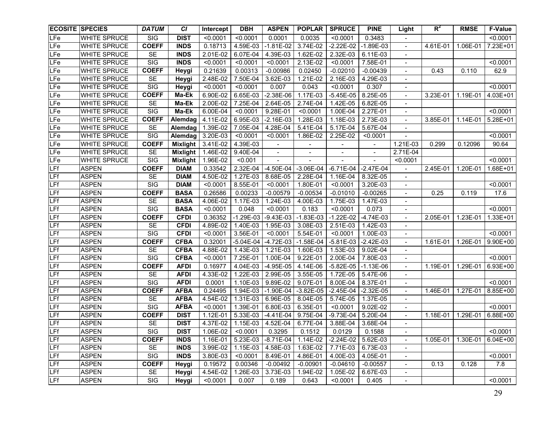| <b>ECOSITE SPECIES</b> |                     | <b>DATUM</b>            | <b>CI</b>       | Intercept | <b>DBH</b>  | <b>ASPEN</b>  | <b>POPLAR</b>            | <b>SPRUCE</b> | <b>PINE</b>              | Light                    | $R^2$    | <b>RMSE</b> | <b>F-Value</b> |
|------------------------|---------------------|-------------------------|-----------------|-----------|-------------|---------------|--------------------------|---------------|--------------------------|--------------------------|----------|-------------|----------------|
| LFe                    | <b>WHITE SPRUCE</b> | SIG                     | <b>DIST</b>     | < 0.0001  | < 0.0001    | 0.0001        | 0.0035                   | < 0.0001      | 0.3483                   |                          |          |             | < 0.0001       |
| LFe                    | <b>WHITE SPRUCE</b> | <b>COEFF</b>            | <b>INDS</b>     | 0.18713   | 4.59E-03    | $-1.81E-02$   | 3.74E-02                 | $-2.22E-02$   | $-1.89E-03$              | $\overline{\phantom{a}}$ | 4.61E-01 | 1.06E-01    | 7.23E+01       |
| LFe                    | <b>WHITE SPRUCE</b> | <b>SE</b>               | <b>INDS</b>     | 2.01E-02  | 6.07E-04    | 4.39E-03      | 1.62E-02                 | 2.32E-03      | 6.11E-03                 | $\blacksquare$           |          |             |                |
| LFe                    | <b>WHITE SPRUCE</b> | <b>SIG</b>              | <b>INDS</b>     | < 0.0001  | < 0.0001    | < 0.0001      | 2.13E-02                 | < 0.0001      | 7.58E-01                 | $\overline{\phantom{a}}$ |          |             | < 0.0001       |
| LFe                    | <b>WHITE SPRUCE</b> | <b>COEFF</b>            | Heygi           | 0.21639   | 0.00313     | $-0.00986$    | 0.02450                  | $-0.02010$    | $-0.00439$               | $\blacksquare$           | 0.43     | 0.110       | 62.9           |
| LFe                    | WHITE SPRUCE        | <b>SE</b>               | Heygi           | 2.48E-02  | 7.50E-04    | 3.62E-03      | 1.21E-02                 | 2.16E-03      | 4.29E-03                 | $\blacksquare$           |          |             |                |
| LFe                    | WHITE SPRUCE        | SIG                     | Heygi           | < 0.0001  | < 0.0001    | 0.007         | 0.043                    | < 0.0001      | 0.307                    | $\overline{\phantom{a}}$ |          |             | < 0.0001       |
| <b>LFe</b>             | <b>WHITE SPRUCE</b> | <b>COEFF</b>            | Ma-Ek           | 6.90E-02  | 6.65E-03    | $-2.38E-06$   | 1.17E-03                 | $-5.45E-05$   | 8.25E-05                 | $\blacksquare$           | 3.23E-01 | 1.19E-01    | 4.03E+01       |
| LFe                    | <b>WHITE SPRUCE</b> | SE                      | Ma-Ek           | 2.00E-02  | 7.25E-04    | 2.64E-05      | 2.74E-04                 | 1.42E-05      | 6.82E-05                 | $\overline{\phantom{a}}$ |          |             |                |
| LF <sub>e</sub>        | <b>WHITE SPRUCE</b> | $\overline{\text{SIG}}$ | Ma-Ek           | 6.00E-04  | < 0.0001    | 9.28E-01      | < 0.0001                 | 1.00E-04      | 2.27E-01                 | $\overline{\phantom{a}}$ |          |             | < 0.0001       |
| LFe                    | <b>WHITE SPRUCE</b> | <b>COEFF</b>            | Alemdag         | 4.11E-02  | 6.95E-03    | $-2.16E-03$   | 1.28E-03                 | 1.18E-03      | 2.73E-03                 | $\blacksquare$           | 3.85E-01 | 1.14E-01    | 5.28E+01       |
| LFe                    | WHITE SPRUCE        | <b>SE</b>               | Alemdag         | 1.39E-02  | 7.05E-04    | 4.28E-04      | 5.41E-04                 | 5.17E-04      | 5.67E-04                 |                          |          |             |                |
| LFe                    | WHITE SPRUCE        | $\overline{\text{SIG}}$ | Alemdag         | 3.20E-03  | < 0.0001    | < 0.0001      | 1.86E-02                 | 2.25E-02      | < 0.0001                 |                          |          |             | < 0.0001       |
| <b>LFe</b>             | WHITE SPRUCE        | <b>COEFF</b>            | <b>Mixlight</b> | 3.41E-02  | 4.39E-03    |               |                          |               |                          | 1.21E-03                 | 0.299    | 0.12096     | 90.64          |
| LFe                    | WHITE SPRUCE        | <b>SE</b>               | Mixlight        | 1.46E-02  | 9.40E-04    |               | $\overline{\phantom{a}}$ |               | $\overline{\phantom{a}}$ | 2.71E-04                 |          |             |                |
| LFe                    | WHITE SPRUCE        | SIG                     | Mixlight        | 1.96E-02  | < 0.001     |               |                          |               |                          | < 0.0001                 |          |             | < 0.0001       |
| LFf                    | <b>ASPEN</b>        | <b>COEFF</b>            | <b>DIAM</b>     | 0.33542   | 2.32E-04    | $-4.50E-04$   | $-3.06E-04$              | $-6.71E-04$   | $-2.47E-04$              | $\blacksquare$           | 2.45E-01 | 1.20E-01    | 1.68E+01       |
| LFf                    | <b>ASPEN</b>        | <b>SE</b>               | <b>DIAM</b>     | 4.50E-02  | 1.27E-03    | 8.68E-05      | 2.28E-04                 | 1.16E-04      | 8.32E-05                 | $\overline{\phantom{a}}$ |          |             |                |
| LFf                    | <b>ASPEN</b>        | $\overline{\text{SIG}}$ | <b>DIAM</b>     | < 0.0001  | 8.55E-01    | < 0.0001      | 1.80E-01                 | < 0.0001      | 3.20E-03                 | $\overline{\phantom{a}}$ |          |             | < 0.0001       |
| LFf                    | <b>ASPEN</b>        | <b>COEFF</b>            | <b>BASA</b>     | 0.26586   | 0.00233     | $-0.00579$    | $-0.00534$               | $-0.01010$    | $-0.00265$               | $\overline{a}$           | 0.25     | 0.119       | 17.6           |
| LFf                    | <b>ASPEN</b>        | <b>SE</b>               | <b>BASA</b>     | 4.06E-02  | 1.17E-03    | 1.24E-03      | 4.00E-03                 | 1.75E-03      | 1.47E-03                 |                          |          |             |                |
| <b>LFf</b>             | <b>ASPEN</b>        | <b>SIG</b>              | <b>BASA</b>     | < 0.0001  | 0.048       | < 0.0001      | 0.183                    | < 0.0001      | 0.073                    |                          |          |             | < 0.0001       |
| LFf                    | <b>ASPEN</b>        | <b>COEFF</b>            | <b>CFDI</b>     | 0.36352   | $-1.29E-03$ | $-9.43E-03$   | $-1.83E-03$              | $-1.22E-02$   | $-4.74E-03$              | $\blacksquare$           | 2.05E-01 | 1.23E-01    | 1.33E+01       |
| LFf                    | <b>ASPEN</b>        | <b>SE</b>               | <b>CFDI</b>     | 4.89E-02  | 1.40E-03    | 1.95E-03      | 3.08E-03                 | 2.51E-03      | 1.42E-03                 |                          |          |             |                |
| LFf                    | <b>ASPEN</b>        | <b>SIG</b>              | <b>CFDI</b>     | < 0.0001  | 3.56E-01    | < 0.0001      | 5.54E-01                 | < 0.0001      | 1.00E-03                 |                          |          |             | < 0.0001       |
| LFf                    | <b>ASPEN</b>        | <b>COEFF</b>            | <b>CFBA</b>     | 0.32001   | $-5.04E-04$ | $-4.72E-03$   | $-1.58E-04$              | $-5.81E-03$   | $-2.42E-03$              | $\blacksquare$           | 1.61E-01 | 1.26E-01    | 9.90E+00       |
| LFf                    | <b>ASPEN</b>        | <b>SE</b>               | <b>CFBA</b>     | 4.88E-02  | 1.43E-03    | 1.21E-03      | 1.60E-03                 | 1.53E-03      | 9.02E-04                 | $\blacksquare$           |          |             |                |
| LFf                    | <b>ASPEN</b>        | <b>SIG</b>              | <b>CFBA</b>     | < 0.0001  | 7.25E-01    | 1.00E-04      | 9.22E-01                 | 2.00E-04      | 7.80E-03                 |                          |          |             | < 0.0001       |
| LFf                    | <b>ASPEN</b>        | <b>COEFF</b>            | <b>AFDI</b>     | 0.16977   | 4.04E-03    | $-4.95E-05$   | 4.14E-06                 | $-5.82E-05$   | $-1.13E-06$              | $\overline{\phantom{a}}$ | 1.19E-01 | 1.29E-01    | 6.93E+00       |
| LFf                    | <b>ASPEN</b>        | <b>SE</b>               | <b>AFDI</b>     | 4.33E-02  | 1.22E-03    | 2.99E-05      | 3.55E-05                 | 1.72E-05      | 5.47E-06                 | $\blacksquare$           |          |             |                |
| LFf                    | <b>ASPEN</b>        | SIG                     | <b>AFDI</b>     | 0.0001    | 1.10E-03    | 9.89E-02      | 9.07E-01                 | 8.00E-04      | 8.37E-01                 | $\overline{\phantom{a}}$ |          |             | < 0.0001       |
| LFf                    | <b>ASPEN</b>        | <b>COEFF</b>            | <b>AFBA</b>     | 0.24495   | 1.94E-03    | $-1.90E - 04$ | $-3.82E-05$              | $-2.45E-04$   | $-2.32E-05$              | $\blacksquare$           | 1.46E-01 | 1.27E-01    | 8.85E+00       |
| LFf                    | <b>ASPEN</b>        | <b>SE</b>               | <b>AFBA</b>     | 4.54E-02  | 1.31E-03    | 6.96E-05      | 8.04E-05                 | 5.74E-05      | 1.37E-05                 | $\blacksquare$           |          |             |                |
| LFf                    | <b>ASPEN</b>        | <b>SIG</b>              | <b>AFBA</b>     | < 0.0001  | 1.39E-01    | 6.80E-03      | 6.35E-01                 | < 0.0001      | 9.02E-02                 | $\blacksquare$           |          |             | < 0.0001       |
| LFf                    | <b>ASPEN</b>        | <b>COEFF</b>            | <b>DIST</b>     | 1.12E-01  | 5.33E-03    | $-4.41E-04$   | 9.75E-04                 | $-9.73E-04$   | 5.20E-04                 | $\blacksquare$           | 1.18E-01 | 1.29E-01    | 6.88E+00       |
| LFf                    | <b>ASPEN</b>        | <b>SE</b>               | <b>DIST</b>     | 4.37E-02  | 1.15E-03    | 4.52E-04      | 6.77E-04                 | 3.88E-04      | 3.68E-04                 | $\blacksquare$           |          |             |                |
| LFf                    | <b>ASPEN</b>        | <b>SIG</b>              | <b>DIST</b>     | 1.06E-02  | < 0.0001    | 0.3295        | 0.1512                   | 0.0129        | 0.1588                   |                          |          |             | < 0.0001       |
| LFf                    | <b>ASPEN</b>        | <b>COEFF</b>            | <b>INDS</b>     | 1.16E-01  | 5.23E-03    | $-8.71E-04$   | 1.14E-02                 | $-2.24E-02$   | 5.62E-03                 | $\blacksquare$           | 1.05E-01 | 1.30E-01    | 6.04E+00       |
| LFf                    | <b>ASPEN</b>        | SE                      | <b>INDS</b>     | 3.99E-02  | 1.15E-03    | 4.58E-03      | 1.63E-02                 | 7.71E-03      | 6.73E-03                 | $\blacksquare$           |          |             |                |
| <b>LFf</b>             | <b>ASPEN</b>        | SIG                     | <b>INDS</b>     | 3.80E-03  | < 0.0001    | 8.49E-01      | 4.86E-01                 | 4.00E-03      | 4.05E-01                 | $\blacksquare$           |          |             | < 0.0001       |
| <b>LFf</b>             | <b>ASPEN</b>        | <b>COEFF</b>            | Heygi           | 0.19572   | 0.00346     | $-0.00492$    | $-0.00901$               | $-0.04610$    | $-0.00557$               | $\blacksquare$           | 0.13     | 0.128       | 7.8            |
| LFf                    | <b>ASPEN</b>        | SE                      | Heygi           | 4.54E-02  | 1.26E-03    | 3.73E-03      | 1.94E-02                 | 1.05E-02      | 6.67E-03                 | $\blacksquare$           |          |             |                |
| LFF                    | <b>ASPEN</b>        | SIG                     | Heygi           | < 0.0001  | 0.007       | 0.189         | 0.643                    | < 0.0001      | 0.405                    | $\blacksquare$           |          |             | < 0.0001       |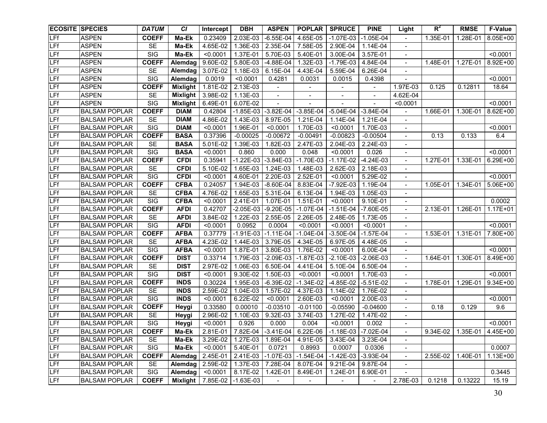|            | <b>ECOSITE SPECIES</b> | <b>DATUM</b>            | <b>CI</b>       | Intercept | <b>DBH</b>             | <b>ASPEN</b>             | <b>POPLAR</b>            | <b>SPRUCE</b>                                                      | <b>PINE</b>              | Light                    | $R^2$    | <b>RMSE</b>         | <b>F-Value</b> |
|------------|------------------------|-------------------------|-----------------|-----------|------------------------|--------------------------|--------------------------|--------------------------------------------------------------------|--------------------------|--------------------------|----------|---------------------|----------------|
| <b>LFf</b> | <b>ASPEN</b>           | <b>COEFF</b>            | Ma-Ek           | 0.23409   | 2.03E-03               | $-6.55E-04$              | 4.65E-05                 | $-1.07E-03$                                                        | $-1.05E-04$              | $\blacksquare$           | 1.35E-01 | 1.28E-01            | 8.05E+00       |
| <b>LFf</b> | <b>ASPEN</b>           | <b>SE</b>               | Ma-Ek           | 4.65E-02  | 1.36E-03               | 2.35E-04                 | 7.58E-05                 | 2.90E-04                                                           | 1.14E-04                 | $\overline{\phantom{a}}$ |          |                     |                |
| LFf        | <b>ASPEN</b>           | SIG                     | Ma-Ek           | < 0.0001  | 1.37E-01               | 5.70E-03                 | 5.40E-01                 | 3.00E-04                                                           | 3.57E-01                 | $\overline{\phantom{a}}$ |          |                     | < 0.0001       |
| LFf        | <b>ASPEN</b>           | <b>COEFF</b>            | Alemdag         | 9.60E-02  | $\overline{5.80}$ E-03 | $-4.88E - 04$            | 1.32E-03                 | $-1.79E-03$                                                        | 4.84E-04                 | $\overline{\phantom{a}}$ | 1.48E-01 | 1.27E-01            | 8.92E+00       |
| LFf        | <b>ASPEN</b>           | <b>SE</b>               | Alemdag         | 3.07E-02  | 1.18E-03               | 6.15E-04                 | 4.43E-04                 | 5.59E-04                                                           | 6.26E-04                 | $\overline{\phantom{a}}$ |          |                     |                |
| LFf        | <b>ASPEN</b>           | <b>SIG</b>              | Alemdag         | 0.0019    | < 0.0001               | 0.4281                   | 0.0031                   | 0.0015                                                             | 0.4398                   | $\overline{\phantom{a}}$ |          |                     | < 0.0001       |
| LFf        | <b>ASPEN</b>           | <b>COEFF</b>            | <b>Mixlight</b> | 1.81E-02  | 2.13E-03               | $\overline{\phantom{a}}$ |                          |                                                                    |                          | 1.97E-03                 | 0.125    | 0.12811             | 18.64          |
| <b>LFf</b> | <b>ASPEN</b>           | <b>SE</b>               | <b>Mixlight</b> | 3.98E-02  | 1.13E-03               | $\overline{\phantom{a}}$ | $\overline{\phantom{a}}$ | $\overline{\phantom{a}}$                                           | $\overline{\phantom{a}}$ | 4.62E-04                 |          |                     |                |
| LFf        | <b>ASPEN</b>           | $\overline{\text{SIG}}$ | Mixlight        | 6.49E-01  | 6.07E-02               |                          |                          |                                                                    |                          | < 0.0001                 |          |                     | < 0.0001       |
| LFf        | <b>BALSAM POPLAR</b>   | <b>COEFF</b>            | <b>DIAM</b>     | 0.42804   | $-1.85E-03$            | $-3.82E-04$              | $-3.85E-04$              | $-5.04E-04$                                                        | $-3.84E-04$              |                          | 1.66E-01 | 1.30E-01            | 8.62E+00       |
| LFf        | <b>BALSAM POPLAR</b>   | SE                      | <b>DIAM</b>     | 4.86E-02  | $1.43E - 03$           | 8.97E-05                 | 1.21E-04                 | 1.14E-04                                                           | 1.21E-04                 | $\overline{\phantom{a}}$ |          |                     |                |
| LFf        | <b>BALSAM POPLAR</b>   | SIG                     | <b>DIAM</b>     | < 0.0001  | 1.96E-01               | < 0.0001                 | 1.70E-03                 | < 0.0001                                                           | 1.70E-03                 | $\overline{\phantom{a}}$ |          |                     | < 0.0001       |
| LFf        | <b>BALSAM POPLAR</b>   | <b>COEFF</b>            | <b>BASA</b>     | 0.37396   | $-0.00025$             | $-0.00672$               | $-0.00491$               | $-0.00823$                                                         | $-0.00504$               |                          | 0.13     | 0.133               | 6.4            |
| LFf        | <b>BALSAM POPLAR</b>   | <b>SE</b>               | <b>BASA</b>     | 5.01E-02  | 1.39E-03               | 1.82E-03                 | 2.47E-03                 | 2.04E-03                                                           | 2.24E-03                 |                          |          |                     |                |
| LFf        | <b>BALSAM POPLAR</b>   | $\overline{\text{SIG}}$ | <b>BASA</b>     | < 0.0001  | 0.860                  | 0.000                    | 0.048                    | < 0.0001                                                           | 0.026                    | $\overline{\phantom{a}}$ |          |                     | < 0.0001       |
| LFf        | <b>BALSAM POPLAR</b>   | <b>COEFF</b>            | <b>CFDI</b>     | 0.35941   | $-1.22E-03$            | $-3.84E-03$              | $-1.70E-03$              | $-1.17E-02$                                                        | $-4.24E-03$              | $\overline{\phantom{a}}$ | 1.27E-01 | 1.33E-01            | 6.29E+00       |
| LFf        | <b>BALSAM POPLAR</b>   | SE                      | <b>CFDI</b>     | 5.10E-02  | 1.65E-03               | 1.24E-03                 | 1.48E-03                 | 2.62E-03                                                           | 2.18E-03                 |                          |          |                     |                |
| LFf        | <b>BALSAM POPLAR</b>   | SIG                     | <b>CFDI</b>     | < 0.0001  | 4.60E-01               | 2.20E-03                 | 2.52E-01                 | < 0.0001                                                           | 5.29E-02                 |                          |          |                     | < 0.0001       |
| LFf        | <b>BALSAM POPLAR</b>   | <b>COEFF</b>            | <b>CFBA</b>     | 0.24057   | 1.94E-03               | $-8.60E-04$              | 8.83E-04                 | $-7.92E-03$                                                        | 1.19E-04                 |                          | 1.05E-01 | 1.34E-01            | 5.06E+00       |
| LFf        | <b>BALSAM POPLAR</b>   | <b>SE</b>               | <b>CFBA</b>     | 4.76E-02  | 1.65E-03               | 5.31E-04                 | 6.13E-04                 | 1.94E-03                                                           | 1.05E-03                 |                          |          |                     |                |
| LFf        | <b>BALSAM POPLAR</b>   | $\overline{\text{SIG}}$ | <b>CFBA</b>     | < 0.0001  | 2.41E-01               | 1.07E-01                 | 1.51E-01                 | < 0.0001                                                           | 9.10E-01                 |                          |          |                     | 0.0002         |
| LFf        | <b>BALSAM POPLAR</b>   | <b>COEFF</b>            | <b>AFDI</b>     | 0.42707   | $-2.05E-03$            | $-9.20E - 05$            | $-1.07E-04$              | $-1.51E-04$                                                        | $-7.60E-05$              |                          | 2.13E-01 | 1.26E-01            | $1.17E + 01$   |
| LFf        | <b>BALSAM POPLAR</b>   | SE                      | <b>AFDI</b>     | 3.84E-02  | 1.22E-03               | 2.55E-05                 | 2.26E-05                 | 2.48E-05                                                           | 1.73E-05                 |                          |          |                     |                |
| LFf        | <b>BALSAM POPLAR</b>   | $\overline{\text{SIG}}$ | <b>AFDI</b>     | < 0.0001  | 0.0952                 | 0.0004                   | < 0.0001                 | < 0.0001                                                           | < 0.0001                 |                          |          |                     | < 0.0001       |
| LFf        | <b>BALSAM POPLAR</b>   | <b>COEFF</b>            | <b>AFBA</b>     | 0.37779   | $-1.91E-03$            | $-1.11E-04$              | $-1.04E-04$              | $-3.50E-04$                                                        | $-1.57E-04$              |                          | 1.53E-01 | $1.31E - 01$        | 7.80E+00       |
| LFf        | <b>BALSAM POPLAR</b>   | SE                      | <b>AFBA</b>     | 4.23E-02  | 1.44E-03               | 3.79E-05                 | 4.34E-05                 | 6.97E-05                                                           | 4.48E-05                 |                          |          |                     |                |
| LFf        | <b>BALSAM POPLAR</b>   | SIG                     | <b>AFBA</b>     | < 0.0001  | 1.87E-01               | 3.80E-03                 | 1.76E-02                 | < 0.0001                                                           | 6.00E-04                 |                          |          |                     | < 0.0001       |
| LFf        | <b>BALSAM POPLAR</b>   | <b>COEFF</b>            | <b>DIST</b>     | 0.33714   | 1.79E-03               | $-2.09E-03$              | $-1.87E-03$              | $-2.10E-03$                                                        | $-2.06E-03$              | $\blacksquare$           | 1.64E-01 | 1.30E-01            | 8.49E+00       |
| LFf        | <b>BALSAM POPLAR</b>   | <b>SE</b>               | <b>DIST</b>     | 2.97E-02  | 1.06E-03               | 6.50E-04                 | 4.41E-04                 | 5.10E-04                                                           | 6.50E-04                 | $\overline{a}$           |          |                     |                |
| LFf        | <b>BALSAM POPLAR</b>   | SIG                     | <b>DIST</b>     | < 0.0001  | 9.30E-02               | 1.50E-03                 | < 0.0001                 | < 0.0001                                                           | 1.70E-03                 | $\blacksquare$           |          |                     | < 0.0001       |
| LFf        | <b>BALSAM POPLAR</b>   | <b>COEFF</b>            | <b>INDS</b>     | 0.30224   | 1.95E-03               | $-6.39E-02$              | $-1.34E-02$              | $-4.85E-02$                                                        | $-5.51E-02$              | $\blacksquare$           | 1.78E-01 | 1.29E-01            | 9.34E+00       |
| LFf        | <b>BALSAM POPLAR</b>   | <b>SE</b>               | <b>INDS</b>     | 2.59E-02  | 1.04E-03               | 1.57E-02                 | 4.37E-03                 | 1.14E-02                                                           | 1.76E-02                 | $\overline{\phantom{a}}$ |          |                     |                |
| LFf        | <b>BALSAM POPLAR</b>   | SIG                     | <b>INDS</b>     | < 0.0001  | 6.22E-02               | < 0.0001                 | 2.60E-03                 | < 0.0001                                                           | 2.00E-03                 | $\overline{\phantom{a}}$ |          |                     | < 0.0001       |
| LFf        | <b>BALSAM POPLAR</b>   | <b>COEFF</b>            | Heygi           | 0.33580   | 0.00010                | $-0.03510$               | $-0.01100$               | $-0.05590$                                                         | $-0.04600$               | $\overline{\phantom{a}}$ | 0.18     | 0.129               | 9.6            |
| LFf        | <b>BALSAM POPLAR</b>   | <b>SE</b>               | Heygi           | 2.96E-02  | 1.10E-03               | 9.32E-03                 | 3.74E-03                 | 1.27E-02                                                           | 1.47E-02                 | $\overline{\phantom{a}}$ |          |                     |                |
| LFf        | <b>BALSAM POPLAR</b>   | SIG                     | <b>Heygi</b>    | < 0.0001  | 0.926                  | 0.000                    | 0.004                    | < 0.0001                                                           | 0.002                    | $\overline{\phantom{a}}$ |          |                     | < 0.0001       |
| LFf        | <b>BALSAM POPLAR</b>   | <b>COEFF</b>            | Ma-Ek           |           |                        |                          |                          | 2.81E-01   7.82E-04   -3.41E-04   6.22E-06   -1.18E-03   -7.02E-04 |                          |                          |          | 9.34E-02   1.35E-01 | 4.45E+00       |
| <b>LFf</b> | <b>BALSAM POPLAR</b>   | SE                      | Ma-Ek           | 3.29E-02  | 1.27E-03               | 1.89E-04                 | 4.91E-05                 | 3.43E-04                                                           | 3.23E-04                 | $\blacksquare$           |          |                     |                |
| LFf        | <b>BALSAM POPLAR</b>   | SIG                     | Ma-Ek           | < 0.0001  | 5.40E-01               | 0.0721                   | 0.8993                   | 0.0007                                                             | 0.0306                   | $\blacksquare$           |          |                     | 0.0007         |
| LFf        | <b>BALSAM POPLAR</b>   | <b>COEFF</b>            | Alemdag         | 2.45E-01  | 2.41E-03               | $-1.07E-03$              | $-1.54E-04$              | $-1.42E-03$                                                        | $-3.93E-04$              | $\blacksquare$           | 2.55E-02 | 1.40E-01            | 1.13E+00       |
| LFf        | <b>BALSAM POPLAR</b>   | SE                      | Alemdag         | 2.59E-02  | 1.37E-03               | 7.28E-04                 | 8.07E-04                 | 9.21E-04                                                           | $9.87E-04$               | $\blacksquare$           |          |                     |                |
| LFf        | <b>BALSAM POPLAR</b>   | SIG                     | Alemdag         | < 0.0001  | 8.17E-02               | 1.42E-01                 | 8.49E-01                 | 1.24E-01                                                           | 6.90E-01                 | $\blacksquare$           |          |                     | 0.3445         |
| LFf        | <b>BALSAM POPLAR</b>   | <b>COEFF</b>            | <b>Mixlight</b> | 7.85E-02  | $-1.63E-03$            | $\blacksquare$           | $\blacksquare$           | $\blacksquare$                                                     | $\blacksquare$           | 2.78E-03                 | 0.1218   | 0.13222             | 15.19          |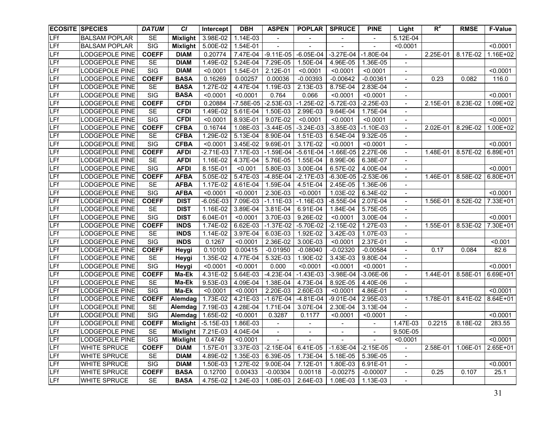|            | <b>ECOSITE SPECIES</b> | <b>DATUM</b>            | <b>CI</b>       | Intercept           | <b>DBH</b>  | <b>ASPEN</b>             | <b>POPLAR</b>  | <b>SPRUCE</b>  | <b>PINE</b>              | Light                    | $R^2$    | <b>RMSE</b> | <b>F-Value</b> |
|------------|------------------------|-------------------------|-----------------|---------------------|-------------|--------------------------|----------------|----------------|--------------------------|--------------------------|----------|-------------|----------------|
| <b>LFf</b> | <b>BALSAM POPLAR</b>   | <b>SE</b>               | <b>Mixlight</b> | 3.98E-02            | 1.14E-03    | $\overline{\phantom{a}}$ |                |                | $\overline{\phantom{a}}$ | 5.12E-04                 |          |             |                |
| <b>LFf</b> | <b>BALSAM POPLAR</b>   | SIG                     | <b>Mixlight</b> | 5.00E-02            | 1.54E-01    | $\blacksquare$           |                |                |                          | < 0.0001                 |          |             | < 0.0001       |
| LFf        | <b>LODGEPOLE PINE</b>  | <b>COEFF</b>            | <b>DIAM</b>     | 0.20774             | 7.47E-04    | $-9.11E-05$              | $-6.05E-04$    | $-3.27E-04$    | $-1.80E-04$              |                          | 2.25E-01 | 8.17E-02    | 1.16E+02       |
| LFf        | <b>LODGEPOLE PINE</b>  | <b>SE</b>               | <b>DIAM</b>     | 1.49E-02            | 5.24E-04    | 7.29E-05                 | 1.50E-04       | 4.96E-05       | 1.36E-05                 | $\overline{\phantom{a}}$ |          |             |                |
| LFf        | <b>LODGEPOLE PINE</b>  | SIG                     | <b>DIAM</b>     | < 0.0001            | 1.54E-01    | 2.12E-01                 | < 0.0001       | < 0.0001       | < 0.0001                 | $\overline{\phantom{a}}$ |          |             | < 0.0001       |
| LFf        | <b>LODGEPOLE PINE</b>  | <b>COEFF</b>            | <b>BASA</b>     | 0.16269             | 0.00257     | 0.00036                  | $-0.00393$     | $-0.00642$     | $-0.00361$               | $\overline{\phantom{a}}$ | 0.23     | 0.082       | 116.0          |
| LFf        | <b>LODGEPOLE PINE</b>  | <b>SE</b>               | <b>BASA</b>     | 1.27E-02            | 4.47E-04    | 1.19E-03                 | 2.13E-03       | 8.75E-04       | 2.83E-04                 | $\overline{\phantom{a}}$ |          |             |                |
| LFf        | <b>LODGEPOLE PINE</b>  | SIG                     | <b>BASA</b>     | < 0.0001            | < 0.0001    | 0.764                    | 0.066          | < 0.0001       | < 0.0001                 | $\overline{\phantom{a}}$ |          |             | < 0.0001       |
| LFf        | LODGEPOLE PINE         | <b>COEFF</b>            | <b>CFDI</b>     | 0.20884             | $-7.58E-05$ | $-2.53E-03$              | $-1.25E-02$    | $-5.72E-03$    | $-2.25E-03$              | $\overline{\phantom{a}}$ | 2.15E-01 | 8.23E-02    | 1.09E+02       |
| LFf        | LODGEPOLE PINE         | <b>SE</b>               | <b>CFDI</b>     | 1.49E-02            | 5.61E-04    | 1.50E-03                 | 2.99E-03       | 9.64E-04       | 1.75E-04                 | $\overline{\phantom{a}}$ |          |             |                |
| LFf        | LODGEPOLE PINE         | $\overline{\text{SIG}}$ | <b>CFDI</b>     | < 0.0001            | 8.93E-01    | 9.07E-02                 | < 0.0001       | < 0.0001       | < 0.0001                 | $\overline{\phantom{a}}$ |          |             | < 0.0001       |
| LFf        | LODGEPOLE PINE         | <b>COEFF</b>            | <b>CFBA</b>     | 0.16744             | 1.08E-03    | $-3.44E-05$              | $-3.24E-03$    | $-3.85E-03$    | $-1.10E-03$              |                          | 2.02E-01 | 8.29E-02    | 1.00E+02       |
| LFf        | LODGEPOLE PINE         | <b>SE</b>               | <b>CFBA</b>     | 1.29E-02            | 5.13E-04    | 8.90E-04                 | 1.51E-03       | 6.54E-04       | 9.32E-05                 |                          |          |             |                |
| LFf        | LODGEPOLE PINE         | $\overline{\text{SIG}}$ | <b>CFBA</b>     | < 0.0001            | 3.45E-02    | 9.69E-01                 | 3.17E-02       | < 0.0001       | < 0.0001                 |                          |          |             | < 0.0001       |
| LFf        | LODGEPOLE PINE         | <b>COEFF</b>            | <b>AFDI</b>     | $-2.71E-03$         | 7.17E-03    | $-1.59E-04$              | $-5.61E-04$    | $-1.66E-05$    | 2.27E-06                 | $\overline{\phantom{a}}$ | 1.48E-01 | 8.57E-02    | 6.89E+01       |
| LFf        | LODGEPOLE PINE         | <b>SE</b>               | <b>AFDI</b>     | 1.16E-02            | 4.37E-04    | 5.76E-05                 | 1.55E-04       | 8.99E-06       | 6.38E-07                 | $\blacksquare$           |          |             |                |
| LFf        | LODGEPOLE PINE         | $\overline{\text{SIG}}$ | <b>AFDI</b>     | 8.15E-01            | < 0.001     | 5.80E-03                 | 3.00E-04       | 6.57E-02       | 4.00E-04                 |                          |          |             | < 0.0001       |
| LFf        | LODGEPOLE PINE         | <b>COEFF</b>            | <b>AFBA</b>     | 5.05E-02            | 5.47E-03    | $-4.85E-04$              | $-2.17E-03$    | $-6.30E-05$    | $-2.53E-06$              |                          | 1.46E-01 | 8.58E-02    | 6.80E+01       |
| LFf        | <b>LODGEPOLE PINE</b>  | SE                      | <b>AFBA</b>     | 1.17E-02            | 4.61E-04    | 1.59E-04                 | 4.51E-04       | 2.45E-05       | 1.36E-06                 |                          |          |             |                |
| LFf        | <b>LODGEPOLE PINE</b>  | SIG                     | <b>AFBA</b>     | < 0.0001            | < 0.0001    | 2.30E-03                 | < 0.0001       | 1.03E-02       | 6.34E-02                 |                          |          |             | < 0.0001       |
| LFf        | LODGEPOLE PINE         | <b>COEFF</b>            | <b>DIST</b>     | $-6.05E-03$         | 7.09E-03    | $-1.11E-03$              | $-1.16E-03$    | $-8.55E-04$    | 2.07E-04                 |                          | 1.56E-01 | 8.52E-02    | 7.33E+01       |
| LFf        | <b>LODGEPOLE PINE</b>  | SE                      | <b>DIST</b>     | 1.16E-02            | 3.89E-04    | $3.81E - 04$             | 6.91E-04       | 1.84E-04       | 5.75E-05                 |                          |          |             |                |
| LFf        | <b>LODGEPOLE PINE</b>  | $\overline{\text{SIG}}$ | <b>DIST</b>     | $6.04E - 01$        | < 0.0001    | 3.70E-03                 | 9.26E-02       | < 0.0001       | 3.00E-04                 |                          |          |             | < 0.0001       |
| LFf        | LODGEPOLE PINE         | <b>COEFF</b>            | <b>INDS</b>     | 1.74E-02            | 6.62E-03    | $-1.37E-02$              | $-5.70E-02$    | $-2.15E-02$    | 1.27E-03                 |                          | 1.55E-01 | $8.53E-02$  | 7.30E+01       |
| LFf        | LODGEPOLE PINE         | <b>SE</b>               | <b>INDS</b>     | 1.14E-02            | 3.97E-04    | 6.03E-03                 | 1.92E-02       | 3.42E-03       | 1.07E-03                 |                          |          |             |                |
| LFf        | LODGEPOLE PINE         | $\overline{\text{SIG}}$ | <b>INDS</b>     | 0.1267              | < 0.0001    | 2.36E-02                 | 3.00E-03       | < 0.0001       | 2.37E-01                 |                          |          |             | < 0.001        |
| LFf        | LODGEPOLE PINE         | <b>COEFF</b>            | Heygi           | 0.10100             | 0.00415     | $-0.01950$               | $-0.08040$     | $-0.02320$     | $-0.00584$               |                          | 0.17     | 0.084       | 82.6           |
| LFf        | LODGEPOLE PINE         | <b>SE</b>               | Heygi           | 1.35E-02            | 4.77E-04    | 5.32E-03                 | 1.90E-02       | 3.43E-03       | 9.80E-04                 | $\overline{a}$           |          |             |                |
| LFf        | <b>LODGEPOLE PINE</b>  | SIG                     | Heygi           | < 0.0001            | < 0.0001    | 0.000                    | < 0.0001       | < 0.0001       | < 0.0001                 | $\overline{a}$           |          |             | < 0.0001       |
| LFf        | <b>LODGEPOLE PINE</b>  | <b>COEFF</b>            | Ma-Ek           | 4.31E-02            | 5.64E-03    | $-4.23E-04$              | $-1.43E-03$    | $-3.98E-04$    | $-3.06E-06$              | $\blacksquare$           | 1.44E-01 | 8.58E-01    | 6.69E+01       |
| LFf        | <b>LODGEPOLE PINE</b>  | <b>SE</b>               | Ma-Ek           | 9.53E-03            | 4.09E-04    | 1.38E-04                 | 4.73E-04       | 8.92E-05       | 4.40E-06                 | $\overline{\phantom{a}}$ |          |             |                |
| LFf        | <b>LODGEPOLE PINE</b>  | SIG                     | Ma-Ek           | < 0.0001            | < 0.0001    | 2.20E-03                 | 2.60E-03       | < 0.0001       | 4.86E-01                 | $\overline{\phantom{a}}$ |          |             | < 0.0001       |
| LFf        | <b>LODGEPOLE PINE</b>  | <b>COEFF</b>            | Alemdag         | 1.73E-02            | 4.21E-03    | $-1.67E-04$              | $-4.81E-04$    | $-9.01E - 04$  | 2.95E-03                 | $\blacksquare$           | 1.78E-01 | 8.41E-02    | 8.64E+01       |
| LFf        | <b>LODGEPOLE PINE</b>  | <b>SE</b>               | Alemdag         | 7.19E-03            | 4.28E-04    | 1.71E-04                 | 3.07E-04       | 2.30E-04       | 3.13E-04                 | $\overline{\phantom{a}}$ |          |             |                |
| LFf        | <b>LODGEPOLE PINE</b>  | SIG                     | Alemdag         | 1.65E-02            | < 0.0001    | 0.3287                   | 0.1177         | < 0.0001       | < 0.0001                 |                          |          |             | < 0.0001       |
| LFf        | LODGEPOLE PINE         | <b>COEFF</b>            | <b>Mixlight</b> | $-5.15E-03$         | 1.86E-03    | $\overline{\phantom{a}}$ | $\blacksquare$ | $\blacksquare$ |                          | 1.47E-03                 | 0.2215   | 8.18E-02    | 283.55         |
| LFf        | LODGEPOLE PINE         | <b>SE</b>               |                 | Mixlight $7.21E-03$ | 4.04E-04    |                          |                |                | $\blacksquare$           | 9.50E-05                 |          |             |                |
| LFf        | <b>LODGEPOLE PINE</b>  | SIG                     | <b>Mixlight</b> | 0.4749              | < 0.0001    | $\sim$                   | $\sim$         | $\blacksquare$ | $\blacksquare$           | < 0.0001                 |          |             | < 0.0001       |
| LFf        | WHITE SPRUCE           | <b>COEFF</b>            | <b>DIAM</b>     | 1.57E-01            | 3.37E-03    | $-2.15E-04$              | 6.41E-05       | $-1.63E-04$    | $-2.15E-05$              |                          | 2.58E-01 | 1.06E-01    | 2.65E+01       |
| LFf        | WHITE SPRUCE           | <b>SE</b>               | <b>DIAM</b>     | 4.89E-02            | 1.35E-03    | 6.39E-05                 | 1.73E-04       | 5.18E-05       | 5.39E-05                 | $\blacksquare$           |          |             |                |
| LFf        | WHITE SPRUCE           | SIG                     | <b>DIAM</b>     | 1.50E-03            | 1.27E-02    | 9.00E-04                 | 7.12E-01       | 1.80E-03       | 6.91E-01                 | $\blacksquare$           |          |             | < 0.0001       |
| LFf        | WHITE SPRUCE           | <b>COEFF</b>            | <b>BASA</b>     | 0.12700             | 0.00433     | $-0.00304$               | 0.00118        | $-0.00275$     | $-0.00007$               | $\blacksquare$           | 0.25     | 0.107       | 25.1           |
| LFf        | WHITE SPRUCE           | SE                      | <b>BASA</b>     | 4.75E-02            | 1.24E-03    | 1.08E-03                 | 2.64E-03       | 1.08E-03       | 1.13E-03                 | $\blacksquare$           |          |             |                |